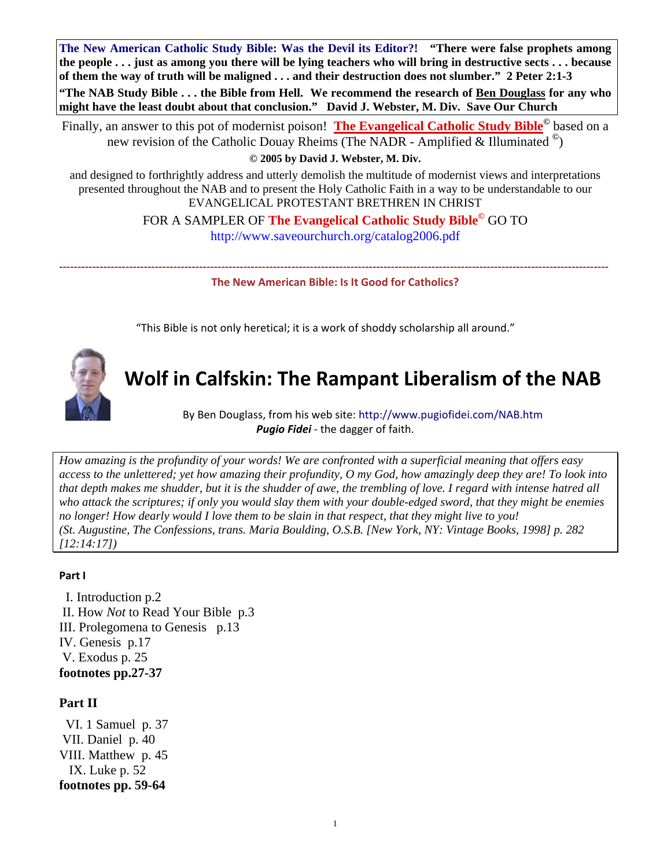**The New American Catholic Study Bible: Was the Devil its Editor?! "There were false prophets among the people . . . just as among you there will be lying teachers who will bring in destructive sects . . . because of them the way of truth will be maligned . . . and their destruction does not slumber." 2 Peter 2:1-3 "The NAB Study Bible . . . the Bible from Hell. We recommend the research of Ben Douglass for any who might have the least doubt about that conclusion." David J. Webster, M. Div. Save Our Church** 

Finally, an answer to this pot of modernist poison! **The Evangelical Catholic Study Bible©** based on a new revision of the Catholic Douay Rheims (The NADR - Amplified & Illuminated **©**)

**© 2005 by David J. Webster, M. Div.**

and designed to forthrightly address and utterly demolish the multitude of modernist views and interpretations presented throughout the NAB and to present the Holy Catholic Faith in a way to be understandable to our EVANGELICAL PROTESTANT BRETHREN IN CHRIST

> FOR A SAMPLER OF **The Evangelical Catholic Study Bible©** GO TO <http://www.saveourchurch.org/catalog2006.pdf>

**‐‐‐‐‐‐‐‐‐‐‐‐‐‐‐‐‐‐‐‐‐‐‐‐‐‐‐‐‐‐‐‐‐‐‐‐‐‐‐‐‐‐‐‐‐‐‐‐‐‐‐‐‐‐‐‐‐‐‐‐‐‐‐‐‐‐‐‐‐‐‐‐‐‐‐‐‐‐‐‐‐‐‐‐‐‐‐‐‐‐‐‐‐‐‐‐‐‐‐‐‐‐‐‐‐‐‐‐‐‐‐‐‐‐‐‐‐‐‐‐‐‐‐‐‐‐‐‐‐‐‐‐‐‐‐‐‐‐‐‐‐‐‐‐‐‐‐‐‐ The New American Bible: Is It Good for Catholics?**

"This Bible is not only heretical; it is a work of shoddy scholarship all around."



# **Wolf in Calfskin: The Rampant Liberalism of the NAB**

By Ben Douglass, from his web site: <http://www.pugiofidei.com/NAB.htm> *Pugio Fidei* ‐ the dagger of faith.

*How amazing is the profundity of your words! We are confronted with a superficial meaning that offers easy access to the unlettered; yet how amazing their profundity, O my God, how amazingly deep they are! To look into that depth makes me shudder, but it is the shudder of awe, the trembling of love. I regard with intense hatred all who attack the scriptures; if only you would slay them with your double-edged sword, that they might be enemies no longer! How dearly would I love them to be slain in that respect, that they might live to you! (St. Augustine, The Confessions, trans. Maria Boulding, O.S.B. [New York, NY: Vintage Books, 1998] p. 282 [12:14:17])* 

#### **Part I**

 I. Introduction p.2 II. How *Not* to Read Your Bible p.3 III. Prolegomena to Genesis p.13 IV. Genesis p.17 V. Exodus p. 25 **footnotes pp.27-37** 

#### **Part II**

 VI. 1 Samuel p. 37 VII. Daniel p. 40 VIII. Matthew p. 45 IX. Luke p. 52 **footnotes pp. 59-64**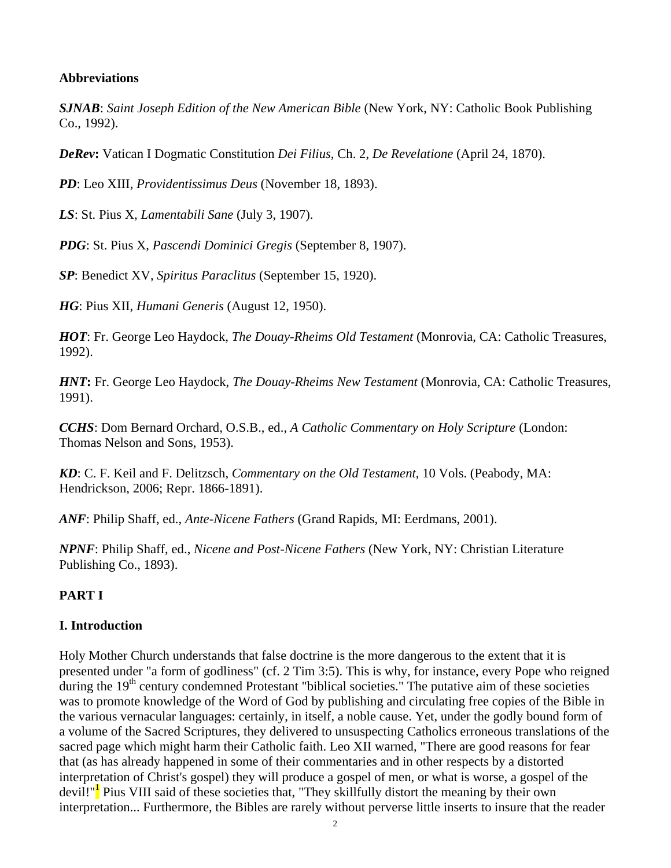## **Abbreviations**

*SJNAB*: *Saint Joseph Edition of the New American Bible* (New York, NY: Catholic Book Publishing Co., 1992).

*DeRev***:** Vatican I Dogmatic Constitution *Dei Filius*, Ch. 2, *De Revelatione* (April 24, 1870).

*PD*: Leo XIII, *Providentissimus Deus* (November 18, 1893).

*LS*: St. Pius X, *Lamentabili Sane* (July 3, 1907).

*PDG*: St. Pius X, *Pascendi Dominici Gregis* (September 8, 1907).

*SP*: Benedict XV, *Spiritus Paraclitus* (September 15, 1920).

*HG*: Pius XII, *Humani Generis* (August 12, 1950).

*HOT*: Fr. George Leo Haydock, *The Douay-Rheims Old Testament* (Monrovia, CA: Catholic Treasures, 1992).

*HNT***:** Fr. George Leo Haydock, *The Douay-Rheims New Testament* (Monrovia, CA: Catholic Treasures, 1991).

*CCHS*: Dom Bernard Orchard, O.S.B., ed., *A Catholic Commentary on Holy Scripture* (London: Thomas Nelson and Sons, 1953).

*KD*: C. F. Keil and F. Delitzsch, *Commentary on the Old Testament*, 10 Vols. (Peabody, MA: Hendrickson, 2006; Repr. 1866-1891).

*ANF*: Philip Shaff, ed., *Ante-Nicene Fathers* (Grand Rapids, MI: Eerdmans, 2001).

*NPNF*: Philip Shaff, ed., *Nicene and Post-Nicene Fathers* (New York, NY: Christian Literature Publishing Co., 1893).

# **PART I**

# **I. Introduction**

Holy Mother Church understands that false doctrine is the more dangerous to the extent that it is presented under "a form of godliness" (cf. 2 Tim 3:5). This is why, for instance, every Pope who reigned during the  $19<sup>th</sup>$  century condemned Protestant "biblical societies." The putative aim of these societies was to promote knowledge of the Word of God by publishing and circulating free copies of the Bible in the various vernacular languages: certainly, in itself, a noble cause. Yet, under the godly bound form of a volume of the Sacred Scriptures, they delivered to unsuspecting Catholics erroneous translations of the sacred page which might harm their Catholic faith. Leo XII warned, "There are good reasons for fear that (as has already happened in some of their commentaries and in other respects by a distorted interpretation of Christ's gospel) they will produce a gospel of men, or what is worse, a gospel of the devil!"<sup>I</sup> Pius VIII said of these societies that, "They skillfully distort the meaning by their own interpretation... Furthermore, the Bibles are rarely without perverse little inserts to insure that the reader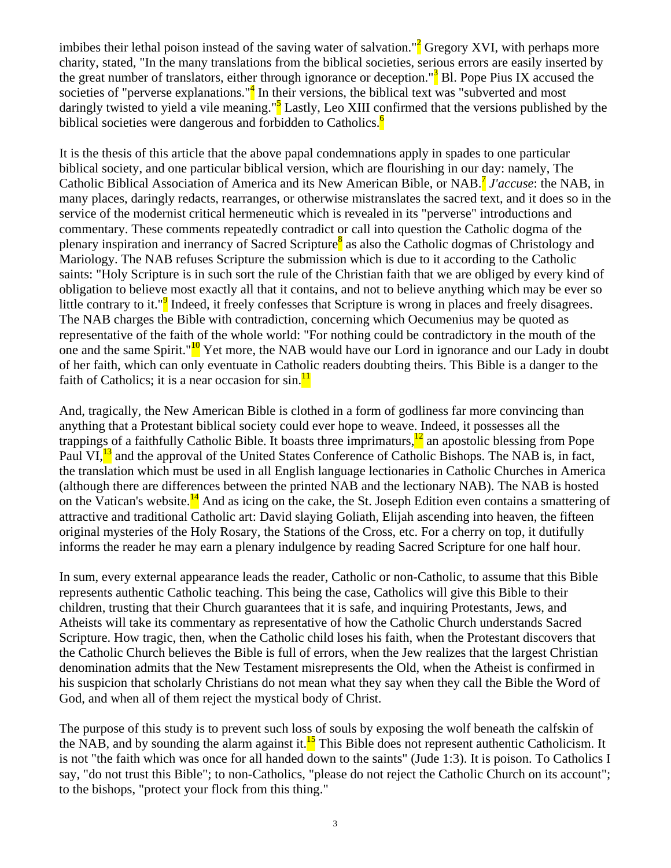imbibes their lethal poison instead of the saving water of salvation."<sup>2</sup> Gregory XVI, with perhaps more charity, stated, "In the many translations from the biblical societies, serious errors are easily inserted by the great number of translators, either through ignorance or deception."<sup>3</sup> Bl. Pope Pius IX accused the societies of "perverse explanations."<sup>4</sup> In their versions, the biblical text was "subverted and most daringly twisted to yield a vile meaning."<sup>5</sup> Lastly, Leo XIII confirmed that the versions published by the biblical societies were dangerous and forbidden to Catholics.<sup>6</sup>

It is the thesis of this article that the above papal condemnations apply in spades to one particular biblical society, and one particular biblical version, which are flourishing in our day: namely, The Catholic Biblical Association of America and its New American Bible, or NAB.7 *J'accuse*: the NAB, in many places, daringly redacts, rearranges, or otherwise mistranslates the sacred text, and it does so in the service of the modernist critical hermeneutic which is revealed in its "perverse" introductions and commentary. These comments repeatedly contradict or call into question the Catholic dogma of the plenary inspiration and inerrancy of Sacred Scripture<sup>8</sup> as also the Catholic dogmas of Christology and Mariology. The NAB refuses Scripture the submission which is due to it according to the Catholic saints: "Holy Scripture is in such sort the rule of the Christian faith that we are obliged by every kind of obligation to believe most exactly all that it contains, and not to believe anything which may be ever so little contrary to it."<sup>9</sup> Indeed, it freely confesses that Scripture is wrong in places and freely disagrees. The NAB charges the Bible with contradiction, concerning which Oecumenius may be quoted as representative of the faith of the whole world: "For nothing could be contradictory in the mouth of the one and the same Spirit."<sup>10</sup> Yet more, the NAB would have our Lord in ignorance and our Lady in doubt of her faith, which can only eventuate in Catholic readers doubting theirs. This Bible is a danger to the faith of Catholics; it is a near occasion for sin. $\frac{11}{11}$ 

And, tragically, the New American Bible is clothed in a form of godliness far more convincing than anything that a Protestant biblical society could ever hope to weave. Indeed, it possesses all the trappings of a faithfully Catholic Bible. It boasts three imprimaturs, $\frac{12}{2}$  an apostolic blessing from Pope Paul VI,<sup>13</sup> and the approval of the United States Conference of Catholic Bishops. The NAB is, in fact, the translation which must be used in all English language lectionaries in Catholic Churches in America (although there are differences between the printed NAB and the lectionary NAB). The NAB is hosted on the Vatican's website.<sup>14</sup> And as icing on the cake, the St. Joseph Edition even contains a smattering of attractive and traditional Catholic art: David slaying Goliath, Elijah ascending into heaven, the fifteen original mysteries of the Holy Rosary, the Stations of the Cross, etc. For a cherry on top, it dutifully informs the reader he may earn a plenary indulgence by reading Sacred Scripture for one half hour.

In sum, every external appearance leads the reader, Catholic or non-Catholic, to assume that this Bible represents authentic Catholic teaching. This being the case, Catholics will give this Bible to their children, trusting that their Church guarantees that it is safe, and inquiring Protestants, Jews, and Atheists will take its commentary as representative of how the Catholic Church understands Sacred Scripture. How tragic, then, when the Catholic child loses his faith, when the Protestant discovers that the Catholic Church believes the Bible is full of errors, when the Jew realizes that the largest Christian denomination admits that the New Testament misrepresents the Old, when the Atheist is confirmed in his suspicion that scholarly Christians do not mean what they say when they call the Bible the Word of God, and when all of them reject the mystical body of Christ.

The purpose of this study is to prevent such loss of souls by exposing the wolf beneath the calfskin of the NAB, and by sounding the alarm against it.<sup>15</sup> This Bible does not represent authentic Catholicism. It is not "the faith which was once for all handed down to the saints" (Jude 1:3). It is poison. To Catholics I say, "do not trust this Bible"; to non-Catholics, "please do not reject the Catholic Church on its account"; to the bishops, "protect your flock from this thing."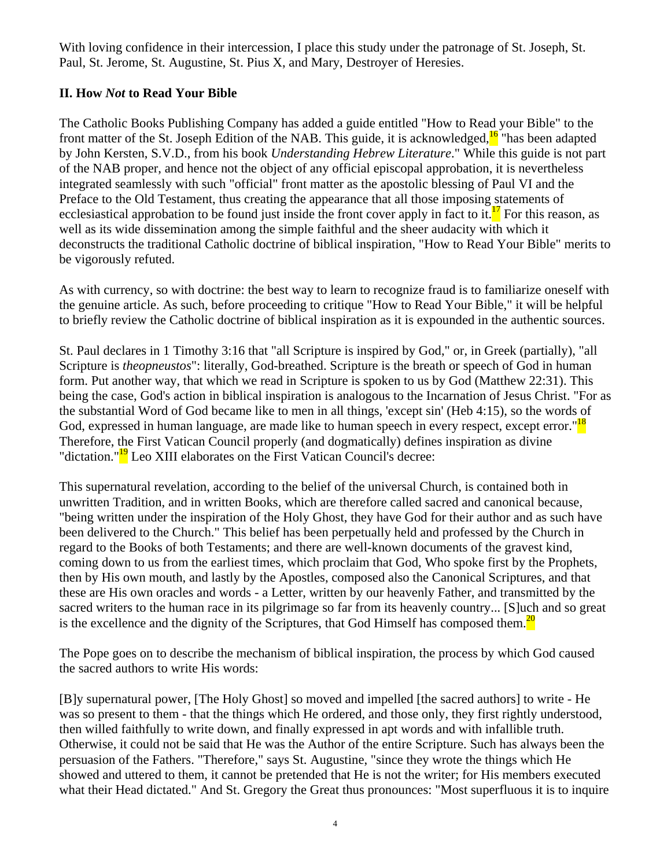With loving confidence in their intercession, I place this study under the patronage of St. Joseph, St. Paul, St. Jerome, St. Augustine, St. Pius X, and Mary, Destroyer of Heresies.

# **II. How** *Not* **to Read Your Bible**

The Catholic Books Publishing Company has added a guide entitled "How to Read your Bible" to the front matter of the St. Joseph Edition of the NAB. This guide, it is acknowledged, $16$  "has been adapted by John Kersten, S.V.D., from his book *Understanding Hebrew Literature*." While this guide is not part of the NAB proper, and hence not the object of any official episcopal approbation, it is nevertheless integrated seamlessly with such "official" front matter as the apostolic blessing of Paul VI and the Preface to the Old Testament, thus creating the appearance that all those imposing statements of ecclesiastical approbation to be found just inside the front cover apply in fact to it.<sup>17</sup> For this reason, as well as its wide dissemination among the simple faithful and the sheer audacity with which it deconstructs the traditional Catholic doctrine of biblical inspiration, "How to Read Your Bible" merits to be vigorously refuted.

As with currency, so with doctrine: the best way to learn to recognize fraud is to familiarize oneself with the genuine article. As such, before proceeding to critique "How to Read Your Bible," it will be helpful to briefly review the Catholic doctrine of biblical inspiration as it is expounded in the authentic sources.

St. Paul declares in 1 Timothy 3:16 that "all Scripture is inspired by God," or, in Greek (partially), "all Scripture is *theopneustos*": literally, God-breathed. Scripture is the breath or speech of God in human form. Put another way, that which we read in Scripture is spoken to us by God (Matthew 22:31). This being the case, God's action in biblical inspiration is analogous to the Incarnation of Jesus Christ. "For as the substantial Word of God became like to men in all things, 'except sin' (Heb 4:15), so the words of God, expressed in human language, are made like to human speech in every respect, except error."<sup>18</sup> Therefore, the First Vatican Council properly (and dogmatically) defines inspiration as divine "dictation."<sup>19</sup> Leo XIII elaborates on the First Vatican Council's decree:

This supernatural revelation, according to the belief of the universal Church, is contained both in unwritten Tradition, and in written Books, which are therefore called sacred and canonical because, "being written under the inspiration of the Holy Ghost, they have God for their author and as such have been delivered to the Church." This belief has been perpetually held and professed by the Church in regard to the Books of both Testaments; and there are well-known documents of the gravest kind, coming down to us from the earliest times, which proclaim that God, Who spoke first by the Prophets, then by His own mouth, and lastly by the Apostles, composed also the Canonical Scriptures, and that these are His own oracles and words - a Letter, written by our heavenly Father, and transmitted by the sacred writers to the human race in its pilgrimage so far from its heavenly country... [S]uch and so great is the excellence and the dignity of the Scriptures, that God Himself has composed them.<sup>20</sup>

The Pope goes on to describe the mechanism of biblical inspiration, the process by which God caused the sacred authors to write His words:

[B]y supernatural power, [The Holy Ghost] so moved and impelled [the sacred authors] to write - He was so present to them - that the things which He ordered, and those only, they first rightly understood, then willed faithfully to write down, and finally expressed in apt words and with infallible truth. Otherwise, it could not be said that He was the Author of the entire Scripture. Such has always been the persuasion of the Fathers. "Therefore," says St. Augustine, "since they wrote the things which He showed and uttered to them, it cannot be pretended that He is not the writer; for His members executed what their Head dictated." And St. Gregory the Great thus pronounces: "Most superfluous it is to inquire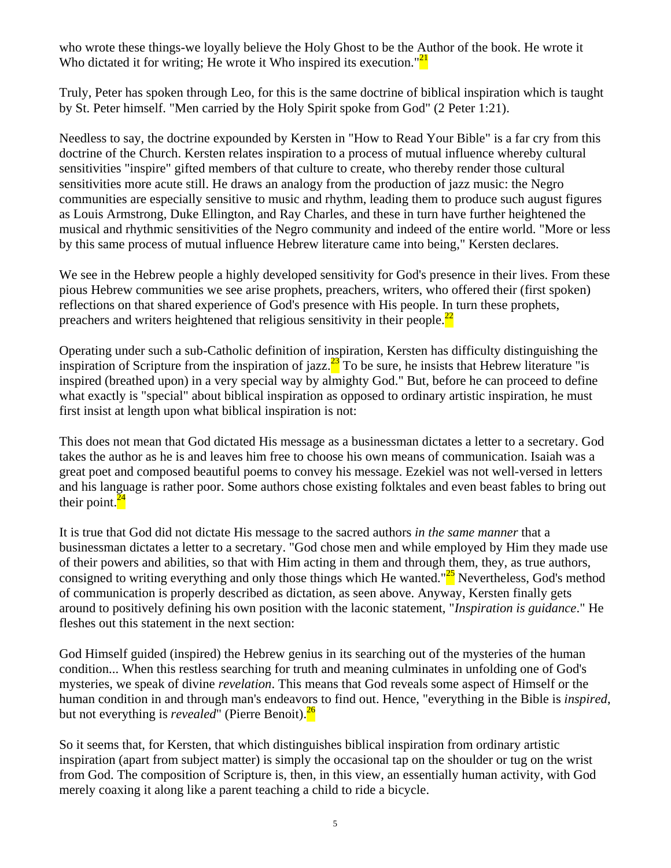who wrote these things-we loyally believe the Holy Ghost to be the Author of the book. He wrote it Who dictated it for writing; He wrote it Who inspired its execution." $21$ 

Truly, Peter has spoken through Leo, for this is the same doctrine of biblical inspiration which is taught by St. Peter himself. "Men carried by the Holy Spirit spoke from God" (2 Peter 1:21).

Needless to say, the doctrine expounded by Kersten in "How to Read Your Bible" is a far cry from this doctrine of the Church. Kersten relates inspiration to a process of mutual influence whereby cultural sensitivities "inspire" gifted members of that culture to create, who thereby render those cultural sensitivities more acute still. He draws an analogy from the production of jazz music: the Negro communities are especially sensitive to music and rhythm, leading them to produce such august figures as Louis Armstrong, Duke Ellington, and Ray Charles, and these in turn have further heightened the musical and rhythmic sensitivities of the Negro community and indeed of the entire world. "More or less by this same process of mutual influence Hebrew literature came into being," Kersten declares.

We see in the Hebrew people a highly developed sensitivity for God's presence in their lives. From these pious Hebrew communities we see arise prophets, preachers, writers, who offered their (first spoken) reflections on that shared experience of God's presence with His people. In turn these prophets, preachers and writers heightened that religious sensitivity in their people. $^{22}$ 

Operating under such a sub-Catholic definition of inspiration, Kersten has difficulty distinguishing the inspiration of Scripture from the inspiration of jazz. $\frac{23}{10}$  To be sure, he insists that Hebrew literature "is inspired (breathed upon) in a very special way by almighty God." But, before he can proceed to define what exactly is "special" about biblical inspiration as opposed to ordinary artistic inspiration, he must first insist at length upon what biblical inspiration is not:

This does not mean that God dictated His message as a businessman dictates a letter to a secretary. God takes the author as he is and leaves him free to choose his own means of communication. Isaiah was a great poet and composed beautiful poems to convey his message. Ezekiel was not well-versed in letters and his language is rather poor. Some authors chose existing folktales and even beast fables to bring out their point. $^{24}$ 

It is true that God did not dictate His message to the sacred authors *in the same manner* that a businessman dictates a letter to a secretary. "God chose men and while employed by Him they made use of their powers and abilities, so that with Him acting in them and through them, they, as true authors, consigned to writing everything and only those things which He wanted." $\frac{25}{5}$  Nevertheless, God's method of communication is properly described as dictation, as seen above. Anyway, Kersten finally gets around to positively defining his own position with the laconic statement, "*Inspiration is guidance*." He fleshes out this statement in the next section:

God Himself guided (inspired) the Hebrew genius in its searching out of the mysteries of the human condition... When this restless searching for truth and meaning culminates in unfolding one of God's mysteries, we speak of divine *revelation*. This means that God reveals some aspect of Himself or the human condition in and through man's endeavors to find out. Hence, "everything in the Bible is *inspired*, but not everything is *revealed*" (Pierre Benoit).<sup>26</sup>

So it seems that, for Kersten, that which distinguishes biblical inspiration from ordinary artistic inspiration (apart from subject matter) is simply the occasional tap on the shoulder or tug on the wrist from God. The composition of Scripture is, then, in this view, an essentially human activity, with God merely coaxing it along like a parent teaching a child to ride a bicycle.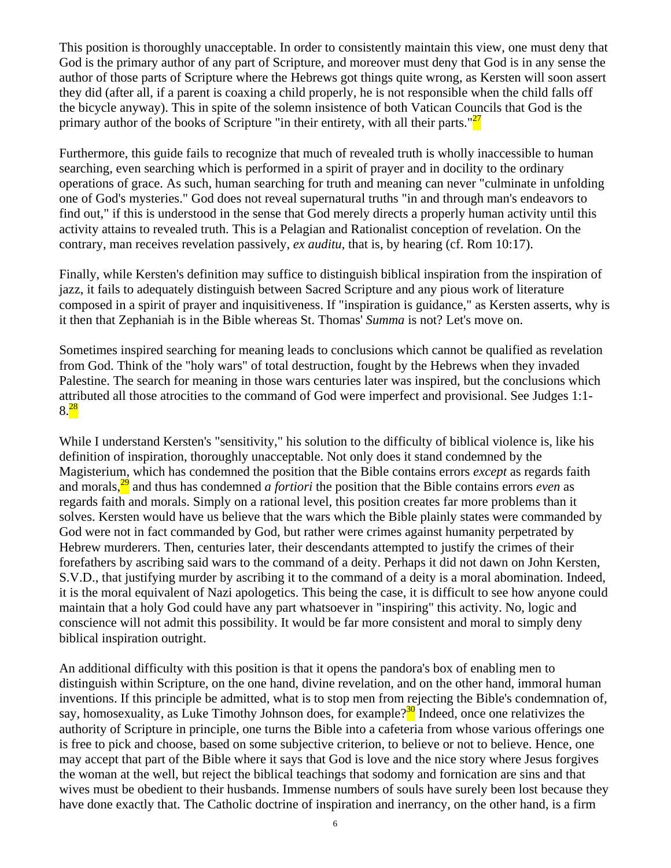This position is thoroughly unacceptable. In order to consistently maintain this view, one must deny that God is the primary author of any part of Scripture, and moreover must deny that God is in any sense the author of those parts of Scripture where the Hebrews got things quite wrong, as Kersten will soon assert they did (after all, if a parent is coaxing a child properly, he is not responsible when the child falls off the bicycle anyway). This in spite of the solemn insistence of both Vatican Councils that God is the primary author of the books of Scripture "in their entirety, with all their parts." $27$ 

Furthermore, this guide fails to recognize that much of revealed truth is wholly inaccessible to human searching, even searching which is performed in a spirit of prayer and in docility to the ordinary operations of grace. As such, human searching for truth and meaning can never "culminate in unfolding one of God's mysteries." God does not reveal supernatural truths "in and through man's endeavors to find out," if this is understood in the sense that God merely directs a properly human activity until this activity attains to revealed truth. This is a Pelagian and Rationalist conception of revelation. On the contrary, man receives revelation passively, *ex auditu*, that is, by hearing (cf. Rom 10:17).

Finally, while Kersten's definition may suffice to distinguish biblical inspiration from the inspiration of jazz, it fails to adequately distinguish between Sacred Scripture and any pious work of literature composed in a spirit of prayer and inquisitiveness. If "inspiration is guidance," as Kersten asserts, why is it then that Zephaniah is in the Bible whereas St. Thomas' *Summa* is not? Let's move on.

Sometimes inspired searching for meaning leads to conclusions which cannot be qualified as revelation from God. Think of the "holy wars" of total destruction, fought by the Hebrews when they invaded Palestine. The search for meaning in those wars centuries later was inspired, but the conclusions which attributed all those atrocities to the command of God were imperfect and provisional. See Judges 1:1-  $8.28$ 

While I understand Kersten's "sensitivity," his solution to the difficulty of biblical violence is, like his definition of inspiration, thoroughly unacceptable. Not only does it stand condemned by the Magisterium, which has condemned the position that the Bible contains errors *except* as regards faith and morals,29 and thus has condemned *a fortiori* the position that the Bible contains errors *even* as regards faith and morals. Simply on a rational level, this position creates far more problems than it solves. Kersten would have us believe that the wars which the Bible plainly states were commanded by God were not in fact commanded by God, but rather were crimes against humanity perpetrated by Hebrew murderers. Then, centuries later, their descendants attempted to justify the crimes of their forefathers by ascribing said wars to the command of a deity. Perhaps it did not dawn on John Kersten, S.V.D., that justifying murder by ascribing it to the command of a deity is a moral abomination. Indeed, it is the moral equivalent of Nazi apologetics. This being the case, it is difficult to see how anyone could maintain that a holy God could have any part whatsoever in "inspiring" this activity. No, logic and conscience will not admit this possibility. It would be far more consistent and moral to simply deny biblical inspiration outright.

An additional difficulty with this position is that it opens the pandora's box of enabling men to distinguish within Scripture, on the one hand, divine revelation, and on the other hand, immoral human inventions. If this principle be admitted, what is to stop men from rejecting the Bible's condemnation of, say, homosexuality, as Luke Timothy Johnson does, for example?<sup>30</sup> Indeed, once one relativizes the authority of Scripture in principle, one turns the Bible into a cafeteria from whose various offerings one is free to pick and choose, based on some subjective criterion, to believe or not to believe. Hence, one may accept that part of the Bible where it says that God is love and the nice story where Jesus forgives the woman at the well, but reject the biblical teachings that sodomy and fornication are sins and that wives must be obedient to their husbands. Immense numbers of souls have surely been lost because they have done exactly that. The Catholic doctrine of inspiration and inerrancy, on the other hand, is a firm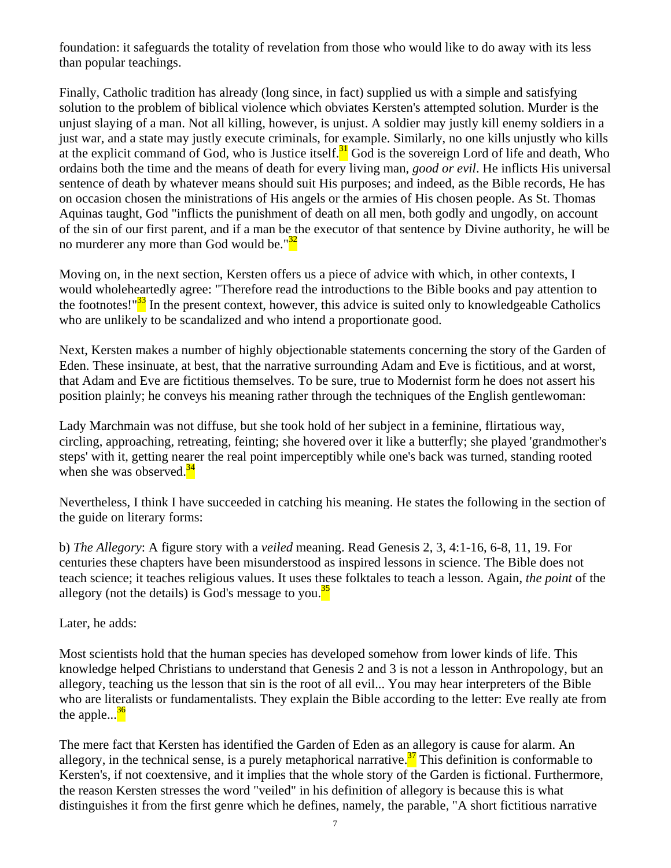foundation: it safeguards the totality of revelation from those who would like to do away with its less than popular teachings.

Finally, Catholic tradition has already (long since, in fact) supplied us with a simple and satisfying solution to the problem of biblical violence which obviates Kersten's attempted solution. Murder is the unjust slaying of a man. Not all killing, however, is unjust. A soldier may justly kill enemy soldiers in a just war, and a state may justly execute criminals, for example. Similarly, no one kills unjustly who kills at the explicit command of God, who is Justice itself. $<sup>31</sup>$  God is the sovereign Lord of life and death, Who</sup> ordains both the time and the means of death for every living man, *good or evil*. He inflicts His universal sentence of death by whatever means should suit His purposes; and indeed, as the Bible records, He has on occasion chosen the ministrations of His angels or the armies of His chosen people. As St. Thomas Aquinas taught, God "inflicts the punishment of death on all men, both godly and ungodly, on account of the sin of our first parent, and if a man be the executor of that sentence by Divine authority, he will be no murderer any more than God would be." $3^2$ 

Moving on, in the next section, Kersten offers us a piece of advice with which, in other contexts, I would wholeheartedly agree: "Therefore read the introductions to the Bible books and pay attention to the footnotes!"<sup>33</sup> In the present context, however, this advice is suited only to knowledgeable Catholics who are unlikely to be scandalized and who intend a proportionate good.

Next, Kersten makes a number of highly objectionable statements concerning the story of the Garden of Eden. These insinuate, at best, that the narrative surrounding Adam and Eve is fictitious, and at worst, that Adam and Eve are fictitious themselves. To be sure, true to Modernist form he does not assert his position plainly; he conveys his meaning rather through the techniques of the English gentlewoman:

Lady Marchmain was not diffuse, but she took hold of her subject in a feminine, flirtatious way, circling, approaching, retreating, feinting; she hovered over it like a butterfly; she played 'grandmother's steps' with it, getting nearer the real point imperceptibly while one's back was turned, standing rooted when she was observed. $34$ 

Nevertheless, I think I have succeeded in catching his meaning. He states the following in the section of the guide on literary forms:

b) *The Allegory*: A figure story with a *veiled* meaning. Read Genesis 2, 3, 4:1-16, 6-8, 11, 19. For centuries these chapters have been misunderstood as inspired lessons in science. The Bible does not teach science; it teaches religious values. It uses these folktales to teach a lesson. Again, *the point* of the allegory (not the details) is God's message to you. $\frac{35}{2}$ 

Later, he adds:

Most scientists hold that the human species has developed somehow from lower kinds of life. This knowledge helped Christians to understand that Genesis 2 and 3 is not a lesson in Anthropology, but an allegory, teaching us the lesson that sin is the root of all evil... You may hear interpreters of the Bible who are literalists or fundamentalists. They explain the Bible according to the letter: Eve really ate from the apple... $\frac{36}{6}$ 

The mere fact that Kersten has identified the Garden of Eden as an allegory is cause for alarm. An allegory, in the technical sense, is a purely metaphorical narrative.<sup>37</sup> This definition is conformable to Kersten's, if not coextensive, and it implies that the whole story of the Garden is fictional. Furthermore, the reason Kersten stresses the word "veiled" in his definition of allegory is because this is what distinguishes it from the first genre which he defines, namely, the parable, "A short fictitious narrative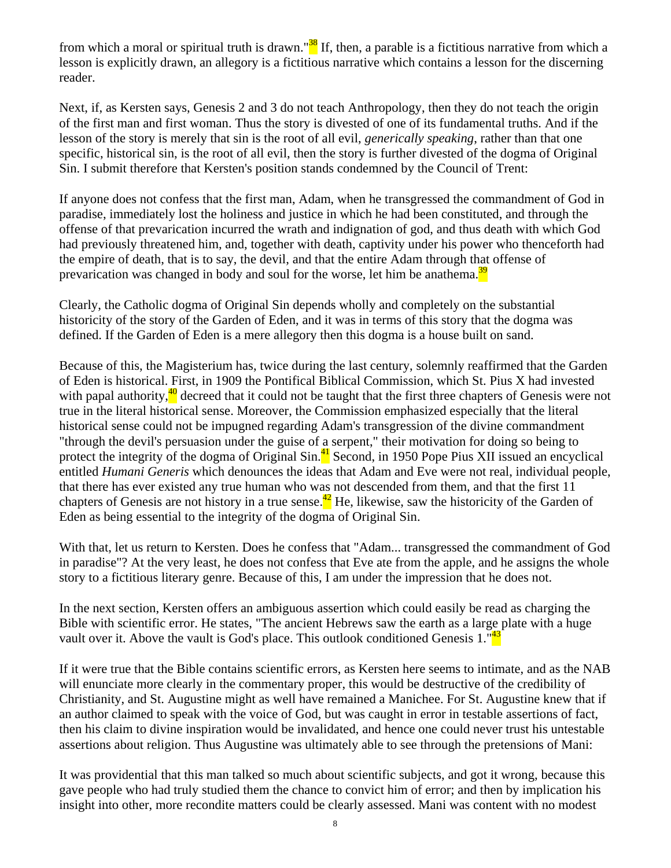from which a moral or spiritual truth is drawn."<sup>38</sup> If, then, a parable is a fictitious narrative from which a lesson is explicitly drawn, an allegory is a fictitious narrative which contains a lesson for the discerning reader.

Next, if, as Kersten says, Genesis 2 and 3 do not teach Anthropology, then they do not teach the origin of the first man and first woman. Thus the story is divested of one of its fundamental truths. And if the lesson of the story is merely that sin is the root of all evil, *generically speaking*, rather than that one specific, historical sin, is the root of all evil, then the story is further divested of the dogma of Original Sin. I submit therefore that Kersten's position stands condemned by the Council of Trent:

If anyone does not confess that the first man, Adam, when he transgressed the commandment of God in paradise, immediately lost the holiness and justice in which he had been constituted, and through the offense of that prevarication incurred the wrath and indignation of god, and thus death with which God had previously threatened him, and, together with death, captivity under his power who thenceforth had the empire of death, that is to say, the devil, and that the entire Adam through that offense of prevarication was changed in body and soul for the worse, let him be anathema.<sup>39</sup>

Clearly, the Catholic dogma of Original Sin depends wholly and completely on the substantial historicity of the story of the Garden of Eden, and it was in terms of this story that the dogma was defined. If the Garden of Eden is a mere allegory then this dogma is a house built on sand.

Because of this, the Magisterium has, twice during the last century, solemnly reaffirmed that the Garden of Eden is historical. First, in 1909 the Pontifical Biblical Commission, which St. Pius X had invested with papal authority, $40 \text{ decreased that it could not be taught that the first three chapters of Genesis were not.}$ true in the literal historical sense. Moreover, the Commission emphasized especially that the literal historical sense could not be impugned regarding Adam's transgression of the divine commandment "through the devil's persuasion under the guise of a serpent," their motivation for doing so being to protect the integrity of the dogma of Original Sin.<sup>41</sup> Second, in 1950 Pope Pius XII issued an encyclical entitled *Humani Generis* which denounces the ideas that Adam and Eve were not real, individual people, that there has ever existed any true human who was not descended from them, and that the first 11 chapters of Genesis are not history in a true sense.<sup>42</sup> He, likewise, saw the historicity of the Garden of Eden as being essential to the integrity of the dogma of Original Sin.

With that, let us return to Kersten. Does he confess that "Adam... transgressed the commandment of God in paradise"? At the very least, he does not confess that Eve ate from the apple, and he assigns the whole story to a fictitious literary genre. Because of this, I am under the impression that he does not.

In the next section, Kersten offers an ambiguous assertion which could easily be read as charging the Bible with scientific error. He states, "The ancient Hebrews saw the earth as a large plate with a huge vault over it. Above the vault is God's place. This outlook conditioned Genesis 1."<sup>43</sup>

If it were true that the Bible contains scientific errors, as Kersten here seems to intimate, and as the NAB will enunciate more clearly in the commentary proper, this would be destructive of the credibility of Christianity, and St. Augustine might as well have remained a Manichee. For St. Augustine knew that if an author claimed to speak with the voice of God, but was caught in error in testable assertions of fact, then his claim to divine inspiration would be invalidated, and hence one could never trust his untestable assertions about religion. Thus Augustine was ultimately able to see through the pretensions of Mani:

It was providential that this man talked so much about scientific subjects, and got it wrong, because this gave people who had truly studied them the chance to convict him of error; and then by implication his insight into other, more recondite matters could be clearly assessed. Mani was content with no modest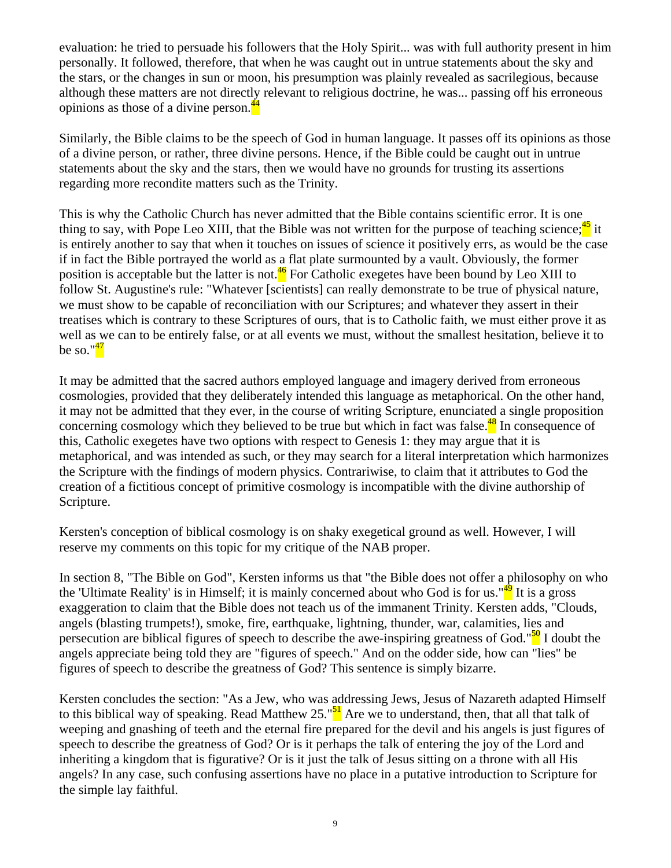evaluation: he tried to persuade his followers that the Holy Spirit... was with full authority present in him personally. It followed, therefore, that when he was caught out in untrue statements about the sky and the stars, or the changes in sun or moon, his presumption was plainly revealed as sacrilegious, because although these matters are not directly relevant to religious doctrine, he was... passing off his erroneous opinions as those of a divine person.<sup>44</sup>

Similarly, the Bible claims to be the speech of God in human language. It passes off its opinions as those of a divine person, or rather, three divine persons. Hence, if the Bible could be caught out in untrue statements about the sky and the stars, then we would have no grounds for trusting its assertions regarding more recondite matters such as the Trinity.

This is why the Catholic Church has never admitted that the Bible contains scientific error. It is one thing to say, with Pope Leo XIII, that the Bible was not written for the purpose of teaching science; $\frac{45}{12}$  it is entirely another to say that when it touches on issues of science it positively errs, as would be the case if in fact the Bible portrayed the world as a flat plate surmounted by a vault. Obviously, the former position is acceptable but the latter is not.<sup>46</sup> For Catholic exegetes have been bound by Leo XIII to follow St. Augustine's rule: "Whatever [scientists] can really demonstrate to be true of physical nature, we must show to be capable of reconciliation with our Scriptures; and whatever they assert in their treatises which is contrary to these Scriptures of ours, that is to Catholic faith, we must either prove it as well as we can to be entirely false, or at all events we must, without the smallest hesitation, believe it to be so." $\frac{47}{1}$ 

It may be admitted that the sacred authors employed language and imagery derived from erroneous cosmologies, provided that they deliberately intended this language as metaphorical. On the other hand, it may not be admitted that they ever, in the course of writing Scripture, enunciated a single proposition concerning cosmology which they believed to be true but which in fact was false.<sup>48</sup> In consequence of this, Catholic exegetes have two options with respect to Genesis 1: they may argue that it is metaphorical, and was intended as such, or they may search for a literal interpretation which harmonizes the Scripture with the findings of modern physics. Contrariwise, to claim that it attributes to God the creation of a fictitious concept of primitive cosmology is incompatible with the divine authorship of Scripture.

Kersten's conception of biblical cosmology is on shaky exegetical ground as well. However, I will reserve my comments on this topic for my critique of the NAB proper.

In section 8, "The Bible on God", Kersten informs us that "the Bible does not offer a philosophy on who the 'Ultimate Reality' is in Himself; it is mainly concerned about who God is for us." $49$  It is a gross exaggeration to claim that the Bible does not teach us of the immanent Trinity. Kersten adds, "Clouds, angels (blasting trumpets!), smoke, fire, earthquake, lightning, thunder, war, calamities, lies and persecution are biblical figures of speech to describe the awe-inspiring greatness of God."<sup>50</sup> I doubt the angels appreciate being told they are "figures of speech." And on the odder side, how can "lies" be figures of speech to describe the greatness of God? This sentence is simply bizarre.

Kersten concludes the section: "As a Jew, who was addressing Jews, Jesus of Nazareth adapted Himself to this biblical way of speaking. Read Matthew 25." $\frac{51}{1}$  Are we to understand, then, that all that talk of weeping and gnashing of teeth and the eternal fire prepared for the devil and his angels is just figures of speech to describe the greatness of God? Or is it perhaps the talk of entering the joy of the Lord and inheriting a kingdom that is figurative? Or is it just the talk of Jesus sitting on a throne with all His angels? In any case, such confusing assertions have no place in a putative introduction to Scripture for the simple lay faithful.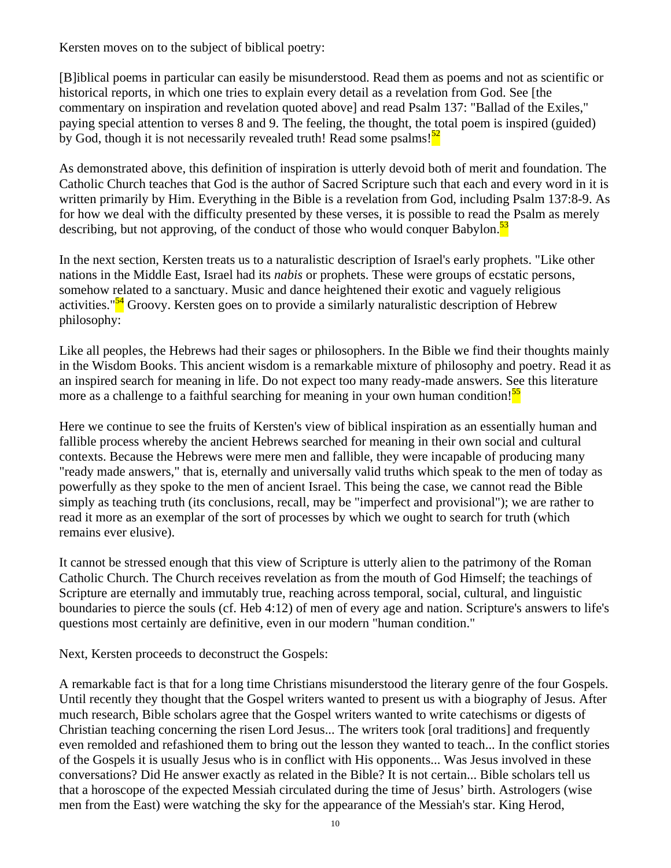Kersten moves on to the subject of biblical poetry:

[B]iblical poems in particular can easily be misunderstood. Read them as poems and not as scientific or historical reports, in which one tries to explain every detail as a revelation from God. See [the commentary on inspiration and revelation quoted above] and read Psalm 137: "Ballad of the Exiles," paying special attention to verses 8 and 9. The feeling, the thought, the total poem is inspired (guided) by God, though it is not necessarily revealed truth! Read some psalms! $52$ 

As demonstrated above, this definition of inspiration is utterly devoid both of merit and foundation. The Catholic Church teaches that God is the author of Sacred Scripture such that each and every word in it is written primarily by Him. Everything in the Bible is a revelation from God, including Psalm 137:8-9. As for how we deal with the difficulty presented by these verses, it is possible to read the Psalm as merely describing, but not approving, of the conduct of those who would conquer Babylon.<sup>53</sup>

In the next section, Kersten treats us to a naturalistic description of Israel's early prophets. "Like other nations in the Middle East, Israel had its *nabis* or prophets. These were groups of ecstatic persons, somehow related to a sanctuary. Music and dance heightened their exotic and vaguely religious activities."<sup>54</sup> Groovy. Kersten goes on to provide a similarly naturalistic description of Hebrew philosophy:

Like all peoples, the Hebrews had their sages or philosophers. In the Bible we find their thoughts mainly in the Wisdom Books. This ancient wisdom is a remarkable mixture of philosophy and poetry. Read it as an inspired search for meaning in life. Do not expect too many ready-made answers. See this literature more as a challenge to a faithful searching for meaning in your own human condition!<sup>55</sup>

Here we continue to see the fruits of Kersten's view of biblical inspiration as an essentially human and fallible process whereby the ancient Hebrews searched for meaning in their own social and cultural contexts. Because the Hebrews were mere men and fallible, they were incapable of producing many "ready made answers," that is, eternally and universally valid truths which speak to the men of today as powerfully as they spoke to the men of ancient Israel. This being the case, we cannot read the Bible simply as teaching truth (its conclusions, recall, may be "imperfect and provisional"); we are rather to read it more as an exemplar of the sort of processes by which we ought to search for truth (which remains ever elusive).

It cannot be stressed enough that this view of Scripture is utterly alien to the patrimony of the Roman Catholic Church. The Church receives revelation as from the mouth of God Himself; the teachings of Scripture are eternally and immutably true, reaching across temporal, social, cultural, and linguistic boundaries to pierce the souls (cf. Heb 4:12) of men of every age and nation. Scripture's answers to life's questions most certainly are definitive, even in our modern "human condition."

Next, Kersten proceeds to deconstruct the Gospels:

A remarkable fact is that for a long time Christians misunderstood the literary genre of the four Gospels. Until recently they thought that the Gospel writers wanted to present us with a biography of Jesus. After much research, Bible scholars agree that the Gospel writers wanted to write catechisms or digests of Christian teaching concerning the risen Lord Jesus... The writers took [oral traditions] and frequently even remolded and refashioned them to bring out the lesson they wanted to teach... In the conflict stories of the Gospels it is usually Jesus who is in conflict with His opponents... Was Jesus involved in these conversations? Did He answer exactly as related in the Bible? It is not certain... Bible scholars tell us that a horoscope of the expected Messiah circulated during the time of Jesus' birth. Astrologers (wise men from the East) were watching the sky for the appearance of the Messiah's star. King Herod,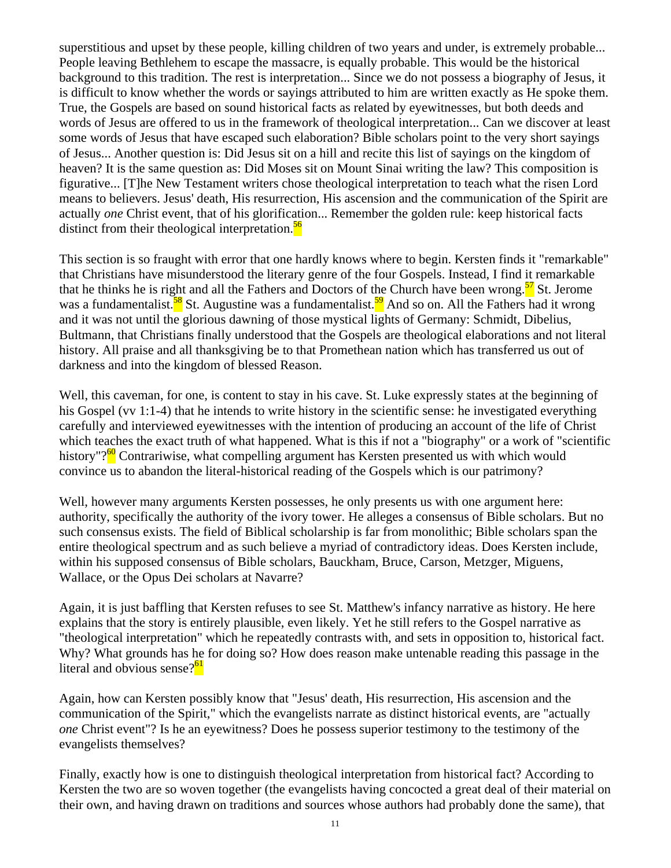superstitious and upset by these people, killing children of two years and under, is extremely probable... People leaving Bethlehem to escape the massacre, is equally probable. This would be the historical background to this tradition. The rest is interpretation... Since we do not possess a biography of Jesus, it is difficult to know whether the words or sayings attributed to him are written exactly as He spoke them. True, the Gospels are based on sound historical facts as related by eyewitnesses, but both deeds and words of Jesus are offered to us in the framework of theological interpretation... Can we discover at least some words of Jesus that have escaped such elaboration? Bible scholars point to the very short sayings of Jesus... Another question is: Did Jesus sit on a hill and recite this list of sayings on the kingdom of heaven? It is the same question as: Did Moses sit on Mount Sinai writing the law? This composition is figurative... [T]he New Testament writers chose theological interpretation to teach what the risen Lord means to believers. Jesus' death, His resurrection, His ascension and the communication of the Spirit are actually *one* Christ event, that of his glorification... Remember the golden rule: keep historical facts distinct from their theological interpretation. $\frac{56}{56}$ 

This section is so fraught with error that one hardly knows where to begin. Kersten finds it "remarkable" that Christians have misunderstood the literary genre of the four Gospels. Instead, I find it remarkable that he thinks he is right and all the Fathers and Doctors of the Church have been wrong.<sup>57</sup> St. Jerome was a fundamentalist.<sup>58</sup> St. Augustine was a fundamentalist.<sup>59</sup> And so on. All the Fathers had it wrong and it was not until the glorious dawning of those mystical lights of Germany: Schmidt, Dibelius, Bultmann, that Christians finally understood that the Gospels are theological elaborations and not literal history. All praise and all thanksgiving be to that Promethean nation which has transferred us out of darkness and into the kingdom of blessed Reason.

Well, this caveman, for one, is content to stay in his cave. St. Luke expressly states at the beginning of his Gospel (vv 1:1-4) that he intends to write history in the scientific sense: he investigated everything carefully and interviewed eyewitnesses with the intention of producing an account of the life of Christ which teaches the exact truth of what happened. What is this if not a "biography" or a work of "scientific history"?<sup>60</sup> Contrariwise, what compelling argument has Kersten presented us with which would convince us to abandon the literal-historical reading of the Gospels which is our patrimony?

Well, however many arguments Kersten possesses, he only presents us with one argument here: authority, specifically the authority of the ivory tower. He alleges a consensus of Bible scholars. But no such consensus exists. The field of Biblical scholarship is far from monolithic; Bible scholars span the entire theological spectrum and as such believe a myriad of contradictory ideas. Does Kersten include, within his supposed consensus of Bible scholars, Bauckham, Bruce, Carson, Metzger, Miguens, Wallace, or the Opus Dei scholars at Navarre?

Again, it is just baffling that Kersten refuses to see St. Matthew's infancy narrative as history. He here explains that the story is entirely plausible, even likely. Yet he still refers to the Gospel narrative as "theological interpretation" which he repeatedly contrasts with, and sets in opposition to, historical fact. Why? What grounds has he for doing so? How does reason make untenable reading this passage in the literal and obvious sense? $61$ 

Again, how can Kersten possibly know that "Jesus' death, His resurrection, His ascension and the communication of the Spirit," which the evangelists narrate as distinct historical events, are "actually *one* Christ event"? Is he an eyewitness? Does he possess superior testimony to the testimony of the evangelists themselves?

Finally, exactly how is one to distinguish theological interpretation from historical fact? According to Kersten the two are so woven together (the evangelists having concocted a great deal of their material on their own, and having drawn on traditions and sources whose authors had probably done the same), that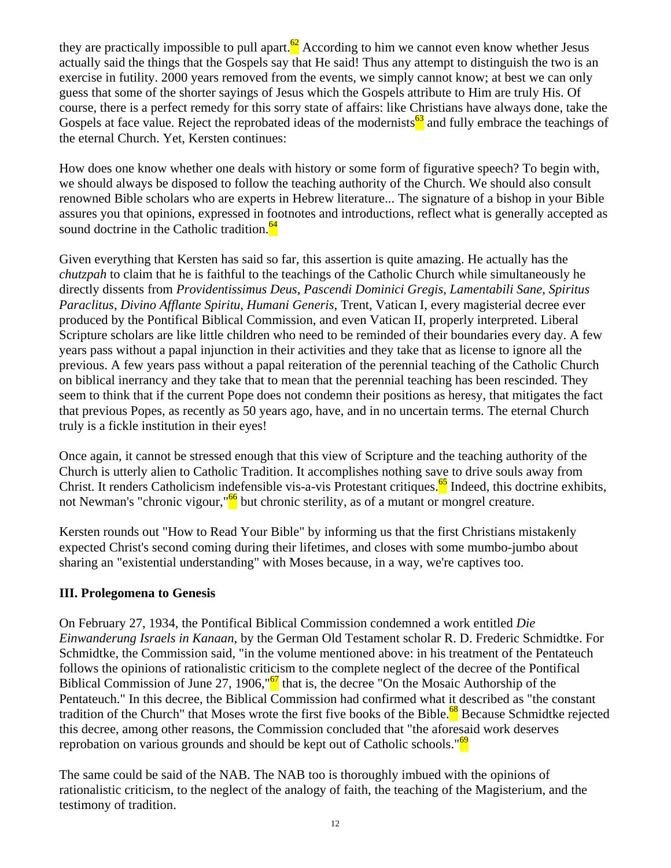they are practically impossible to pull apart.<sup>62</sup> According to him we cannot even know whether Jesus actually said the things that the Gospels say that He said! Thus any attempt to distinguish the two is an exercise in futility. 2000 years removed from the events, we simply cannot know; at best we can only guess that some of the shorter sayings of Jesus which the Gospels attribute to Him are truly His. Of course, there is a perfect remedy for this sorry state of affairs: like Christians have always done, take the Gospels at face value. Reject the reprobated ideas of the modernists  $\frac{63}{3}$  and fully embrace the teachings of the eternal Church. Yet, Kersten continues:

How does one know whether one deals with history or some form of figurative speech? To begin with, we should always be disposed to follow the teaching authority of the Church. We should also consult renowned Bible scholars who are experts in Hebrew literature... The signature of a bishop in your Bible assures you that opinions, expressed in footnotes and introductions, reflect what is generally accepted as sound doctrine in the Catholic tradition. $64$ 

Given everything that Kersten has said so far, this assertion is quite amazing. He actually has the *chutzpah* to claim that he is faithful to the teachings of the Catholic Church while simultaneously he directly dissents from *Providentissimus Deus*, *Pascendi Dominici Gregis*, *Lamentabili Sane*, *Spiritus Paraclitus*, *Divino Afflante Spiritu*, *Humani Generis*, Trent, Vatican I, every magisterial decree ever produced by the Pontifical Biblical Commission, and even Vatican II, properly interpreted. Liberal Scripture scholars are like little children who need to be reminded of their boundaries every day. A few years pass without a papal injunction in their activities and they take that as license to ignore all the previous. A few years pass without a papal reiteration of the perennial teaching of the Catholic Church on biblical inerrancy and they take that to mean that the perennial teaching has been rescinded. They seem to think that if the current Pope does not condemn their positions as heresy, that mitigates the fact that previous Popes, as recently as 50 years ago, have, and in no uncertain terms. The eternal Church truly is a fickle institution in their eyes!

Once again, it cannot be stressed enough that this view of Scripture and the teaching authority of the Church is utterly alien to Catholic Tradition. It accomplishes nothing save to drive souls away from Christ. It renders Catholicism indefensible vis-a-vis Protestant critiques.<sup>65</sup> Indeed, this doctrine exhibits, not Newman's "chronic vigour,"<sup>66</sup> but chronic sterility, as of a mutant or mongrel creature.

Kersten rounds out "How to Read Your Bible" by informing us that the first Christians mistakenly expected Christ's second coming during their lifetimes, and closes with some mumbo-jumbo about sharing an "existential understanding" with Moses because, in a way, we're captives too.

# **III. Prolegomena to Genesis**

On February 27, 1934, the Pontifical Biblical Commission condemned a work entitled *Die Einwanderung Israels in Kanaan*, by the German Old Testament scholar R. D. Frederic Schmidtke. For Schmidtke, the Commission said, "in the volume mentioned above: in his treatment of the Pentateuch follows the opinions of rationalistic criticism to the complete neglect of the decree of the Pontifical Biblical Commission of June 27, 1906," $\frac{67}{10}$  that is, the decree "On the Mosaic Authorship of the Pentateuch." In this decree, the Biblical Commission had confirmed what it described as "the constant tradition of the Church" that Moses wrote the first five books of the Bible.<sup>68</sup> Because Schmidtke rejected this decree, among other reasons, the Commission concluded that "the aforesaid work deserves reprobation on various grounds and should be kept out of Catholic schools."<sup>69</sup>

The same could be said of the NAB. The NAB too is thoroughly imbued with the opinions of rationalistic criticism, to the neglect of the analogy of faith, the teaching of the Magisterium, and the testimony of tradition.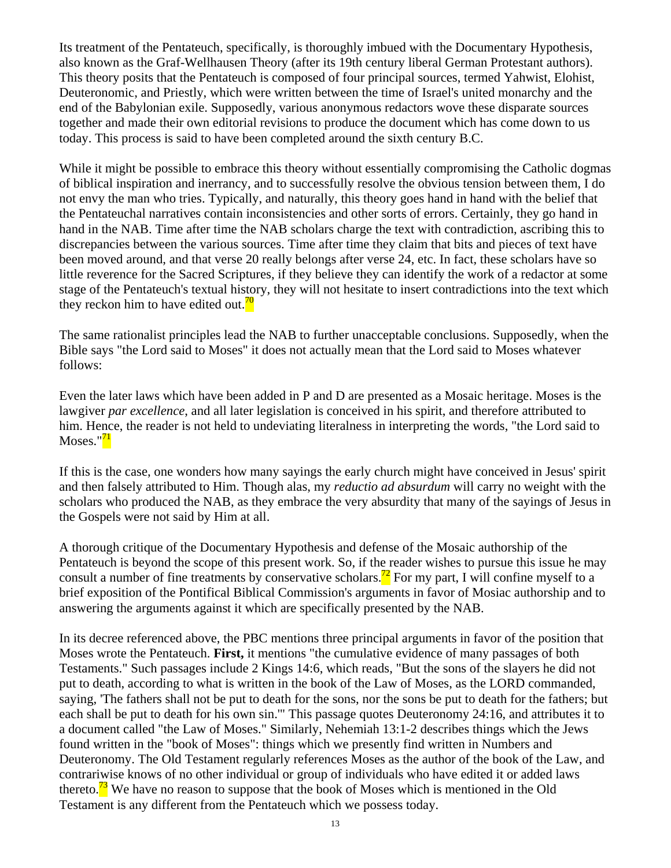Its treatment of the Pentateuch, specifically, is thoroughly imbued with the Documentary Hypothesis, also known as the Graf-Wellhausen Theory (after its 19th century liberal German Protestant authors). This theory posits that the Pentateuch is composed of four principal sources, termed Yahwist, Elohist, Deuteronomic, and Priestly, which were written between the time of Israel's united monarchy and the end of the Babylonian exile. Supposedly, various anonymous redactors wove these disparate sources together and made their own editorial revisions to produce the document which has come down to us today. This process is said to have been completed around the sixth century B.C.

While it might be possible to embrace this theory without essentially compromising the Catholic dogmas of biblical inspiration and inerrancy, and to successfully resolve the obvious tension between them, I do not envy the man who tries. Typically, and naturally, this theory goes hand in hand with the belief that the Pentateuchal narratives contain inconsistencies and other sorts of errors. Certainly, they go hand in hand in the NAB. Time after time the NAB scholars charge the text with contradiction, ascribing this to discrepancies between the various sources. Time after time they claim that bits and pieces of text have been moved around, and that verse 20 really belongs after verse 24, etc. In fact, these scholars have so little reverence for the Sacred Scriptures, if they believe they can identify the work of a redactor at some stage of the Pentateuch's textual history, they will not hesitate to insert contradictions into the text which they reckon him to have edited out.<sup>70</sup>

The same rationalist principles lead the NAB to further unacceptable conclusions. Supposedly, when the Bible says "the Lord said to Moses" it does not actually mean that the Lord said to Moses whatever follows:

Even the later laws which have been added in P and D are presented as a Mosaic heritage. Moses is the lawgiver *par excellence*, and all later legislation is conceived in his spirit, and therefore attributed to him. Hence, the reader is not held to undeviating literalness in interpreting the words, "the Lord said to Moses." $7<sup>1</sup>$ 

If this is the case, one wonders how many sayings the early church might have conceived in Jesus' spirit and then falsely attributed to Him. Though alas, my *reductio ad absurdum* will carry no weight with the scholars who produced the NAB, as they embrace the very absurdity that many of the sayings of Jesus in the Gospels were not said by Him at all.

A thorough critique of the Documentary Hypothesis and defense of the Mosaic authorship of the Pentateuch is beyond the scope of this present work. So, if the reader wishes to pursue this issue he may consult a number of fine treatments by conservative scholars.<sup>72</sup> For my part, I will confine myself to a brief exposition of the Pontifical Biblical Commission's arguments in favor of Mosiac authorship and to answering the arguments against it which are specifically presented by the NAB.

In its decree referenced above, the PBC mentions three principal arguments in favor of the position that Moses wrote the Pentateuch. **First,** it mentions "the cumulative evidence of many passages of both Testaments." Such passages include 2 Kings 14:6, which reads, "But the sons of the slayers he did not put to death, according to what is written in the book of the Law of Moses, as the LORD commanded, saying, 'The fathers shall not be put to death for the sons, nor the sons be put to death for the fathers; but each shall be put to death for his own sin.'" This passage quotes Deuteronomy 24:16, and attributes it to a document called "the Law of Moses." Similarly, Nehemiah 13:1-2 describes things which the Jews found written in the "book of Moses": things which we presently find written in Numbers and Deuteronomy. The Old Testament regularly references Moses as the author of the book of the Law, and contrariwise knows of no other individual or group of individuals who have edited it or added laws thereto.<sup>73</sup> We have no reason to suppose that the book of Moses which is mentioned in the Old Testament is any different from the Pentateuch which we possess today.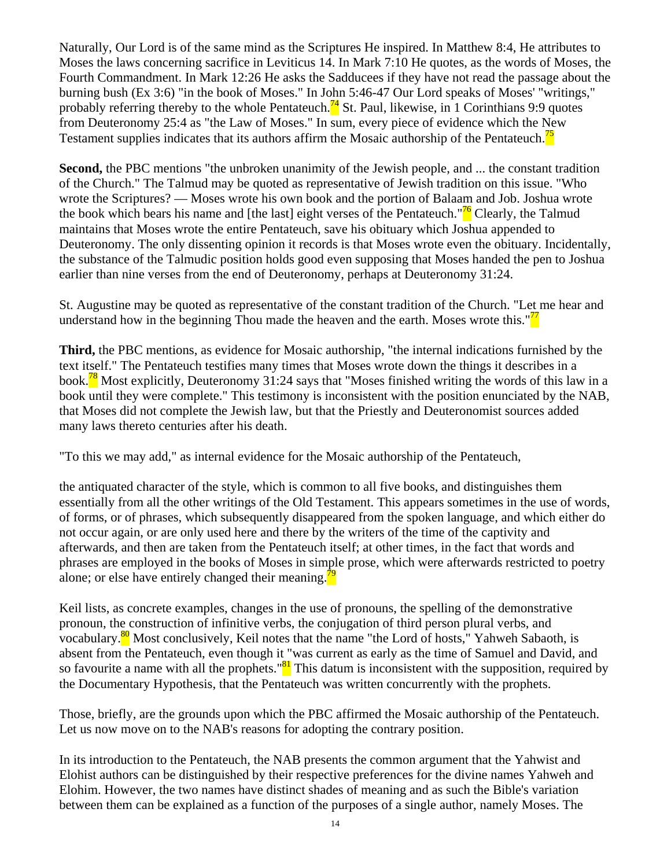Naturally, Our Lord is of the same mind as the Scriptures He inspired. In Matthew 8:4, He attributes to Moses the laws concerning sacrifice in Leviticus 14. In Mark 7:10 He quotes, as the words of Moses, the Fourth Commandment. In Mark 12:26 He asks the Sadducees if they have not read the passage about the burning bush (Ex 3:6) "in the book of Moses." In John 5:46-47 Our Lord speaks of Moses' "writings," probably referring thereby to the whole Pentateuch.<sup> $74$ </sup> St. Paul, likewise, in 1 Corinthians 9:9 quotes from Deuteronomy 25:4 as "the Law of Moses." In sum, every piece of evidence which the New Testament supplies indicates that its authors affirm the Mosaic authorship of the Pentateuch.<sup>15</sup>

**Second,** the PBC mentions "the unbroken unanimity of the Jewish people, and ... the constant tradition of the Church." The Talmud may be quoted as representative of Jewish tradition on this issue. "Who wrote the Scriptures? — Moses wrote his own book and the portion of Balaam and Job. Joshua wrote the book which bears his name and [the last] eight verses of the Pentateuch."<sup>76</sup> Clearly, the Talmud maintains that Moses wrote the entire Pentateuch, save his obituary which Joshua appended to Deuteronomy. The only dissenting opinion it records is that Moses wrote even the obituary. Incidentally, the substance of the Talmudic position holds good even supposing that Moses handed the pen to Joshua earlier than nine verses from the end of Deuteronomy, perhaps at Deuteronomy 31:24.

St. Augustine may be quoted as representative of the constant tradition of the Church. "Let me hear and understand how in the beginning Thou made the heaven and the earth. Moses wrote this." $\frac{77}{10}$ 

**Third,** the PBC mentions, as evidence for Mosaic authorship, "the internal indications furnished by the text itself." The Pentateuch testifies many times that Moses wrote down the things it describes in a book.78 Most explicitly, Deuteronomy 31:24 says that "Moses finished writing the words of this law in a book until they were complete." This testimony is inconsistent with the position enunciated by the NAB, that Moses did not complete the Jewish law, but that the Priestly and Deuteronomist sources added many laws thereto centuries after his death.

"To this we may add," as internal evidence for the Mosaic authorship of the Pentateuch,

the antiquated character of the style, which is common to all five books, and distinguishes them essentially from all the other writings of the Old Testament. This appears sometimes in the use of words, of forms, or of phrases, which subsequently disappeared from the spoken language, and which either do not occur again, or are only used here and there by the writers of the time of the captivity and afterwards, and then are taken from the Pentateuch itself; at other times, in the fact that words and phrases are employed in the books of Moses in simple prose, which were afterwards restricted to poetry alone; or else have entirely changed their meaning. $\frac{79}{6}$ 

Keil lists, as concrete examples, changes in the use of pronouns, the spelling of the demonstrative pronoun, the construction of infinitive verbs, the conjugation of third person plural verbs, and vocabulary.<sup>80</sup> Most conclusively, Keil notes that the name "the Lord of hosts," Yahweh Sabaoth, is absent from the Pentateuch, even though it "was current as early as the time of Samuel and David, and so favourite a name with all the prophets." $81$ <sup>81</sup> This datum is inconsistent with the supposition, required by the Documentary Hypothesis, that the Pentateuch was written concurrently with the prophets.

Those, briefly, are the grounds upon which the PBC affirmed the Mosaic authorship of the Pentateuch. Let us now move on to the NAB's reasons for adopting the contrary position.

In its introduction to the Pentateuch, the NAB presents the common argument that the Yahwist and Elohist authors can be distinguished by their respective preferences for the divine names Yahweh and Elohim. However, the two names have distinct shades of meaning and as such the Bible's variation between them can be explained as a function of the purposes of a single author, namely Moses. The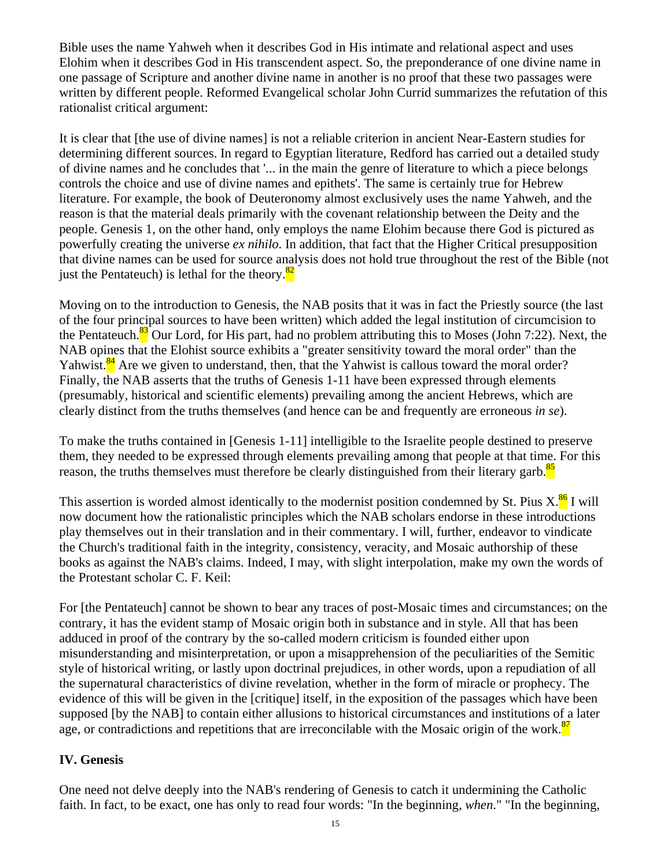Bible uses the name Yahweh when it describes God in His intimate and relational aspect and uses Elohim when it describes God in His transcendent aspect. So, the preponderance of one divine name in one passage of Scripture and another divine name in another is no proof that these two passages were written by different people. Reformed Evangelical scholar John Currid summarizes the refutation of this rationalist critical argument:

It is clear that [the use of divine names] is not a reliable criterion in ancient Near-Eastern studies for determining different sources. In regard to Egyptian literature, Redford has carried out a detailed study of divine names and he concludes that '... in the main the genre of literature to which a piece belongs controls the choice and use of divine names and epithets'. The same is certainly true for Hebrew literature. For example, the book of Deuteronomy almost exclusively uses the name Yahweh, and the reason is that the material deals primarily with the covenant relationship between the Deity and the people. Genesis 1, on the other hand, only employs the name Elohim because there God is pictured as powerfully creating the universe *ex nihilo*. In addition, that fact that the Higher Critical presupposition that divine names can be used for source analysis does not hold true throughout the rest of the Bible (not just the Pentateuch) is lethal for the theory. $\frac{82}{2}$ 

Moving on to the introduction to Genesis, the NAB posits that it was in fact the Priestly source (the last of the four principal sources to have been written) which added the legal institution of circumcision to the Pentateuch.<sup>83</sup> Our Lord, for His part, had no problem attributing this to Moses (John 7:22). Next, the NAB opines that the Elohist source exhibits a "greater sensitivity toward the moral order" than the Yahwist.<sup>84</sup> Are we given to understand, then, that the Yahwist is callous toward the moral order? Finally, the NAB asserts that the truths of Genesis 1-11 have been expressed through elements (presumably, historical and scientific elements) prevailing among the ancient Hebrews, which are clearly distinct from the truths themselves (and hence can be and frequently are erroneous *in se*).

To make the truths contained in [Genesis 1-11] intelligible to the Israelite people destined to preserve them, they needed to be expressed through elements prevailing among that people at that time. For this reason, the truths themselves must therefore be clearly distinguished from their literary garb.<sup>85</sup>

This assertion is worded almost identically to the modernist position condemned by St. Pius  $X$ .<sup>86</sup> I will now document how the rationalistic principles which the NAB scholars endorse in these introductions play themselves out in their translation and in their commentary. I will, further, endeavor to vindicate the Church's traditional faith in the integrity, consistency, veracity, and Mosaic authorship of these books as against the NAB's claims. Indeed, I may, with slight interpolation, make my own the words of the Protestant scholar C. F. Keil:

For [the Pentateuch] cannot be shown to bear any traces of post-Mosaic times and circumstances; on the contrary, it has the evident stamp of Mosaic origin both in substance and in style. All that has been adduced in proof of the contrary by the so-called modern criticism is founded either upon misunderstanding and misinterpretation, or upon a misapprehension of the peculiarities of the Semitic style of historical writing, or lastly upon doctrinal prejudices, in other words, upon a repudiation of all the supernatural characteristics of divine revelation, whether in the form of miracle or prophecy. The evidence of this will be given in the [critique] itself, in the exposition of the passages which have been supposed [by the NAB] to contain either allusions to historical circumstances and institutions of a later age, or contradictions and repetitions that are irreconcilable with the Mosaic origin of the work.<sup>87</sup>

# **IV. Genesis**

One need not delve deeply into the NAB's rendering of Genesis to catch it undermining the Catholic faith. In fact, to be exact, one has only to read four words: "In the beginning, *when*." "In the beginning,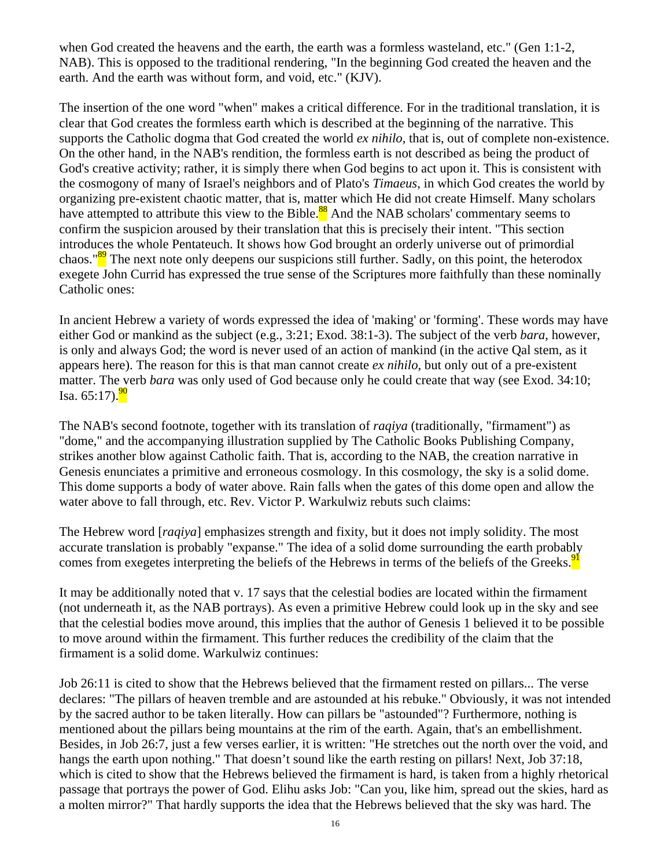when God created the heavens and the earth, the earth was a formless wasteland, etc." (Gen 1:1-2, NAB). This is opposed to the traditional rendering, "In the beginning God created the heaven and the earth. And the earth was without form, and void, etc." (KJV).

The insertion of the one word "when" makes a critical difference. For in the traditional translation, it is clear that God creates the formless earth which is described at the beginning of the narrative. This supports the Catholic dogma that God created the world *ex nihilo*, that is, out of complete non-existence. On the other hand, in the NAB's rendition, the formless earth is not described as being the product of God's creative activity; rather, it is simply there when God begins to act upon it. This is consistent with the cosmogony of many of Israel's neighbors and of Plato's *Timaeus*, in which God creates the world by organizing pre-existent chaotic matter, that is, matter which He did not create Himself. Many scholars have attempted to attribute this view to the Bible.<sup>88</sup> And the NAB scholars' commentary seems to confirm the suspicion aroused by their translation that this is precisely their intent. "This section introduces the whole Pentateuch. It shows how God brought an orderly universe out of primordial chaos."<sup>89</sup> The next note only deepens our suspicions still further. Sadly, on this point, the heterodox exegete John Currid has expressed the true sense of the Scriptures more faithfully than these nominally Catholic ones:

In ancient Hebrew a variety of words expressed the idea of 'making' or 'forming'. These words may have either God or mankind as the subject (e.g., 3:21; Exod. 38:1-3). The subject of the verb *bara*, however, is only and always God; the word is never used of an action of mankind (in the active Qal stem, as it appears here). The reason for this is that man cannot create *ex nihilo*, but only out of a pre-existent matter. The verb *bara* was only used of God because only he could create that way (see Exod. 34:10; Isa.  $65:17$ ). $^{90}$ 

The NAB's second footnote, together with its translation of *raqiya* (traditionally, "firmament") as "dome," and the accompanying illustration supplied by The Catholic Books Publishing Company, strikes another blow against Catholic faith. That is, according to the NAB, the creation narrative in Genesis enunciates a primitive and erroneous cosmology. In this cosmology, the sky is a solid dome. This dome supports a body of water above. Rain falls when the gates of this dome open and allow the water above to fall through, etc. Rev. Victor P. Warkulwiz rebuts such claims:

The Hebrew word [*raqiya*] emphasizes strength and fixity, but it does not imply solidity. The most accurate translation is probably "expanse." The idea of a solid dome surrounding the earth probably comes from exegetes interpreting the beliefs of the Hebrews in terms of the beliefs of the Greeks.<sup>91</sup>

It may be additionally noted that v. 17 says that the celestial bodies are located within the firmament (not underneath it, as the NAB portrays). As even a primitive Hebrew could look up in the sky and see that the celestial bodies move around, this implies that the author of Genesis 1 believed it to be possible to move around within the firmament. This further reduces the credibility of the claim that the firmament is a solid dome. Warkulwiz continues:

Job 26:11 is cited to show that the Hebrews believed that the firmament rested on pillars... The verse declares: "The pillars of heaven tremble and are astounded at his rebuke." Obviously, it was not intended by the sacred author to be taken literally. How can pillars be "astounded"? Furthermore, nothing is mentioned about the pillars being mountains at the rim of the earth. Again, that's an embellishment. Besides, in Job 26:7, just a few verses earlier, it is written: "He stretches out the north over the void, and hangs the earth upon nothing." That doesn't sound like the earth resting on pillars! Next, Job 37:18, which is cited to show that the Hebrews believed the firmament is hard, is taken from a highly rhetorical passage that portrays the power of God. Elihu asks Job: "Can you, like him, spread out the skies, hard as a molten mirror?" That hardly supports the idea that the Hebrews believed that the sky was hard. The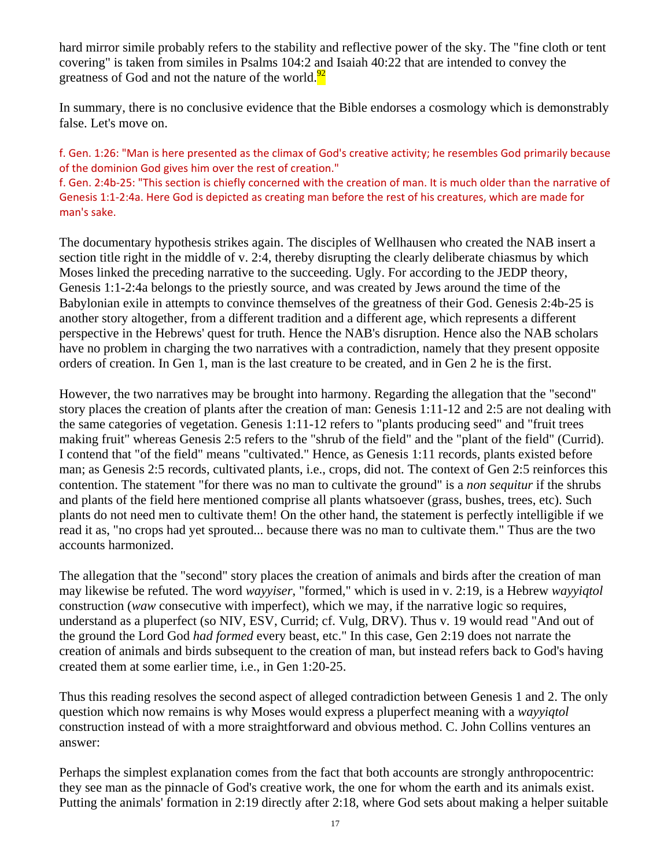hard mirror simile probably refers to the stability and reflective power of the sky. The "fine cloth or tent covering" is taken from similes in Psalms 104:2 and Isaiah 40:22 that are intended to convey the greatness of God and not the nature of the world. $^{92}$ 

In summary, there is no conclusive evidence that the Bible endorses a cosmology which is demonstrably false. Let's move on.

f. Gen. 1:26: "Man is here presented as the climax of God's creative activity; he resembles God primarily because of the dominion God gives him over the rest of creation."

f. Gen. 2:4b‐25: "This section is chiefly concerned with the creation of man. It is much older than the narrative of Genesis 1:1‐2:4a. Here God is depicted as creating man before the rest of his creatures, which are made for man's sake.

The documentary hypothesis strikes again. The disciples of Wellhausen who created the NAB insert a section title right in the middle of v. 2:4, thereby disrupting the clearly deliberate chiasmus by which Moses linked the preceding narrative to the succeeding. Ugly. For according to the JEDP theory, Genesis 1:1-2:4a belongs to the priestly source, and was created by Jews around the time of the Babylonian exile in attempts to convince themselves of the greatness of their God. Genesis 2:4b-25 is another story altogether, from a different tradition and a different age, which represents a different perspective in the Hebrews' quest for truth. Hence the NAB's disruption. Hence also the NAB scholars have no problem in charging the two narratives with a contradiction, namely that they present opposite orders of creation. In Gen 1, man is the last creature to be created, and in Gen 2 he is the first.

However, the two narratives may be brought into harmony. Regarding the allegation that the "second" story places the creation of plants after the creation of man: Genesis 1:11-12 and 2:5 are not dealing with the same categories of vegetation. Genesis 1:11-12 refers to "plants producing seed" and "fruit trees making fruit" whereas Genesis 2:5 refers to the "shrub of the field" and the "plant of the field" (Currid). I contend that "of the field" means "cultivated." Hence, as Genesis 1:11 records, plants existed before man; as Genesis 2:5 records, cultivated plants, i.e., crops, did not. The context of Gen 2:5 reinforces this contention. The statement "for there was no man to cultivate the ground" is a *non sequitur* if the shrubs and plants of the field here mentioned comprise all plants whatsoever (grass, bushes, trees, etc). Such plants do not need men to cultivate them! On the other hand, the statement is perfectly intelligible if we read it as, "no crops had yet sprouted... because there was no man to cultivate them." Thus are the two accounts harmonized.

The allegation that the "second" story places the creation of animals and birds after the creation of man may likewise be refuted. The word *wayyiser*, "formed," which is used in v. 2:19, is a Hebrew *wayyiqtol* construction (*waw* consecutive with imperfect), which we may, if the narrative logic so requires, understand as a pluperfect (so NIV, ESV, Currid; cf. Vulg, DRV). Thus v. 19 would read "And out of the ground the Lord God *had formed* every beast, etc." In this case, Gen 2:19 does not narrate the creation of animals and birds subsequent to the creation of man, but instead refers back to God's having created them at some earlier time, i.e., in Gen 1:20-25.

Thus this reading resolves the second aspect of alleged contradiction between Genesis 1 and 2. The only question which now remains is why Moses would express a pluperfect meaning with a *wayyiqtol* construction instead of with a more straightforward and obvious method. C. John Collins ventures an answer:

Perhaps the simplest explanation comes from the fact that both accounts are strongly anthropocentric: they see man as the pinnacle of God's creative work, the one for whom the earth and its animals exist. Putting the animals' formation in 2:19 directly after 2:18, where God sets about making a helper suitable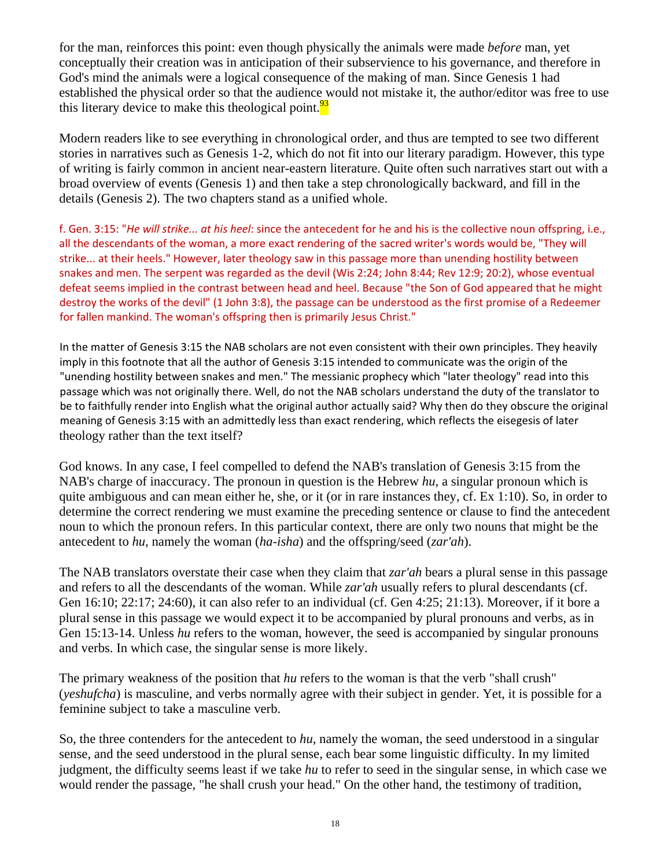for the man, reinforces this point: even though physically the animals were made *before* man, yet conceptually their creation was in anticipation of their subservience to his governance, and therefore in God's mind the animals were a logical consequence of the making of man. Since Genesis 1 had established the physical order so that the audience would not mistake it, the author/editor was free to use this literary device to make this theological point. $\frac{93}{2}$ 

Modern readers like to see everything in chronological order, and thus are tempted to see two different stories in narratives such as Genesis 1-2, which do not fit into our literary paradigm. However, this type of writing is fairly common in ancient near-eastern literature. Quite often such narratives start out with a broad overview of events (Genesis 1) and then take a step chronologically backward, and fill in the details (Genesis 2). The two chapters stand as a unified whole.

f. Gen. 3:15: "*He will strike... at his heel*: since the antecedent for he and his is the collective noun offspring, i.e., all the descendants of the woman, a more exact rendering of the sacred writer's words would be, "They will strike... at their heels." However, later theology saw in this passage more than unending hostility between snakes and men. The serpent was regarded as the devil (Wis 2:24; John 8:44; Rev 12:9; 20:2), whose eventual defeat seems implied in the contrast between head and heel. Because "the Son of God appeared that he might destroy the works of the devil" (1 John 3:8), the passage can be understood as the first promise of a Redeemer for fallen mankind. The woman's offspring then is primarily Jesus Christ."

In the matter of Genesis 3:15 the NAB scholars are not even consistent with their own principles. They heavily imply in this footnote that all the author of Genesis 3:15 intended to communicate was the origin of the "unending hostility between snakes and men." The messianic prophecy which "later theology" read into this passage which was not originally there. Well, do not the NAB scholars understand the duty of the translator to be to faithfully render into English what the original author actually said? Why then do they obscure the original meaning of Genesis 3:15 with an admittedly less than exact rendering, which reflects the eisegesis of later theology rather than the text itself?

God knows. In any case, I feel compelled to defend the NAB's translation of Genesis 3:15 from the NAB's charge of inaccuracy. The pronoun in question is the Hebrew *hu*, a singular pronoun which is quite ambiguous and can mean either he, she, or it (or in rare instances they, cf. Ex 1:10). So, in order to determine the correct rendering we must examine the preceding sentence or clause to find the antecedent noun to which the pronoun refers. In this particular context, there are only two nouns that might be the antecedent to *hu*, namely the woman (*ha-isha*) and the offspring/seed (*zar'ah*).

The NAB translators overstate their case when they claim that *zar'ah* bears a plural sense in this passage and refers to all the descendants of the woman. While *zar'ah* usually refers to plural descendants (cf. Gen 16:10; 22:17; 24:60), it can also refer to an individual (cf. Gen 4:25; 21:13). Moreover, if it bore a plural sense in this passage we would expect it to be accompanied by plural pronouns and verbs, as in Gen 15:13-14. Unless *hu* refers to the woman, however, the seed is accompanied by singular pronouns and verbs. In which case, the singular sense is more likely.

The primary weakness of the position that *hu* refers to the woman is that the verb "shall crush" (*yeshufcha*) is masculine, and verbs normally agree with their subject in gender. Yet, it is possible for a feminine subject to take a masculine verb.

So, the three contenders for the antecedent to *hu*, namely the woman, the seed understood in a singular sense, and the seed understood in the plural sense, each bear some linguistic difficulty. In my limited judgment, the difficulty seems least if we take *hu* to refer to seed in the singular sense, in which case we would render the passage, "he shall crush your head." On the other hand, the testimony of tradition,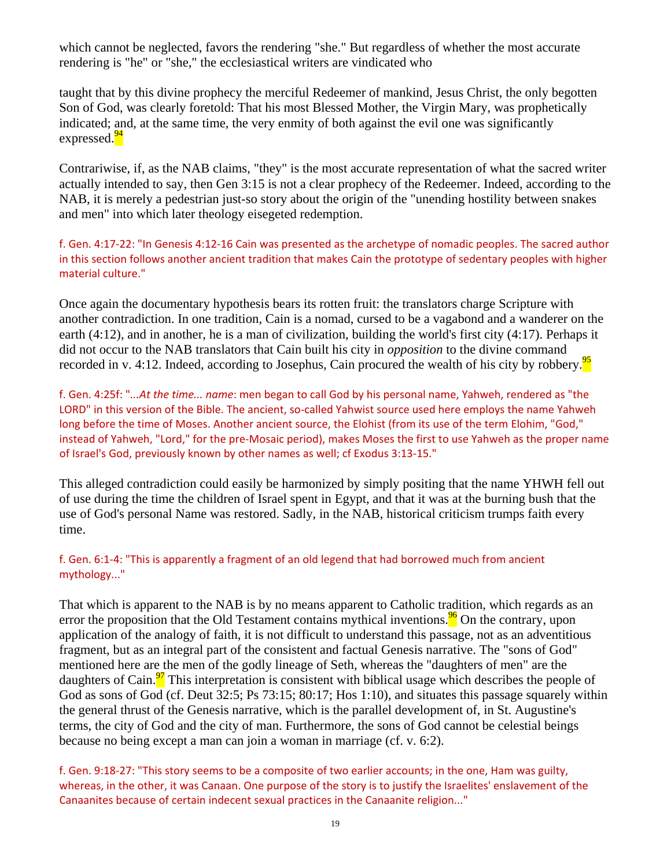which cannot be neglected, favors the rendering "she." But regardless of whether the most accurate rendering is "he" or "she," the ecclesiastical writers are vindicated who

taught that by this divine prophecy the merciful Redeemer of mankind, Jesus Christ, the only begotten Son of God, was clearly foretold: That his most Blessed Mother, the Virgin Mary, was prophetically indicated; and, at the same time, the very enmity of both against the evil one was significantly expressed.<sup>94</sup>

Contrariwise, if, as the NAB claims, "they" is the most accurate representation of what the sacred writer actually intended to say, then Gen 3:15 is not a clear prophecy of the Redeemer. Indeed, according to the NAB, it is merely a pedestrian just-so story about the origin of the "unending hostility between snakes and men" into which later theology eisegeted redemption.

f. Gen. 4:17‐22: "In Genesis 4:12‐16 Cain was presented as the archetype of nomadic peoples. The sacred author in this section follows another ancient tradition that makes Cain the prototype of sedentary peoples with higher material culture."

Once again the documentary hypothesis bears its rotten fruit: the translators charge Scripture with another contradiction. In one tradition, Cain is a nomad, cursed to be a vagabond and a wanderer on the earth (4:12), and in another, he is a man of civilization, building the world's first city (4:17). Perhaps it did not occur to the NAB translators that Cain built his city in *opposition* to the divine command recorded in v. 4:12. Indeed, according to Josephus, Cain procured the wealth of his city by robbery.<sup>95</sup>

f. Gen. 4:25f: "*...At the time... name*: men began to call God by his personal name, Yahweh, rendered as "the LORD" in this version of the Bible. The ancient, so-called Yahwist source used here employs the name Yahweh long before the time of Moses. Another ancient source, the Elohist (from its use of the term Elohim, "God," instead of Yahweh, "Lord," for the pre‐Mosaic period), makes Moses the first to use Yahweh as the proper name of Israel's God, previously known by other names as well; cf Exodus 3:13‐15."

This alleged contradiction could easily be harmonized by simply positing that the name YHWH fell out of use during the time the children of Israel spent in Egypt, and that it was at the burning bush that the use of God's personal Name was restored. Sadly, in the NAB, historical criticism trumps faith every time.

#### f. Gen. 6:1‐4: "This is apparently a fragment of an old legend that had borrowed much from ancient mythology..."

That which is apparent to the NAB is by no means apparent to Catholic tradition, which regards as an error the proposition that the Old Testament contains mythical inventions. $\frac{96}{6}$  On the contrary, upon application of the analogy of faith, it is not difficult to understand this passage, not as an adventitious fragment, but as an integral part of the consistent and factual Genesis narrative. The "sons of God" mentioned here are the men of the godly lineage of Seth, whereas the "daughters of men" are the daughters of Cain. $\frac{97}{1}$  This interpretation is consistent with biblical usage which describes the people of God as sons of God (cf. Deut 32:5; Ps 73:15; 80:17; Hos 1:10), and situates this passage squarely within the general thrust of the Genesis narrative, which is the parallel development of, in St. Augustine's terms, the city of God and the city of man. Furthermore, the sons of God cannot be celestial beings because no being except a man can join a woman in marriage (cf. v. 6:2).

f. Gen. 9:18‐27: "This story seems to be a composite of two earlier accounts; in the one, Ham was guilty, whereas, in the other, it was Canaan. One purpose of the story is to justify the Israelites' enslavement of the Canaanites because of certain indecent sexual practices in the Canaanite religion..."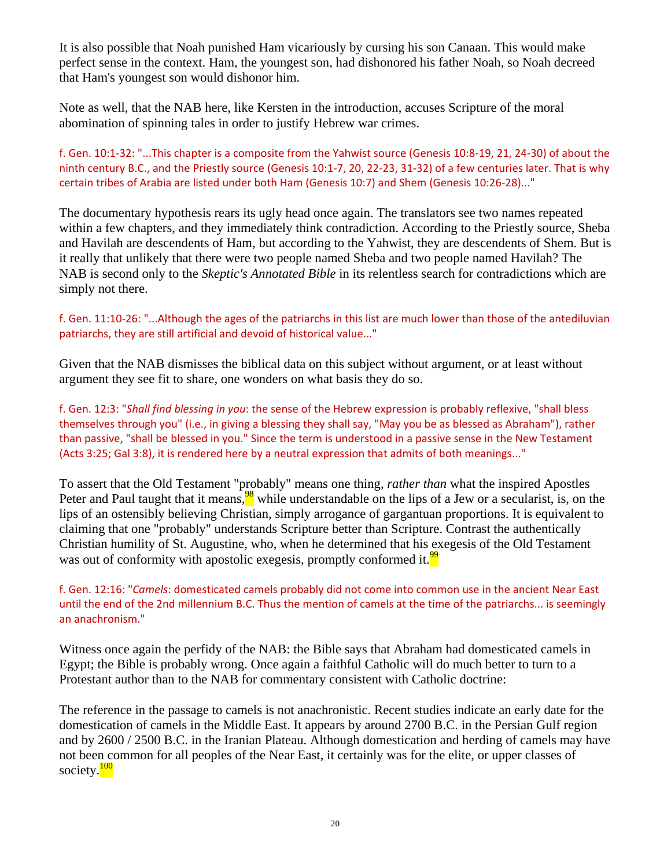It is also possible that Noah punished Ham vicariously by cursing his son Canaan. This would make perfect sense in the context. Ham, the youngest son, had dishonored his father Noah, so Noah decreed that Ham's youngest son would dishonor him.

Note as well, that the NAB here, like Kersten in the introduction, accuses Scripture of the moral abomination of spinning tales in order to justify Hebrew war crimes.

f. Gen. 10:1‐32: "...This chapter is a composite from the Yahwist source (Genesis 10:8‐19, 21, 24‐30) of about the ninth century B.C., and the Priestly source (Genesis 10:1‐7, 20, 22‐23, 31‐32) of a few centuries later. That is why certain tribes of Arabia are listed under both Ham (Genesis 10:7) and Shem (Genesis 10:26‐28)..."

The documentary hypothesis rears its ugly head once again. The translators see two names repeated within a few chapters, and they immediately think contradiction. According to the Priestly source, Sheba and Havilah are descendents of Ham, but according to the Yahwist, they are descendents of Shem. But is it really that unlikely that there were two people named Sheba and two people named Havilah? The NAB is second only to the *Skeptic's Annotated Bible* in its relentless search for contradictions which are simply not there.

#### f. Gen. 11:10‐26: "...Although the ages of the patriarchs in this list are much lower than those of the antediluvian patriarchs, they are still artificial and devoid of historical value..."

Given that the NAB dismisses the biblical data on this subject without argument, or at least without argument they see fit to share, one wonders on what basis they do so.

f. Gen. 12:3: "*Shall find blessing in you*: the sense of the Hebrew expression is probably reflexive, "shall bless themselves through you" (i.e., in giving a blessing they shall say, "May you be as blessed as Abraham"), rather than passive, "shall be blessed in you." Since the term is understood in a passive sense in the New Testament (Acts 3:25; Gal 3:8), it is rendered here by a neutral expression that admits of both meanings..."

To assert that the Old Testament "probably" means one thing, *rather than* what the inspired Apostles Peter and Paul taught that it means, $\frac{98}{10}$  while understandable on the lips of a Jew or a secularist, is, on the lips of an ostensibly believing Christian, simply arrogance of gargantuan proportions. It is equivalent to claiming that one "probably" understands Scripture better than Scripture. Contrast the authentically Christian humility of St. Augustine, who, when he determined that his exegesis of the Old Testament was out of conformity with apostolic exegesis, promptly conformed it.<sup>99</sup>

f. Gen. 12:16: "*Camels*: domesticated camels probably did not come into common use in the ancient Near East until the end of the 2nd millennium B.C. Thus the mention of camels at the time of the patriarchs... is seemingly an anachronism."

Witness once again the perfidy of the NAB: the Bible says that Abraham had domesticated camels in Egypt; the Bible is probably wrong. Once again a faithful Catholic will do much better to turn to a Protestant author than to the NAB for commentary consistent with Catholic doctrine:

The reference in the passage to camels is not anachronistic. Recent studies indicate an early date for the domestication of camels in the Middle East. It appears by around 2700 B.C. in the Persian Gulf region and by 2600 / 2500 B.C. in the Iranian Plateau. Although domestication and herding of camels may have not been common for all peoples of the Near East, it certainly was for the elite, or upper classes of society.<sup>100</sup>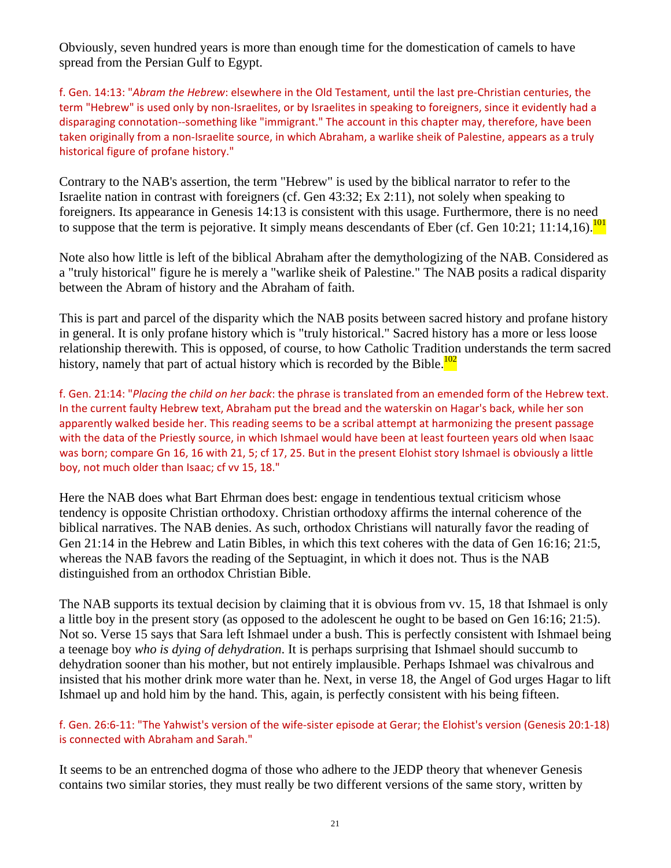Obviously, seven hundred years is more than enough time for the domestication of camels to have spread from the Persian Gulf to Egypt.

f. Gen. 14:13: "*Abram the Hebrew*: elsewhere in the Old Testament, until the last pre‐Christian centuries, the term "Hebrew" is used only by non-Israelites, or by Israelites in speaking to foreigners, since it evidently had a disparaging connotation--something like "immigrant." The account in this chapter may, therefore, have been taken originally from a non‐Israelite source, in which Abraham, a warlike sheik of Palestine, appears as a truly historical figure of profane history."

Contrary to the NAB's assertion, the term "Hebrew" is used by the biblical narrator to refer to the Israelite nation in contrast with foreigners (cf. Gen 43:32; Ex 2:11), not solely when speaking to foreigners. Its appearance in Genesis 14:13 is consistent with this usage. Furthermore, there is no need to suppose that the term is pejorative. It simply means descendants of Eber (cf. Gen  $10:21$ ; 11:14,16).<sup>101</sup>

Note also how little is left of the biblical Abraham after the demythologizing of the NAB. Considered as a "truly historical" figure he is merely a "warlike sheik of Palestine." The NAB posits a radical disparity between the Abram of history and the Abraham of faith.

This is part and parcel of the disparity which the NAB posits between sacred history and profane history in general. It is only profane history which is "truly historical." Sacred history has a more or less loose relationship therewith. This is opposed, of course, to how Catholic Tradition understands the term sacred history, namely that part of actual history which is recorded by the Bible.<sup>102</sup>

f. Gen. 21:14: "*Placing the child on her back*: the phrase is translated from an emended form of the Hebrew text. In the current faulty Hebrew text, Abraham put the bread and the waterskin on Hagar's back, while her son apparently walked beside her. This reading seems to be a scribal attempt at harmonizing the present passage with the data of the Priestly source, in which Ishmael would have been at least fourteen years old when Isaac was born; compare Gn 16, 16 with 21, 5; cf 17, 25. But in the present Elohist story Ishmael is obviously a little boy, not much older than Isaac; cf vv 15, 18."

Here the NAB does what Bart Ehrman does best: engage in tendentious textual criticism whose tendency is opposite Christian orthodoxy. Christian orthodoxy affirms the internal coherence of the biblical narratives. The NAB denies. As such, orthodox Christians will naturally favor the reading of Gen 21:14 in the Hebrew and Latin Bibles, in which this text coheres with the data of Gen 16:16; 21:5, whereas the NAB favors the reading of the Septuagint, in which it does not. Thus is the NAB distinguished from an orthodox Christian Bible.

The NAB supports its textual decision by claiming that it is obvious from vv. 15, 18 that Ishmael is only a little boy in the present story (as opposed to the adolescent he ought to be based on Gen 16:16; 21:5). Not so. Verse 15 says that Sara left Ishmael under a bush. This is perfectly consistent with Ishmael being a teenage boy *who is dying of dehydration*. It is perhaps surprising that Ishmael should succumb to dehydration sooner than his mother, but not entirely implausible. Perhaps Ishmael was chivalrous and insisted that his mother drink more water than he. Next, in verse 18, the Angel of God urges Hagar to lift Ishmael up and hold him by the hand. This, again, is perfectly consistent with his being fifteen.

f. Gen. 26:6‐11: "The Yahwist's version of the wife‐sister episode at Gerar; the Elohist's version (Genesis 20:1‐18) is connected with Abraham and Sarah."

It seems to be an entrenched dogma of those who adhere to the JEDP theory that whenever Genesis contains two similar stories, they must really be two different versions of the same story, written by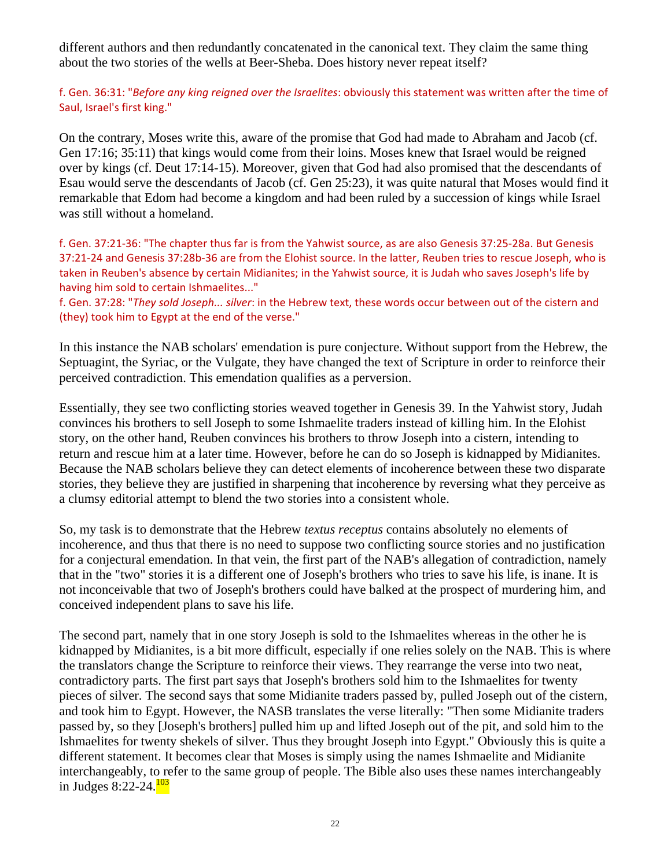different authors and then redundantly concatenated in the canonical text. They claim the same thing about the two stories of the wells at Beer-Sheba. Does history never repeat itself?

f. Gen. 36:31: "*Before any king reigned over the Israelites*: obviously this statement was written after the time of Saul, Israel's first king."

On the contrary, Moses write this, aware of the promise that God had made to Abraham and Jacob (cf. Gen 17:16; 35:11) that kings would come from their loins. Moses knew that Israel would be reigned over by kings (cf. Deut 17:14-15). Moreover, given that God had also promised that the descendants of Esau would serve the descendants of Jacob (cf. Gen 25:23), it was quite natural that Moses would find it remarkable that Edom had become a kingdom and had been ruled by a succession of kings while Israel was still without a homeland.

f. Gen. 37:21‐36: "The chapter thus far is from the Yahwist source, as are also Genesis 37:25‐28a. But Genesis 37:21‐24 and Genesis 37:28b‐36 are from the Elohist source. In the latter, Reuben tries to rescue Joseph, who is taken in Reuben's absence by certain Midianites; in the Yahwist source, it is Judah who saves Joseph's life by having him sold to certain Ishmaelites..."

f. Gen. 37:28: "*They sold Joseph... silver*: in the Hebrew text, these words occur between out of the cistern and (they) took him to Egypt at the end of the verse."

In this instance the NAB scholars' emendation is pure conjecture. Without support from the Hebrew, the Septuagint, the Syriac, or the Vulgate, they have changed the text of Scripture in order to reinforce their perceived contradiction. This emendation qualifies as a perversion.

Essentially, they see two conflicting stories weaved together in Genesis 39. In the Yahwist story, Judah convinces his brothers to sell Joseph to some Ishmaelite traders instead of killing him. In the Elohist story, on the other hand, Reuben convinces his brothers to throw Joseph into a cistern, intending to return and rescue him at a later time. However, before he can do so Joseph is kidnapped by Midianites. Because the NAB scholars believe they can detect elements of incoherence between these two disparate stories, they believe they are justified in sharpening that incoherence by reversing what they perceive as a clumsy editorial attempt to blend the two stories into a consistent whole.

So, my task is to demonstrate that the Hebrew *textus receptus* contains absolutely no elements of incoherence, and thus that there is no need to suppose two conflicting source stories and no justification for a conjectural emendation. In that vein, the first part of the NAB's allegation of contradiction, namely that in the "two" stories it is a different one of Joseph's brothers who tries to save his life, is inane. It is not inconceivable that two of Joseph's brothers could have balked at the prospect of murdering him, and conceived independent plans to save his life.

The second part, namely that in one story Joseph is sold to the Ishmaelites whereas in the other he is kidnapped by Midianites, is a bit more difficult, especially if one relies solely on the NAB. This is where the translators change the Scripture to reinforce their views. They rearrange the verse into two neat, contradictory parts. The first part says that Joseph's brothers sold him to the Ishmaelites for twenty pieces of silver. The second says that some Midianite traders passed by, pulled Joseph out of the cistern, and took him to Egypt. However, the NASB translates the verse literally: "Then some Midianite traders passed by, so they [Joseph's brothers] pulled him up and lifted Joseph out of the pit, and sold him to the Ishmaelites for twenty shekels of silver. Thus they brought Joseph into Egypt." Obviously this is quite a different statement. It becomes clear that Moses is simply using the names Ishmaelite and Midianite interchangeably, to refer to the same group of people. The Bible also uses these names interchangeably in Judges 8:22-24. $\frac{103}{103}$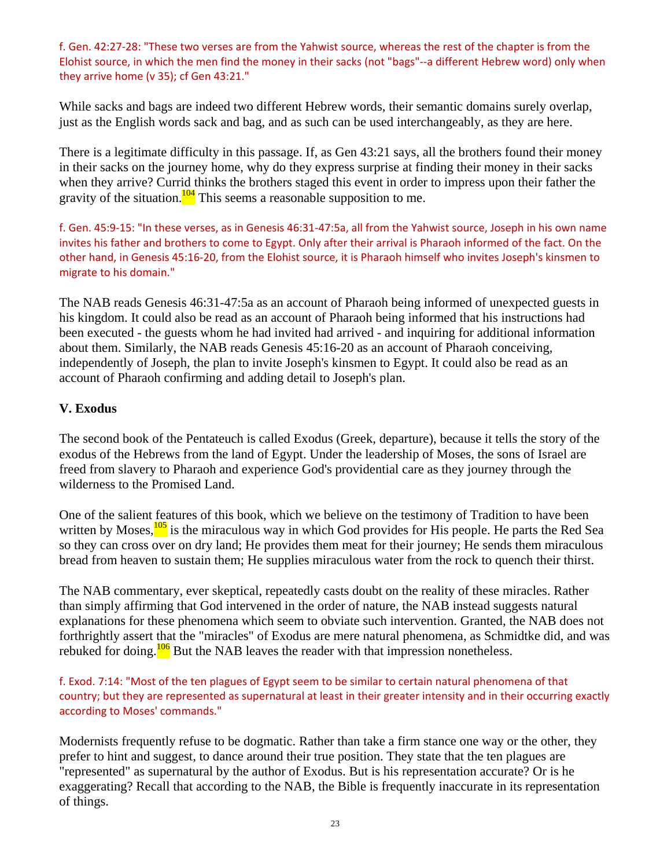f. Gen. 42:27‐28: "These two verses are from the Yahwist source, whereas the rest of the chapter is from the Elohist source, in which the men find the money in their sacks (not "bags"‐‐a different Hebrew word) only when they arrive home (v 35); cf Gen 43:21."

While sacks and bags are indeed two different Hebrew words, their semantic domains surely overlap, just as the English words sack and bag, and as such can be used interchangeably, as they are here.

There is a legitimate difficulty in this passage. If, as Gen 43:21 says, all the brothers found their money in their sacks on the journey home, why do they express surprise at finding their money in their sacks when they arrive? Currid thinks the brothers staged this event in order to impress upon their father the gravity of the situation. $\frac{104}{101}$  This seems a reasonable supposition to me.

f. Gen. 45:9‐15: "In these verses, as in Genesis 46:31‐47:5a, all from the Yahwist source, Joseph in his own name invites his father and brothers to come to Egypt. Only after their arrival is Pharaoh informed of the fact. On the other hand, in Genesis 45:16‐20, from the Elohist source, it is Pharaoh himself who invites Joseph's kinsmen to migrate to his domain."

The NAB reads Genesis 46:31-47:5a as an account of Pharaoh being informed of unexpected guests in his kingdom. It could also be read as an account of Pharaoh being informed that his instructions had been executed - the guests whom he had invited had arrived - and inquiring for additional information about them. Similarly, the NAB reads Genesis 45:16-20 as an account of Pharaoh conceiving, independently of Joseph, the plan to invite Joseph's kinsmen to Egypt. It could also be read as an account of Pharaoh confirming and adding detail to Joseph's plan.

### **V. Exodus**

The second book of the Pentateuch is called Exodus (Greek, departure), because it tells the story of the exodus of the Hebrews from the land of Egypt. Under the leadership of Moses, the sons of Israel are freed from slavery to Pharaoh and experience God's providential care as they journey through the wilderness to the Promised Land.

One of the salient features of this book, which we believe on the testimony of Tradition to have been written by Moses, $\frac{105}{105}$  is the miraculous way in which God provides for His people. He parts the Red Sea so they can cross over on dry land; He provides them meat for their journey; He sends them miraculous bread from heaven to sustain them; He supplies miraculous water from the rock to quench their thirst.

The NAB commentary, ever skeptical, repeatedly casts doubt on the reality of these miracles. Rather than simply affirming that God intervened in the order of nature, the NAB instead suggests natural explanations for these phenomena which seem to obviate such intervention. Granted, the NAB does not forthrightly assert that the "miracles" of Exodus are mere natural phenomena, as Schmidtke did, and was rebuked for doing.<sup>106</sup> But the NAB leaves the reader with that impression nonetheless.

f. Exod. 7:14: "Most of the ten plagues of Egypt seem to be similar to certain natural phenomena of that country; but they are represented as supernatural at least in their greater intensity and in their occurring exactly according to Moses' commands."

Modernists frequently refuse to be dogmatic. Rather than take a firm stance one way or the other, they prefer to hint and suggest, to dance around their true position. They state that the ten plagues are "represented" as supernatural by the author of Exodus. But is his representation accurate? Or is he exaggerating? Recall that according to the NAB, the Bible is frequently inaccurate in its representation of things.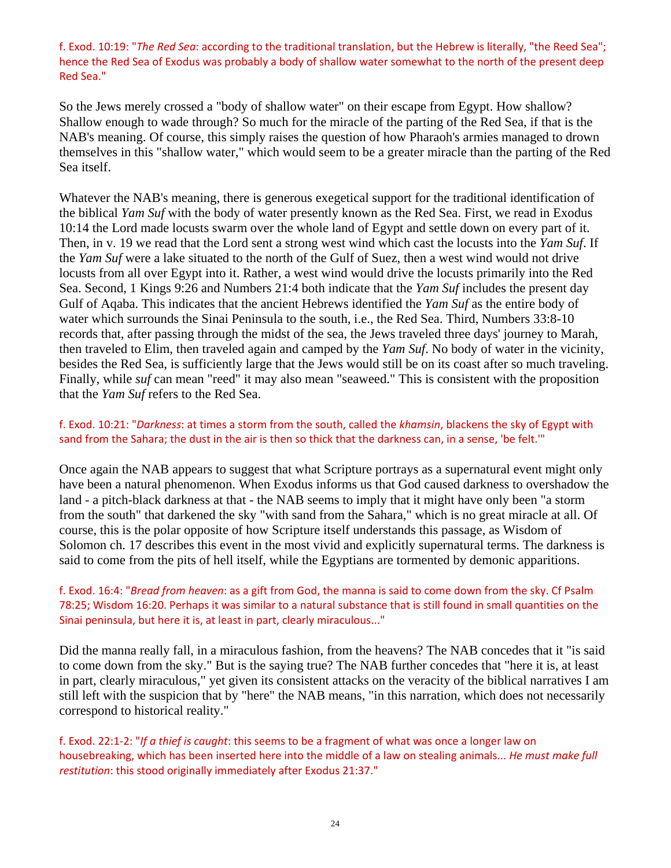f. Exod. 10:19: "*The Red Sea*: according to the traditional translation, but the Hebrew is literally, "the Reed Sea"; hence the Red Sea of Exodus was probably a body of shallow water somewhat to the north of the present deep Red Sea."

So the Jews merely crossed a "body of shallow water" on their escape from Egypt. How shallow? Shallow enough to wade through? So much for the miracle of the parting of the Red Sea, if that is the NAB's meaning. Of course, this simply raises the question of how Pharaoh's armies managed to drown themselves in this "shallow water," which would seem to be a greater miracle than the parting of the Red Sea itself.

Whatever the NAB's meaning, there is generous exegetical support for the traditional identification of the biblical *Yam Suf* with the body of water presently known as the Red Sea. First, we read in Exodus 10:14 the Lord made locusts swarm over the whole land of Egypt and settle down on every part of it. Then, in v. 19 we read that the Lord sent a strong west wind which cast the locusts into the *Yam Suf*. If the *Yam Suf* were a lake situated to the north of the Gulf of Suez, then a west wind would not drive locusts from all over Egypt into it. Rather, a west wind would drive the locusts primarily into the Red Sea. Second, 1 Kings 9:26 and Numbers 21:4 both indicate that the *Yam Suf* includes the present day Gulf of Aqaba. This indicates that the ancient Hebrews identified the *Yam Suf* as the entire body of water which surrounds the Sinai Peninsula to the south, i.e., the Red Sea. Third, Numbers 33:8-10 records that, after passing through the midst of the sea, the Jews traveled three days' journey to Marah, then traveled to Elim, then traveled again and camped by the *Yam Suf*. No body of water in the vicinity, besides the Red Sea, is sufficiently large that the Jews would still be on its coast after so much traveling. Finally, while *suf* can mean "reed" it may also mean "seaweed." This is consistent with the proposition that the *Yam Suf* refers to the Red Sea.

#### f. Exod. 10:21: "*Darkness*: at times a storm from the south, called the *khamsin*, blackens the sky of Egypt with sand from the Sahara; the dust in the air is then so thick that the darkness can, in a sense, 'be felt."'

Once again the NAB appears to suggest that what Scripture portrays as a supernatural event might only have been a natural phenomenon. When Exodus informs us that God caused darkness to overshadow the land - a pitch-black darkness at that - the NAB seems to imply that it might have only been "a storm from the south" that darkened the sky "with sand from the Sahara," which is no great miracle at all. Of course, this is the polar opposite of how Scripture itself understands this passage, as Wisdom of Solomon ch. 17 describes this event in the most vivid and explicitly supernatural terms. The darkness is said to come from the pits of hell itself, while the Egyptians are tormented by demonic apparitions.

#### f. Exod. 16:4: "*Bread from heaven*: as a gift from God, the manna is said to come down from the sky. Cf Psalm 78:25; Wisdom 16:20. Perhaps it was similar to a natural substance that is still found in small quantities on the Sinai peninsula, but here it is, at least in part, clearly miraculous..."

Did the manna really fall, in a miraculous fashion, from the heavens? The NAB concedes that it "is said to come down from the sky." But is the saying true? The NAB further concedes that "here it is, at least in part, clearly miraculous," yet given its consistent attacks on the veracity of the biblical narratives I am still left with the suspicion that by "here" the NAB means, "in this narration, which does not necessarily correspond to historical reality."

f. Exod. 22:1‐2: "*If a thief is caught*: this seems to be a fragment of what was once a longer law on housebreaking, which has been inserted here into the middle of a law on stealing animals... *He must make full restitution*: this stood originally immediately after Exodus 21:37."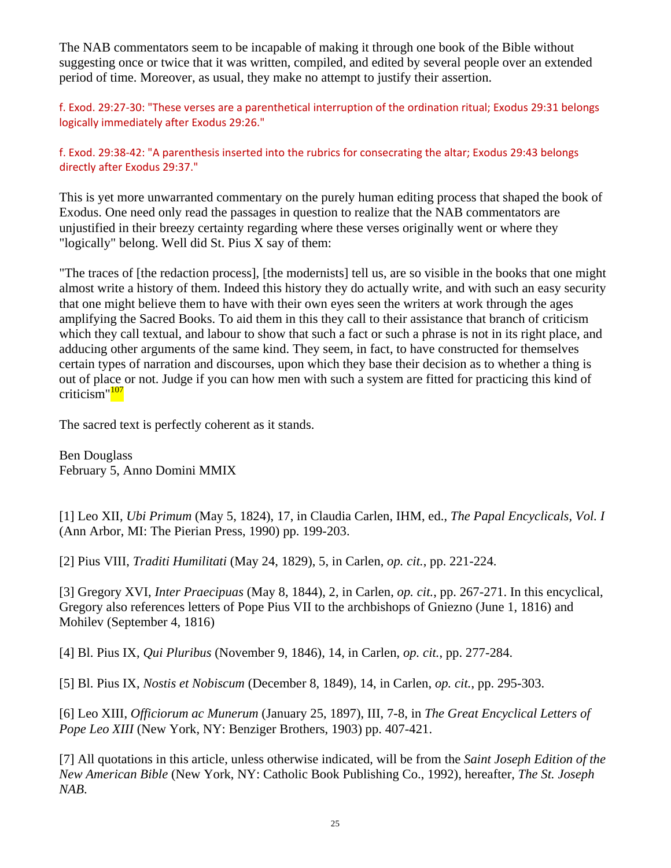The NAB commentators seem to be incapable of making it through one book of the Bible without suggesting once or twice that it was written, compiled, and edited by several people over an extended period of time. Moreover, as usual, they make no attempt to justify their assertion.

f. Exod. 29:27‐30: "These verses are a parenthetical interruption of the ordination ritual; Exodus 29:31 belongs logically immediately after Exodus 29:26."

f. Exod. 29:38‐42: "A parenthesis inserted into the rubrics for consecrating the altar; Exodus 29:43 belongs directly after Exodus 29:37."

This is yet more unwarranted commentary on the purely human editing process that shaped the book of Exodus. One need only read the passages in question to realize that the NAB commentators are unjustified in their breezy certainty regarding where these verses originally went or where they "logically" belong. Well did St. Pius X say of them:

"The traces of [the redaction process], [the modernists] tell us, are so visible in the books that one might almost write a history of them. Indeed this history they do actually write, and with such an easy security that one might believe them to have with their own eyes seen the writers at work through the ages amplifying the Sacred Books. To aid them in this they call to their assistance that branch of criticism which they call textual, and labour to show that such a fact or such a phrase is not in its right place, and adducing other arguments of the same kind. They seem, in fact, to have constructed for themselves certain types of narration and discourses, upon which they base their decision as to whether a thing is out of place or not. Judge if you can how men with such a system are fitted for practicing this kind of criticism"<sup>107</sup>

The sacred text is perfectly coherent as it stands.

Ben Douglass February 5, Anno Domini MMIX

[1] Leo XII, *Ubi Primum* (May 5, 1824), 17, in Claudia Carlen, IHM, ed., *The Papal Encyclicals, Vol. I* (Ann Arbor, MI: The Pierian Press, 1990) pp. 199-203.

[2] Pius VIII, *Traditi Humilitati* (May 24, 1829), 5, in Carlen, *op. cit.*, pp. 221-224.

[3] Gregory XVI, *Inter Praecipuas* (May 8, 1844), 2, in Carlen, *op. cit.*, pp. 267-271. In this encyclical, Gregory also references letters of Pope Pius VII to the archbishops of Gniezno (June 1, 1816) and Mohilev (September 4, 1816)

[4] Bl. Pius IX, *Qui Pluribus* (November 9, 1846), 14, in Carlen, *op. cit.*, pp. 277-284.

[5] Bl. Pius IX, *Nostis et Nobiscum* (December 8, 1849), 14, in Carlen, *op. cit.*, pp. 295-303.

[6] Leo XIII, *Officiorum ac Munerum* (January 25, 1897), III, 7-8, in *The Great Encyclical Letters of Pope Leo XIII* (New York, NY: Benziger Brothers, 1903) pp. 407-421.

[7] All quotations in this article, unless otherwise indicated, will be from the *Saint Joseph Edition of the New American Bible* (New York, NY: Catholic Book Publishing Co., 1992), hereafter, *The St. Joseph NAB*.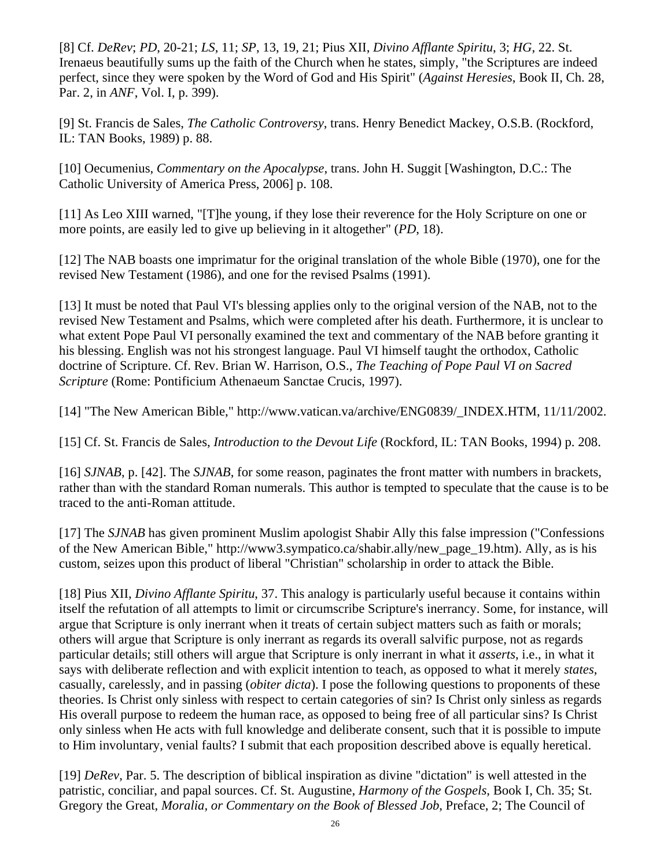[8] Cf. *DeRev*; *PD*, 20-21; *LS*, 11; *SP*, 13, 19, 21; Pius XII, *Divino Afflante Spiritu*, 3; *HG*, 22. St. Irenaeus beautifully sums up the faith of the Church when he states, simply, "the Scriptures are indeed perfect, since they were spoken by the Word of God and His Spirit" (*Against Heresies*, Book II, Ch. 28, Par. 2, in *ANF*, Vol. I, p. 399).

[9] St. Francis de Sales, *The Catholic Controversy*, trans. Henry Benedict Mackey, O.S.B. (Rockford, IL: TAN Books, 1989) p. 88.

[10] Oecumenius, *Commentary on the Apocalypse*, trans. John H. Suggit [Washington, D.C.: The Catholic University of America Press, 2006] p. 108.

[11] As Leo XIII warned, "[T]he young, if they lose their reverence for the Holy Scripture on one or more points, are easily led to give up believing in it altogether" (*PD*, 18).

[12] The NAB boasts one imprimatur for the original translation of the whole Bible (1970), one for the revised New Testament (1986), and one for the revised Psalms (1991).

[13] It must be noted that Paul VI's blessing applies only to the original version of the NAB, not to the revised New Testament and Psalms, which were completed after his death. Furthermore, it is unclear to what extent Pope Paul VI personally examined the text and commentary of the NAB before granting it his blessing. English was not his strongest language. Paul VI himself taught the orthodox, Catholic doctrine of Scripture. Cf. Rev. Brian W. Harrison, O.S., *The Teaching of Pope Paul VI on Sacred Scripture* (Rome: Pontificium Athenaeum Sanctae Crucis, 1997).

[14] "The New American Bible," http://www.vatican.va/archive/ENG0839/\_INDEX.HTM, 11/11/2002.

[15] Cf. St. Francis de Sales, *Introduction to the Devout Life* (Rockford, IL: TAN Books, 1994) p. 208.

[16] *SJNAB*, p. [42]. The *SJNAB*, for some reason, paginates the front matter with numbers in brackets, rather than with the standard Roman numerals. This author is tempted to speculate that the cause is to be traced to the anti-Roman attitude.

[17] The *SJNAB* has given prominent Muslim apologist Shabir Ally this false impression ("Confessions of the New American Bible," http://www3.sympatico.ca/shabir.ally/new\_page\_19.htm). Ally, as is his custom, seizes upon this product of liberal "Christian" scholarship in order to attack the Bible.

[18] Pius XII, *Divino Afflante Spiritu*, 37. This analogy is particularly useful because it contains within itself the refutation of all attempts to limit or circumscribe Scripture's inerrancy. Some, for instance, will argue that Scripture is only inerrant when it treats of certain subject matters such as faith or morals; others will argue that Scripture is only inerrant as regards its overall salvific purpose, not as regards particular details; still others will argue that Scripture is only inerrant in what it *asserts*, i.e., in what it says with deliberate reflection and with explicit intention to teach, as opposed to what it merely *states*, casually, carelessly, and in passing (*obiter dicta*). I pose the following questions to proponents of these theories. Is Christ only sinless with respect to certain categories of sin? Is Christ only sinless as regards His overall purpose to redeem the human race, as opposed to being free of all particular sins? Is Christ only sinless when He acts with full knowledge and deliberate consent, such that it is possible to impute to Him involuntary, venial faults? I submit that each proposition described above is equally heretical.

[19] *DeRev*, Par. 5. The description of biblical inspiration as divine "dictation" is well attested in the patristic, conciliar, and papal sources. Cf. St. Augustine, *Harmony of the Gospels*, Book I, Ch. 35; St. Gregory the Great, *Moralia, or Commentary on the Book of Blessed Job*, Preface, 2; The Council of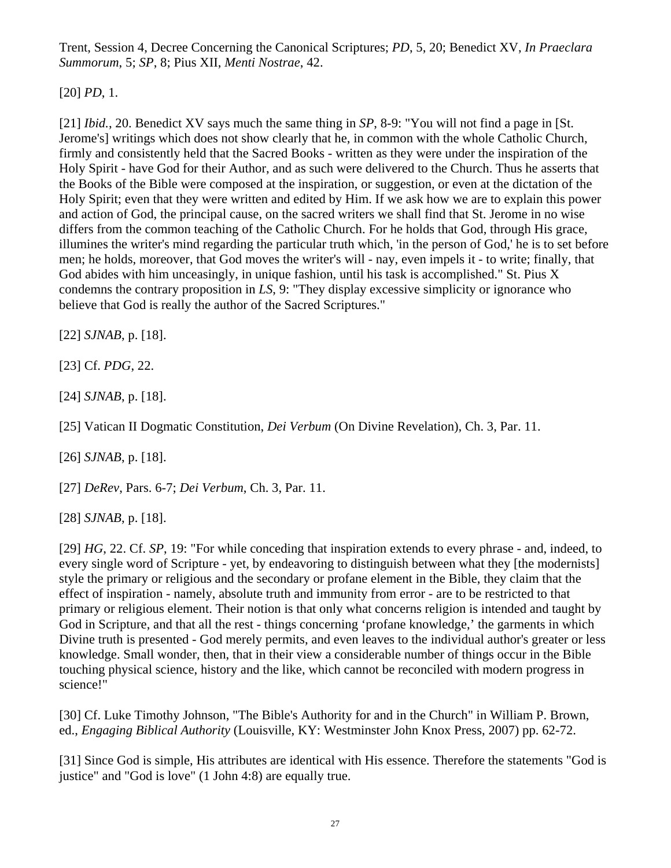Trent, Session 4, Decree Concerning the Canonical Scriptures; *PD*, 5, 20; Benedict XV, *In Praeclara Summorum*, 5; *SP*, 8; Pius XII, *Menti Nostrae*, 42.

[20] *PD*, 1.

[21] *Ibid.*, 20. Benedict XV says much the same thing in *SP*, 8-9: "You will not find a page in [St. Jerome's] writings which does not show clearly that he, in common with the whole Catholic Church, firmly and consistently held that the Sacred Books - written as they were under the inspiration of the Holy Spirit - have God for their Author, and as such were delivered to the Church. Thus he asserts that the Books of the Bible were composed at the inspiration, or suggestion, or even at the dictation of the Holy Spirit; even that they were written and edited by Him. If we ask how we are to explain this power and action of God, the principal cause, on the sacred writers we shall find that St. Jerome in no wise differs from the common teaching of the Catholic Church. For he holds that God, through His grace, illumines the writer's mind regarding the particular truth which, 'in the person of God,' he is to set before men; he holds, moreover, that God moves the writer's will - nay, even impels it - to write; finally, that God abides with him unceasingly, in unique fashion, until his task is accomplished." St. Pius X condemns the contrary proposition in *LS*, 9: "They display excessive simplicity or ignorance who believe that God is really the author of the Sacred Scriptures."

[22] *SJNAB*, p. [18].

[23] Cf. *PDG*, 22.

[24] *SJNAB*, p. [18].

[25] Vatican II Dogmatic Constitution, *Dei Verbum* (On Divine Revelation), Ch. 3, Par. 11.

[26] *SJNAB*, p. [18].

[27] *DeRev*, Pars. 6-7; *Dei Verbum*, Ch. 3, Par. 11.

[28] *SJNAB*, p. [18].

[29] *HG*, 22. Cf. *SP*, 19: "For while conceding that inspiration extends to every phrase - and, indeed, to every single word of Scripture - yet, by endeavoring to distinguish between what they [the modernists] style the primary or religious and the secondary or profane element in the Bible, they claim that the effect of inspiration - namely, absolute truth and immunity from error - are to be restricted to that primary or religious element. Their notion is that only what concerns religion is intended and taught by God in Scripture, and that all the rest - things concerning 'profane knowledge,' the garments in which Divine truth is presented - God merely permits, and even leaves to the individual author's greater or less knowledge. Small wonder, then, that in their view a considerable number of things occur in the Bible touching physical science, history and the like, which cannot be reconciled with modern progress in science!"

[30] Cf. Luke Timothy Johnson, "The Bible's Authority for and in the Church" in William P. Brown, ed., *Engaging Biblical Authority* (Louisville, KY: Westminster John Knox Press, 2007) pp. 62-72.

[31] Since God is simple, His attributes are identical with His essence. Therefore the statements "God is justice" and "God is love" (1 John 4:8) are equally true.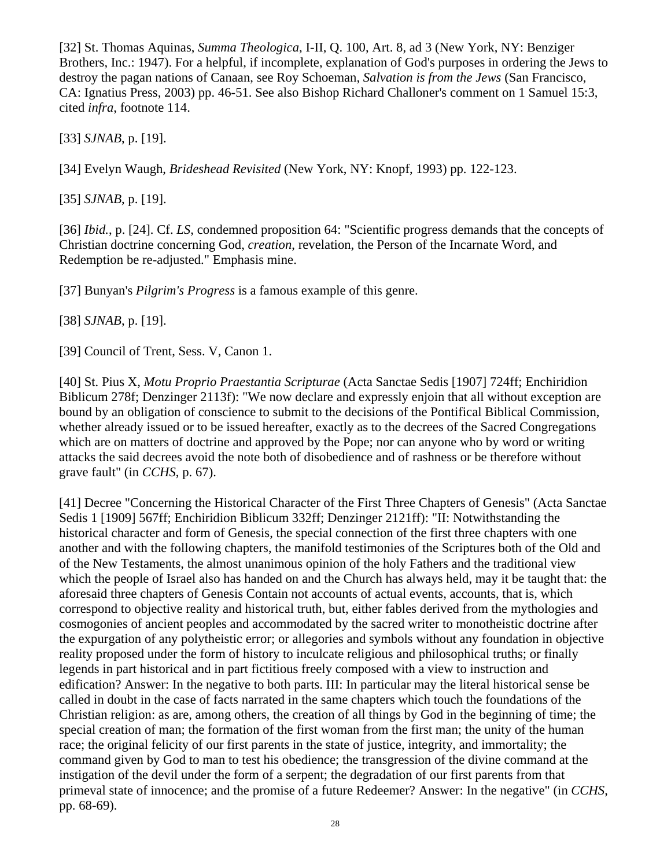[32] St. Thomas Aquinas, *Summa Theologica*, I-II, Q. 100, Art. 8, ad 3 (New York, NY: Benziger Brothers, Inc.: 1947). For a helpful, if incomplete, explanation of God's purposes in ordering the Jews to destroy the pagan nations of Canaan, see Roy Schoeman, *Salvation is from the Jews* (San Francisco, CA: Ignatius Press, 2003) pp. 46-51. See also Bishop Richard Challoner's comment on 1 Samuel 15:3, cited *infra*, footnote 114.

[33] *SJNAB*, p. [19].

[34] Evelyn Waugh, *Brideshead Revisited* (New York, NY: Knopf, 1993) pp. 122-123.

[35] *SJNAB*, p. [19].

[36] *Ibid.*, p. [24]. Cf. *LS*, condemned proposition 64: "Scientific progress demands that the concepts of Christian doctrine concerning God, *creation*, revelation, the Person of the Incarnate Word, and Redemption be re-adjusted." Emphasis mine.

[37] Bunyan's *Pilgrim's Progress* is a famous example of this genre.

[38] *SJNAB*, p. [19].

[39] Council of Trent, Sess. V, Canon 1.

[40] St. Pius X, *Motu Proprio Praestantia Scripturae* (Acta Sanctae Sedis [1907] 724ff; Enchiridion Biblicum 278f; Denzinger 2113f): "We now declare and expressly enjoin that all without exception are bound by an obligation of conscience to submit to the decisions of the Pontifical Biblical Commission, whether already issued or to be issued hereafter, exactly as to the decrees of the Sacred Congregations which are on matters of doctrine and approved by the Pope; nor can anyone who by word or writing attacks the said decrees avoid the note both of disobedience and of rashness or be therefore without grave fault" (in *CCHS*, p. 67).

[41] Decree "Concerning the Historical Character of the First Three Chapters of Genesis" (Acta Sanctae Sedis 1 [1909] 567ff; Enchiridion Biblicum 332ff; Denzinger 2121ff): "II: Notwithstanding the historical character and form of Genesis, the special connection of the first three chapters with one another and with the following chapters, the manifold testimonies of the Scriptures both of the Old and of the New Testaments, the almost unanimous opinion of the holy Fathers and the traditional view which the people of Israel also has handed on and the Church has always held, may it be taught that: the aforesaid three chapters of Genesis Contain not accounts of actual events, accounts, that is, which correspond to objective reality and historical truth, but, either fables derived from the mythologies and cosmogonies of ancient peoples and accommodated by the sacred writer to monotheistic doctrine after the expurgation of any polytheistic error; or allegories and symbols without any foundation in objective reality proposed under the form of history to inculcate religious and philosophical truths; or finally legends in part historical and in part fictitious freely composed with a view to instruction and edification? Answer: In the negative to both parts. III: In particular may the literal historical sense be called in doubt in the case of facts narrated in the same chapters which touch the foundations of the Christian religion: as are, among others, the creation of all things by God in the beginning of time; the special creation of man; the formation of the first woman from the first man; the unity of the human race; the original felicity of our first parents in the state of justice, integrity, and immortality; the command given by God to man to test his obedience; the transgression of the divine command at the instigation of the devil under the form of a serpent; the degradation of our first parents from that primeval state of innocence; and the promise of a future Redeemer? Answer: In the negative" (in *CCHS*, pp. 68-69).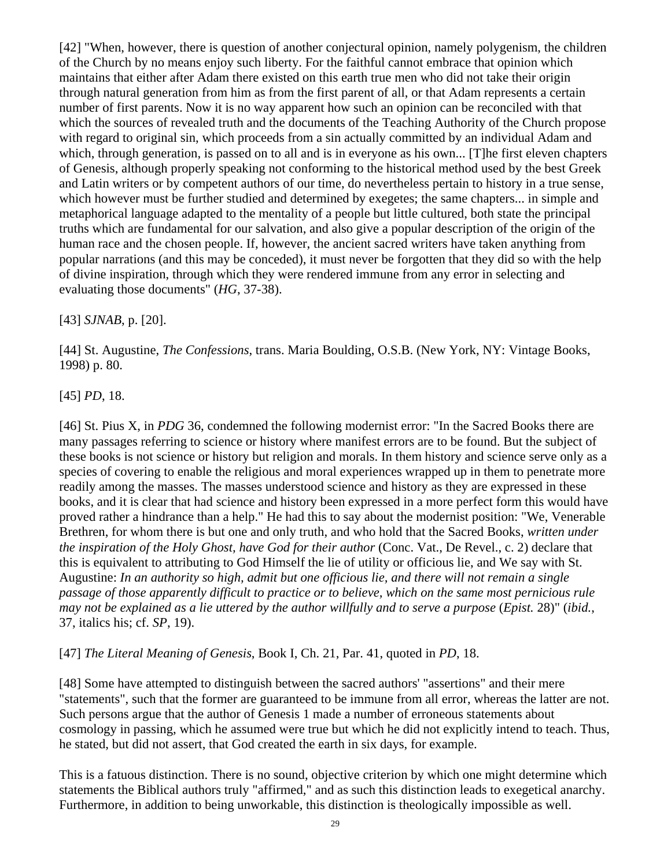[42] "When, however, there is question of another conjectural opinion, namely polygenism, the children of the Church by no means enjoy such liberty. For the faithful cannot embrace that opinion which maintains that either after Adam there existed on this earth true men who did not take their origin through natural generation from him as from the first parent of all, or that Adam represents a certain number of first parents. Now it is no way apparent how such an opinion can be reconciled with that which the sources of revealed truth and the documents of the Teaching Authority of the Church propose with regard to original sin, which proceeds from a sin actually committed by an individual Adam and which, through generation, is passed on to all and is in everyone as his own... [T]he first eleven chapters of Genesis, although properly speaking not conforming to the historical method used by the best Greek and Latin writers or by competent authors of our time, do nevertheless pertain to history in a true sense, which however must be further studied and determined by exegetes; the same chapters... in simple and metaphorical language adapted to the mentality of a people but little cultured, both state the principal truths which are fundamental for our salvation, and also give a popular description of the origin of the human race and the chosen people. If, however, the ancient sacred writers have taken anything from popular narrations (and this may be conceded), it must never be forgotten that they did so with the help of divine inspiration, through which they were rendered immune from any error in selecting and evaluating those documents" (*HG*, 37-38).

[43] *SJNAB*, p. [20].

[44] St. Augustine, *The Confessions*, trans. Maria Boulding, O.S.B. (New York, NY: Vintage Books, 1998) p. 80.

[45] *PD*, 18.

[46] St. Pius X, in *PDG* 36, condemned the following modernist error: "In the Sacred Books there are many passages referring to science or history where manifest errors are to be found. But the subject of these books is not science or history but religion and morals. In them history and science serve only as a species of covering to enable the religious and moral experiences wrapped up in them to penetrate more readily among the masses. The masses understood science and history as they are expressed in these books, and it is clear that had science and history been expressed in a more perfect form this would have proved rather a hindrance than a help." He had this to say about the modernist position: "We, Venerable Brethren, for whom there is but one and only truth, and who hold that the Sacred Books, *written under the inspiration of the Holy Ghost, have God for their author* (Conc. Vat., De Revel., c. 2) declare that this is equivalent to attributing to God Himself the lie of utility or officious lie, and We say with St. Augustine: *In an authority so high, admit but one officious lie, and there will not remain a single passage of those apparently difficult to practice or to believe, which on the same most pernicious rule may not be explained as a lie uttered by the author willfully and to serve a purpose* (*Epist.* 28)" (*ibid.*, 37, italics his; cf. *SP*, 19).

[47] *The Literal Meaning of Genesis*, Book I, Ch. 21, Par. 41, quoted in *PD*, 18.

[48] Some have attempted to distinguish between the sacred authors' "assertions" and their mere "statements", such that the former are guaranteed to be immune from all error, whereas the latter are not. Such persons argue that the author of Genesis 1 made a number of erroneous statements about cosmology in passing, which he assumed were true but which he did not explicitly intend to teach. Thus, he stated, but did not assert, that God created the earth in six days, for example.

This is a fatuous distinction. There is no sound, objective criterion by which one might determine which statements the Biblical authors truly "affirmed," and as such this distinction leads to exegetical anarchy. Furthermore, in addition to being unworkable, this distinction is theologically impossible as well.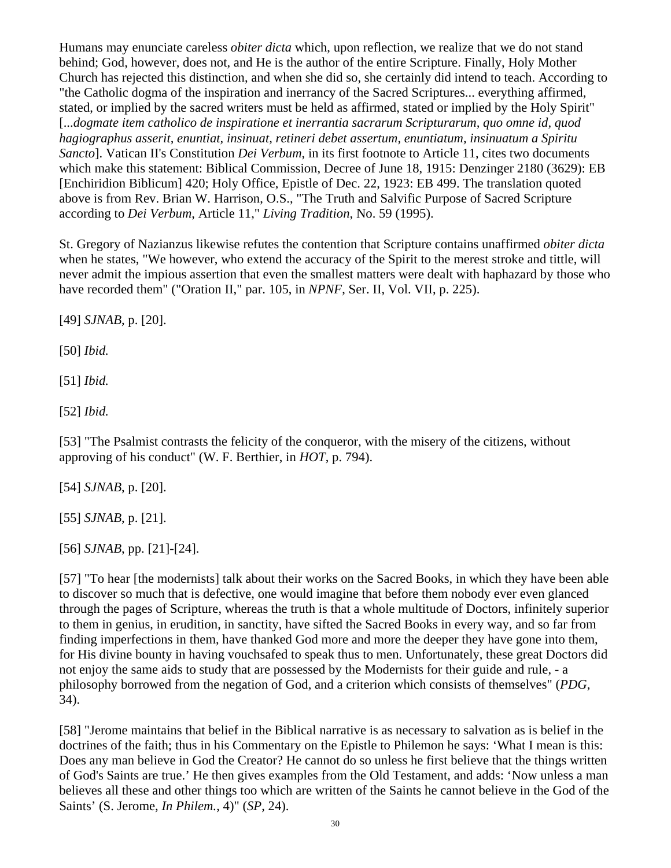Humans may enunciate careless *obiter dicta* which, upon reflection, we realize that we do not stand behind; God, however, does not, and He is the author of the entire Scripture. Finally, Holy Mother Church has rejected this distinction, and when she did so, she certainly did intend to teach. According to "the Catholic dogma of the inspiration and inerrancy of the Sacred Scriptures... everything affirmed, stated, or implied by the sacred writers must be held as affirmed, stated or implied by the Holy Spirit" [...*dogmate item catholico de inspiratione et inerrantia sacrarum Scripturarum, quo omne id, quod hagiographus asserit, enuntiat, insinuat, retineri debet assertum, enuntiatum, insinuatum a Spiritu Sancto*]. Vatican II's Constitution *Dei Verbum*, in its first footnote to Article 11, cites two documents which make this statement: Biblical Commission, Decree of June 18, 1915: Denzinger 2180 (3629): EB [Enchiridion Biblicum] 420; Holy Office, Epistle of Dec. 22, 1923: EB 499. The translation quoted above is from Rev. Brian W. Harrison, O.S., "The Truth and Salvific Purpose of Sacred Scripture according to *Dei Verbum*, Article 11," *Living Tradition*, No. 59 (1995).

St. Gregory of Nazianzus likewise refutes the contention that Scripture contains unaffirmed *obiter dicta* when he states, "We however, who extend the accuracy of the Spirit to the merest stroke and tittle, will never admit the impious assertion that even the smallest matters were dealt with haphazard by those who have recorded them" ("Oration II," par. 105, in *NPNF*, Ser. II, Vol. VII, p. 225).

[49] *SJNAB*, p. [20].

[50] *Ibid.*

[51] *Ibid.*

[52] *Ibid.*

[53] "The Psalmist contrasts the felicity of the conqueror, with the misery of the citizens, without approving of his conduct" (W. F. Berthier, in *HOT*, p. 794).

[54] *SJNAB*, p. [20].

[55] *SJNAB*, p. [21].

[56] *SJNAB*, pp. [21]-[24].

[57] "To hear [the modernists] talk about their works on the Sacred Books, in which they have been able to discover so much that is defective, one would imagine that before them nobody ever even glanced through the pages of Scripture, whereas the truth is that a whole multitude of Doctors, infinitely superior to them in genius, in erudition, in sanctity, have sifted the Sacred Books in every way, and so far from finding imperfections in them, have thanked God more and more the deeper they have gone into them, for His divine bounty in having vouchsafed to speak thus to men. Unfortunately, these great Doctors did not enjoy the same aids to study that are possessed by the Modernists for their guide and rule, - a philosophy borrowed from the negation of God, and a criterion which consists of themselves" (*PDG*, 34).

[58] "Jerome maintains that belief in the Biblical narrative is as necessary to salvation as is belief in the doctrines of the faith; thus in his Commentary on the Epistle to Philemon he says: 'What I mean is this: Does any man believe in God the Creator? He cannot do so unless he first believe that the things written of God's Saints are true.' He then gives examples from the Old Testament, and adds: 'Now unless a man believes all these and other things too which are written of the Saints he cannot believe in the God of the Saints' (S. Jerome, *In Philem.*, 4)" (*SP*, 24).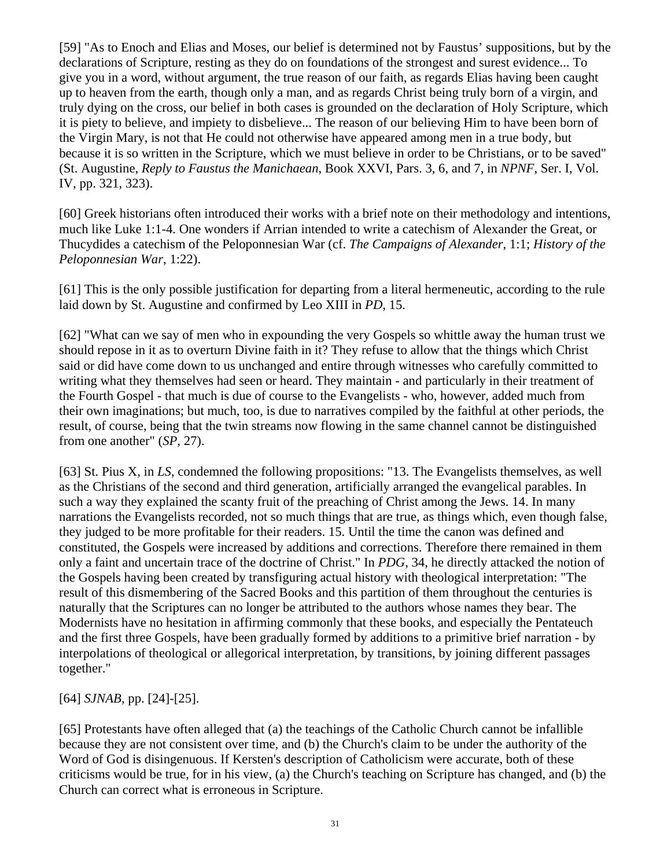[59] "As to Enoch and Elias and Moses, our belief is determined not by Faustus' suppositions, but by the declarations of Scripture, resting as they do on foundations of the strongest and surest evidence... To give you in a word, without argument, the true reason of our faith, as regards Elias having been caught up to heaven from the earth, though only a man, and as regards Christ being truly born of a virgin, and truly dying on the cross, our belief in both cases is grounded on the declaration of Holy Scripture, which it is piety to believe, and impiety to disbelieve... The reason of our believing Him to have been born of the Virgin Mary, is not that He could not otherwise have appeared among men in a true body, but because it is so written in the Scripture, which we must believe in order to be Christians, or to be saved" (St. Augustine, *Reply to Faustus the Manichaean*, Book XXVI, Pars. 3, 6, and 7, in *NPNF*, Ser. I, Vol. IV, pp. 321, 323).

[60] Greek historians often introduced their works with a brief note on their methodology and intentions, much like Luke 1:1-4. One wonders if Arrian intended to write a catechism of Alexander the Great, or Thucydides a catechism of the Peloponnesian War (cf. *The Campaigns of Alexander*, 1:1; *History of the Peloponnesian War*, 1:22).

[61] This is the only possible justification for departing from a literal hermeneutic, according to the rule laid down by St. Augustine and confirmed by Leo XIII in *PD*, 15.

[62] "What can we say of men who in expounding the very Gospels so whittle away the human trust we should repose in it as to overturn Divine faith in it? They refuse to allow that the things which Christ said or did have come down to us unchanged and entire through witnesses who carefully committed to writing what they themselves had seen or heard. They maintain - and particularly in their treatment of the Fourth Gospel - that much is due of course to the Evangelists - who, however, added much from their own imaginations; but much, too, is due to narratives compiled by the faithful at other periods, the result, of course, being that the twin streams now flowing in the same channel cannot be distinguished from one another" (*SP*, 27).

[63] St. Pius X, in *LS*, condemned the following propositions: "13. The Evangelists themselves, as well as the Christians of the second and third generation, artificially arranged the evangelical parables. In such a way they explained the scanty fruit of the preaching of Christ among the Jews. 14. In many narrations the Evangelists recorded, not so much things that are true, as things which, even though false, they judged to be more profitable for their readers. 15. Until the time the canon was defined and constituted, the Gospels were increased by additions and corrections. Therefore there remained in them only a faint and uncertain trace of the doctrine of Christ." In *PDG*, 34, he directly attacked the notion of the Gospels having been created by transfiguring actual history with theological interpretation: "The result of this dismembering of the Sacred Books and this partition of them throughout the centuries is naturally that the Scriptures can no longer be attributed to the authors whose names they bear. The Modernists have no hesitation in affirming commonly that these books, and especially the Pentateuch and the first three Gospels, have been gradually formed by additions to a primitive brief narration - by interpolations of theological or allegorical interpretation, by transitions, by joining different passages together."

[64] *SJNAB*, pp. [24]-[25].

[65] Protestants have often alleged that (a) the teachings of the Catholic Church cannot be infallible because they are not consistent over time, and (b) the Church's claim to be under the authority of the Word of God is disingenuous. If Kersten's description of Catholicism were accurate, both of these criticisms would be true, for in his view, (a) the Church's teaching on Scripture has changed, and (b) the Church can correct what is erroneous in Scripture.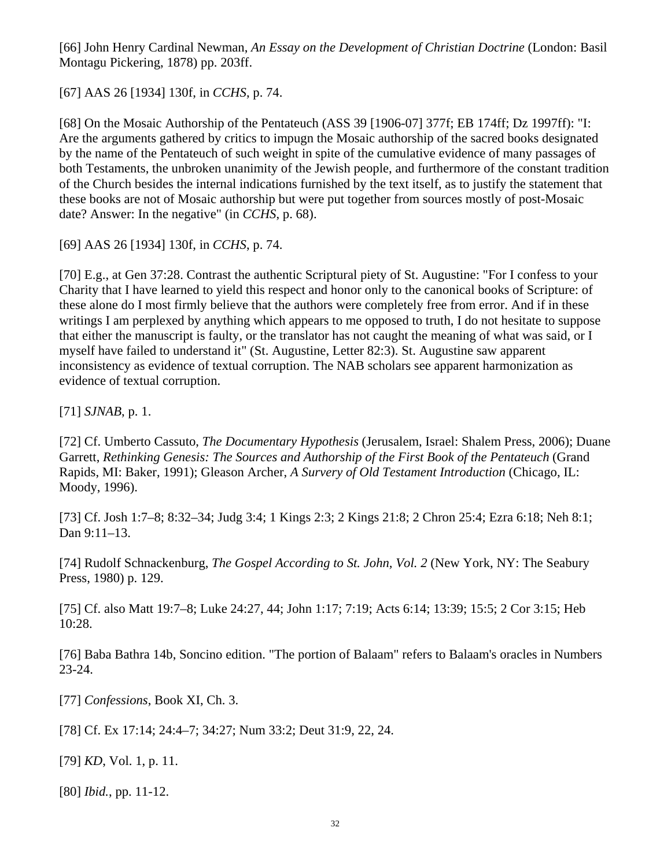[66] John Henry Cardinal Newman, *An Essay on the Development of Christian Doctrine* (London: Basil Montagu Pickering, 1878) pp. 203ff.

[67] AAS 26 [1934] 130f, in *CCHS*, p. 74.

[68] On the Mosaic Authorship of the Pentateuch (ASS 39 [1906-07] 377f; EB 174ff; Dz 1997ff): "I: Are the arguments gathered by critics to impugn the Mosaic authorship of the sacred books designated by the name of the Pentateuch of such weight in spite of the cumulative evidence of many passages of both Testaments, the unbroken unanimity of the Jewish people, and furthermore of the constant tradition of the Church besides the internal indications furnished by the text itself, as to justify the statement that these books are not of Mosaic authorship but were put together from sources mostly of post-Mosaic date? Answer: In the negative" (in *CCHS*, p. 68).

[69] AAS 26 [1934] 130f, in *CCHS*, p. 74.

[70] E.g., at Gen 37:28. Contrast the authentic Scriptural piety of St. Augustine: "For I confess to your Charity that I have learned to yield this respect and honor only to the canonical books of Scripture: of these alone do I most firmly believe that the authors were completely free from error. And if in these writings I am perplexed by anything which appears to me opposed to truth, I do not hesitate to suppose that either the manuscript is faulty, or the translator has not caught the meaning of what was said, or I myself have failed to understand it" (St. Augustine, Letter 82:3). St. Augustine saw apparent inconsistency as evidence of textual corruption. The NAB scholars see apparent harmonization as evidence of textual corruption.

[71] *SJNAB*, p. 1.

[72] Cf. Umberto Cassuto, *The Documentary Hypothesis* (Jerusalem, Israel: Shalem Press, 2006); Duane Garrett, *Rethinking Genesis: The Sources and Authorship of the First Book of the Pentateuch* (Grand Rapids, MI: Baker, 1991); Gleason Archer, *A Survery of Old Testament Introduction* (Chicago, IL: Moody, 1996).

[73] Cf. Josh 1:7–8; 8:32–34; Judg 3:4; 1 Kings 2:3; 2 Kings 21:8; 2 Chron 25:4; Ezra 6:18; Neh 8:1; Dan 9:11–13.

[74] Rudolf Schnackenburg, *The Gospel According to St. John, Vol. 2* (New York, NY: The Seabury Press, 1980) p. 129.

[75] Cf. also Matt 19:7–8; Luke 24:27, 44; John 1:17; 7:19; Acts 6:14; 13:39; 15:5; 2 Cor 3:15; Heb 10:28.

[76] Baba Bathra 14b, Soncino edition. "The portion of Balaam" refers to Balaam's oracles in Numbers 23-24.

[77] *Confessions*, Book XI, Ch. 3.

[78] Cf. Ex 17:14; 24:4–7; 34:27; Num 33:2; Deut 31:9, 22, 24.

[79] *KD*, Vol. 1, p. 11.

[80] *Ibid.*, pp. 11-12.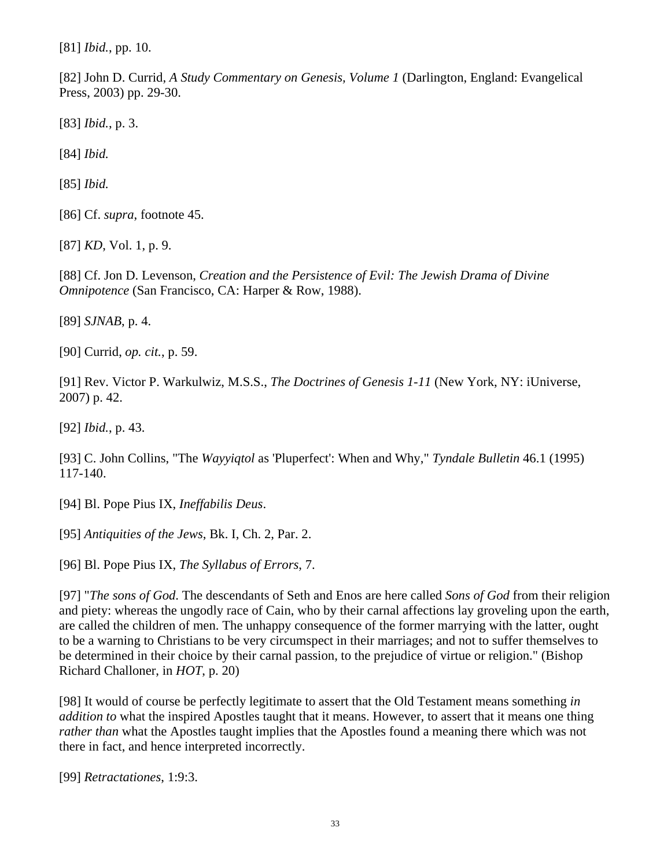[81] *Ibid.*, pp. 10.

[82] John D. Currid, *A Study Commentary on Genesis, Volume 1* (Darlington, England: Evangelical Press, 2003) pp. 29-30.

[83] *Ibid.*, p. 3.

[84] *Ibid.*

[85] *Ibid.*

[86] Cf. *supra*, footnote 45.

[87] *KD*, Vol. 1, p. 9.

[88] Cf. Jon D. Levenson, *Creation and the Persistence of Evil: The Jewish Drama of Divine Omnipotence* (San Francisco, CA: Harper & Row, 1988).

[89] *SJNAB*, p. 4.

[90] Currid, *op. cit.*, p. 59.

[91] Rev. Victor P. Warkulwiz, M.S.S., *The Doctrines of Genesis 1-11* (New York, NY: iUniverse, 2007) p. 42.

[92] *Ibid.*, p. 43.

[93] C. John Collins, "The *Wayyiqtol* as 'Pluperfect': When and Why," *Tyndale Bulletin* 46.1 (1995) 117-140.

[94] Bl. Pope Pius IX, *Ineffabilis Deus*.

[95] *Antiquities of the Jews*, Bk. I, Ch. 2, Par. 2.

[96] Bl. Pope Pius IX, *The Syllabus of Errors*, 7.

[97] "*The sons of God*. The descendants of Seth and Enos are here called *Sons of God* from their religion and piety: whereas the ungodly race of Cain, who by their carnal affections lay groveling upon the earth, are called the children of men. The unhappy consequence of the former marrying with the latter, ought to be a warning to Christians to be very circumspect in their marriages; and not to suffer themselves to be determined in their choice by their carnal passion, to the prejudice of virtue or religion." (Bishop Richard Challoner, in *HOT*, p. 20)

[98] It would of course be perfectly legitimate to assert that the Old Testament means something *in addition to* what the inspired Apostles taught that it means. However, to assert that it means one thing *rather than* what the Apostles taught implies that the Apostles found a meaning there which was not there in fact, and hence interpreted incorrectly.

[99] *Retractationes*, 1:9:3.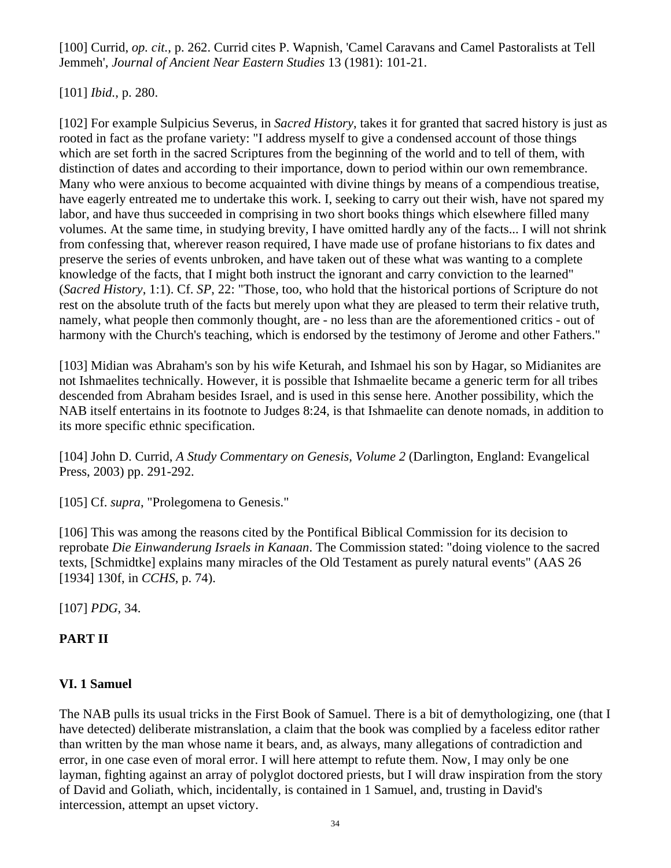[100] Currid, *op. cit.*, p. 262. Currid cites P. Wapnish, 'Camel Caravans and Camel Pastoralists at Tell Jemmeh', *Journal of Ancient Near Eastern Studies* 13 (1981): 101-21.

[101] *Ibid.*, p. 280.

[102] For example Sulpicius Severus, in *Sacred History*, takes it for granted that sacred history is just as rooted in fact as the profane variety: "I address myself to give a condensed account of those things which are set forth in the sacred Scriptures from the beginning of the world and to tell of them, with distinction of dates and according to their importance, down to period within our own remembrance. Many who were anxious to become acquainted with divine things by means of a compendious treatise, have eagerly entreated me to undertake this work. I, seeking to carry out their wish, have not spared my labor, and have thus succeeded in comprising in two short books things which elsewhere filled many volumes. At the same time, in studying brevity, I have omitted hardly any of the facts... I will not shrink from confessing that, wherever reason required, I have made use of profane historians to fix dates and preserve the series of events unbroken, and have taken out of these what was wanting to a complete knowledge of the facts, that I might both instruct the ignorant and carry conviction to the learned" (*Sacred History*, 1:1). Cf. *SP*, 22: "Those, too, who hold that the historical portions of Scripture do not rest on the absolute truth of the facts but merely upon what they are pleased to term their relative truth, namely, what people then commonly thought, are - no less than are the aforementioned critics - out of harmony with the Church's teaching, which is endorsed by the testimony of Jerome and other Fathers."

[103] Midian was Abraham's son by his wife Keturah, and Ishmael his son by Hagar, so Midianites are not Ishmaelites technically. However, it is possible that Ishmaelite became a generic term for all tribes descended from Abraham besides Israel, and is used in this sense here. Another possibility, which the NAB itself entertains in its footnote to Judges 8:24, is that Ishmaelite can denote nomads, in addition to its more specific ethnic specification.

[104] John D. Currid, *A Study Commentary on Genesis, Volume 2* (Darlington, England: Evangelical Press, 2003) pp. 291-292.

[105] Cf. *supra*, "Prolegomena to Genesis."

[106] This was among the reasons cited by the Pontifical Biblical Commission for its decision to reprobate *Die Einwanderung Israels in Kanaan*. The Commission stated: "doing violence to the sacred texts, [Schmidtke] explains many miracles of the Old Testament as purely natural events" (AAS 26 [1934] 130f, in *CCHS*, p. 74).

[107] *PDG*, 34.

# **PART II**

# **VI. 1 Samuel**

The NAB pulls its usual tricks in the First Book of Samuel. There is a bit of demythologizing, one (that I have detected) deliberate mistranslation, a claim that the book was complied by a faceless editor rather than written by the man whose name it bears, and, as always, many allegations of contradiction and error, in one case even of moral error. I will here attempt to refute them. Now, I may only be one layman, fighting against an array of polyglot doctored priests, but I will draw inspiration from the story of David and Goliath, which, incidentally, is contained in 1 Samuel, and, trusting in David's intercession, attempt an upset victory.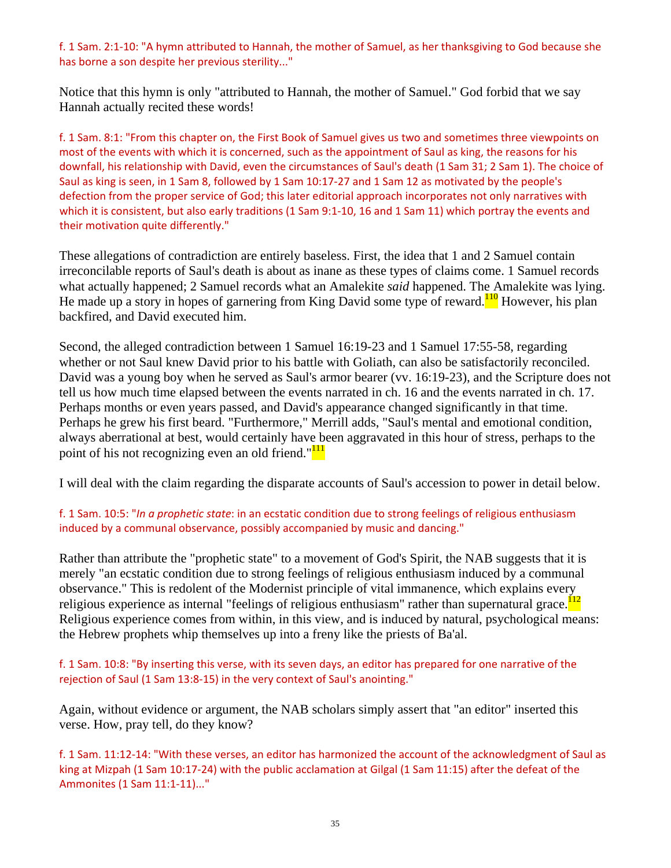#### f. 1 Sam. 2:1‐10: "A hymn attributed to Hannah, the mother of Samuel, as her thanksgiving to God because she has borne a son despite her previous sterility..."

Notice that this hymn is only "attributed to Hannah, the mother of Samuel." God forbid that we say Hannah actually recited these words!

f. 1 Sam. 8:1: "From this chapter on, the First Book of Samuel gives us two and sometimes three viewpoints on most of the events with which it is concerned, such as the appointment of Saul as king, the reasons for his downfall, his relationship with David, even the circumstances of Saul's death (1 Sam 31; 2 Sam 1). The choice of Saul as king is seen, in 1 Sam 8, followed by 1 Sam 10:17‐27 and 1 Sam 12 as motivated by the people's defection from the proper service of God; this later editorial approach incorporates not only narratives with which it is consistent, but also early traditions (1 Sam 9:1-10, 16 and 1 Sam 11) which portray the events and their motivation quite differently."

These allegations of contradiction are entirely baseless. First, the idea that 1 and 2 Samuel contain irreconcilable reports of Saul's death is about as inane as these types of claims come. 1 Samuel records what actually happened; 2 Samuel records what an Amalekite *said* happened. The Amalekite was lying. He made up a story in hopes of garnering from King David some type of reward.<sup>110</sup> However, his plan backfired, and David executed him.

Second, the alleged contradiction between 1 Samuel 16:19-23 and 1 Samuel 17:55-58, regarding whether or not Saul knew David prior to his battle with Goliath, can also be satisfactorily reconciled. David was a young boy when he served as Saul's armor bearer (vv. 16:19-23), and the Scripture does not tell us how much time elapsed between the events narrated in ch. 16 and the events narrated in ch. 17. Perhaps months or even years passed, and David's appearance changed significantly in that time. Perhaps he grew his first beard. "Furthermore," Merrill adds, "Saul's mental and emotional condition, always aberrational at best, would certainly have been aggravated in this hour of stress, perhaps to the point of his not recognizing even an old friend."<sup>111</sup>

I will deal with the claim regarding the disparate accounts of Saul's accession to power in detail below.

### f. 1 Sam. 10:5: "*In a prophetic state*: in an ecstatic condition due to strong feelings of religious enthusiasm induced by a communal observance, possibly accompanied by music and dancing."

Rather than attribute the "prophetic state" to a movement of God's Spirit, the NAB suggests that it is merely "an ecstatic condition due to strong feelings of religious enthusiasm induced by a communal observance." This is redolent of the Modernist principle of vital immanence, which explains every religious experience as internal "feelings of religious enthusiasm" rather than supernatural grace. $\frac{112}{112}$ Religious experience comes from within, in this view, and is induced by natural, psychological means: the Hebrew prophets whip themselves up into a freny like the priests of Ba'al.

#### f. 1 Sam. 10:8: "By inserting this verse, with its seven days, an editor has prepared for one narrative of the rejection of Saul (1 Sam 13:8‐15) in the very context of Saul's anointing."

Again, without evidence or argument, the NAB scholars simply assert that "an editor" inserted this verse. How, pray tell, do they know?

f. 1 Sam. 11:12‐14: "With these verses, an editor has harmonized the account of the acknowledgment of Saul as king at Mizpah (1 Sam 10:17-24) with the public acclamation at Gilgal (1 Sam 11:15) after the defeat of the Ammonites (1 Sam 11:1‐11)..."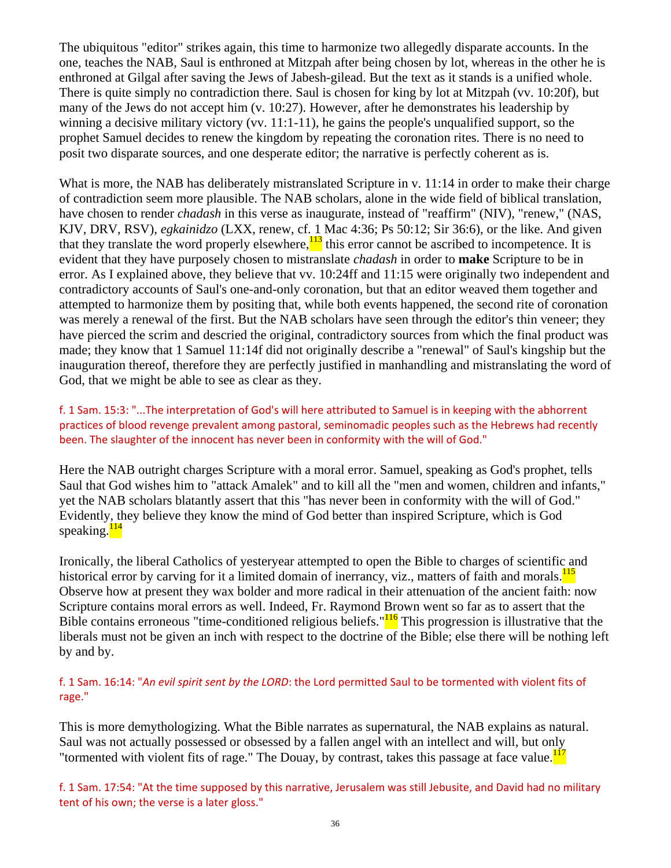The ubiquitous "editor" strikes again, this time to harmonize two allegedly disparate accounts. In the one, teaches the NAB, Saul is enthroned at Mitzpah after being chosen by lot, whereas in the other he is enthroned at Gilgal after saving the Jews of Jabesh-gilead. But the text as it stands is a unified whole. There is quite simply no contradiction there. Saul is chosen for king by lot at Mitzpah (vv. 10:20f), but many of the Jews do not accept him (v. 10:27). However, after he demonstrates his leadership by winning a decisive military victory (vv. 11:1-11), he gains the people's unqualified support, so the prophet Samuel decides to renew the kingdom by repeating the coronation rites. There is no need to posit two disparate sources, and one desperate editor; the narrative is perfectly coherent as is.

What is more, the NAB has deliberately mistranslated Scripture in v. 11:14 in order to make their charge of contradiction seem more plausible. The NAB scholars, alone in the wide field of biblical translation, have chosen to render *chadash* in this verse as inaugurate, instead of "reaffirm" (NIV), "renew," (NAS, KJV, DRV, RSV), *egkainidzo* (LXX, renew, cf. 1 Mac 4:36; Ps 50:12; Sir 36:6), or the like. And given that they translate the word properly elsewhere,  $\frac{113}{13}$  this error cannot be ascribed to incompetence. It is evident that they have purposely chosen to mistranslate *chadash* in order to **make** Scripture to be in error. As I explained above, they believe that vv. 10:24ff and 11:15 were originally two independent and contradictory accounts of Saul's one-and-only coronation, but that an editor weaved them together and attempted to harmonize them by positing that, while both events happened, the second rite of coronation was merely a renewal of the first. But the NAB scholars have seen through the editor's thin veneer; they have pierced the scrim and descried the original, contradictory sources from which the final product was made; they know that 1 Samuel 11:14f did not originally describe a "renewal" of Saul's kingship but the inauguration thereof, therefore they are perfectly justified in manhandling and mistranslating the word of God, that we might be able to see as clear as they.

f. 1 Sam. 15:3: "...The interpretation of God's will here attributed to Samuel is in keeping with the abhorrent practices of blood revenge prevalent among pastoral, seminomadic peoples such as the Hebrews had recently been. The slaughter of the innocent has never been in conformity with the will of God."

Here the NAB outright charges Scripture with a moral error. Samuel, speaking as God's prophet, tells Saul that God wishes him to "attack Amalek" and to kill all the "men and women, children and infants," yet the NAB scholars blatantly assert that this "has never been in conformity with the will of God." Evidently, they believe they know the mind of God better than inspired Scripture, which is God speaking.<sup>114</sup>

Ironically, the liberal Catholics of yesteryear attempted to open the Bible to charges of scientific and historical error by carving for it a limited domain of inerrancy, viz., matters of faith and morals.<sup>115</sup> Observe how at present they wax bolder and more radical in their attenuation of the ancient faith: now Scripture contains moral errors as well. Indeed, Fr. Raymond Brown went so far as to assert that the Bible contains erroneous "time-conditioned religious beliefs." $\frac{116}{10}$  This progression is illustrative that the liberals must not be given an inch with respect to the doctrine of the Bible; else there will be nothing left by and by.

### f. 1 Sam. 16:14: "*An evil spirit sent by the LORD*: the Lord permitted Saul to be tormented with violent fits of rage."

This is more demythologizing. What the Bible narrates as supernatural, the NAB explains as natural. Saul was not actually possessed or obsessed by a fallen angel with an intellect and will, but only "tormented with violent fits of rage." The Douay, by contrast, takes this passage at face value.<sup>117</sup>

f. 1 Sam. 17:54: "At the time supposed by this narrative, Jerusalem was still Jebusite, and David had no military tent of his own; the verse is a later gloss."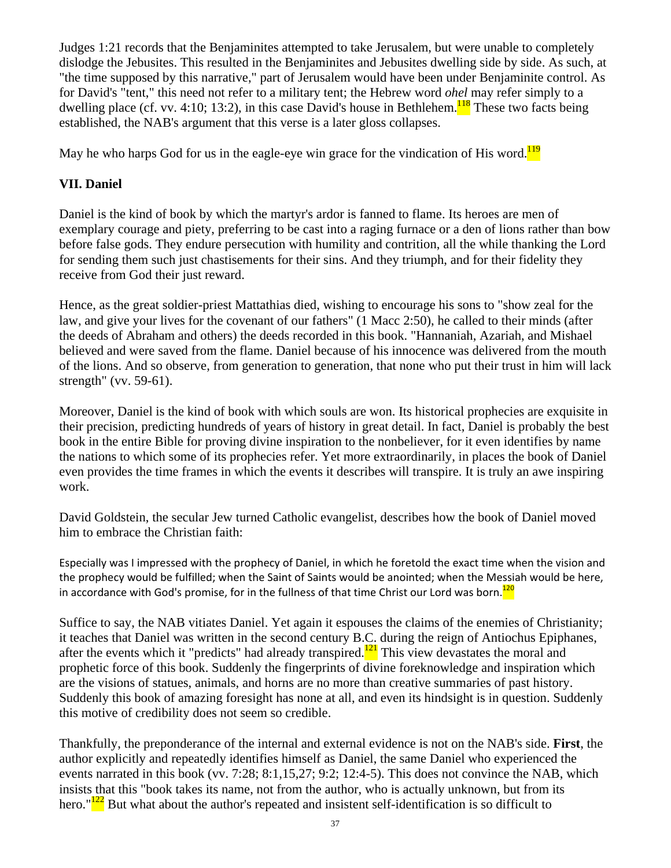Judges 1:21 records that the Benjaminites attempted to take Jerusalem, but were unable to completely dislodge the Jebusites. This resulted in the Benjaminites and Jebusites dwelling side by side. As such, at "the time supposed by this narrative," part of Jerusalem would have been under Benjaminite control. As for David's "tent," this need not refer to a military tent; the Hebrew word *ohel* may refer simply to a dwelling place (cf. vv. 4:10; 13:2), in this case David's house in Bethlehem.<sup>118</sup> These two facts being established, the NAB's argument that this verse is a later gloss collapses.

May he who harps God for us in the eagle-eye win grace for the vindication of His word.<sup>119</sup>

# **VII. Daniel**

Daniel is the kind of book by which the martyr's ardor is fanned to flame. Its heroes are men of exemplary courage and piety, preferring to be cast into a raging furnace or a den of lions rather than bow before false gods. They endure persecution with humility and contrition, all the while thanking the Lord for sending them such just chastisements for their sins. And they triumph, and for their fidelity they receive from God their just reward.

Hence, as the great soldier-priest Mattathias died, wishing to encourage his sons to "show zeal for the law, and give your lives for the covenant of our fathers" (1 Macc 2:50), he called to their minds (after the deeds of Abraham and others) the deeds recorded in this book. "Hannaniah, Azariah, and Mishael believed and were saved from the flame. Daniel because of his innocence was delivered from the mouth of the lions. And so observe, from generation to generation, that none who put their trust in him will lack strength" (vv. 59-61).

Moreover, Daniel is the kind of book with which souls are won. Its historical prophecies are exquisite in their precision, predicting hundreds of years of history in great detail. In fact, Daniel is probably the best book in the entire Bible for proving divine inspiration to the nonbeliever, for it even identifies by name the nations to which some of its prophecies refer. Yet more extraordinarily, in places the book of Daniel even provides the time frames in which the events it describes will transpire. It is truly an awe inspiring work.

David Goldstein, the secular Jew turned Catholic evangelist, describes how the book of Daniel moved him to embrace the Christian faith:

Especially was I impressed with the prophecy of Daniel, in which he foretold the exact time when the vision and the prophecy would be fulfilled; when the Saint of Saints would be anointed; when the Messiah would be here, in accordance with God's promise, for in the fullness of that time Christ our Lord was born. $120$ 

Suffice to say, the NAB vitiates Daniel. Yet again it espouses the claims of the enemies of Christianity; it teaches that Daniel was written in the second century B.C. during the reign of Antiochus Epiphanes, after the events which it "predicts" had already transpired. $121$  This view devastates the moral and prophetic force of this book. Suddenly the fingerprints of divine foreknowledge and inspiration which are the visions of statues, animals, and horns are no more than creative summaries of past history. Suddenly this book of amazing foresight has none at all, and even its hindsight is in question. Suddenly this motive of credibility does not seem so credible.

Thankfully, the preponderance of the internal and external evidence is not on the NAB's side. **First**, the author explicitly and repeatedly identifies himself as Daniel, the same Daniel who experienced the events narrated in this book (vv. 7:28; 8:1,15,27; 9:2; 12:4-5). This does not convince the NAB, which insists that this "book takes its name, not from the author, who is actually unknown, but from its hero." $\frac{122}{2}$  But what about the author's repeated and insistent self-identification is so difficult to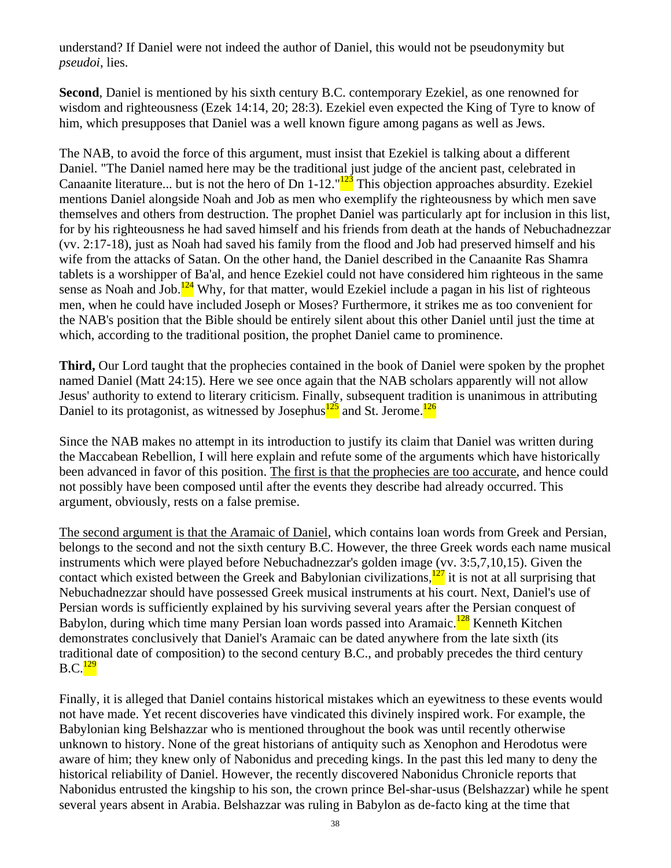understand? If Daniel were not indeed the author of Daniel, this would not be pseudonymity but *pseudoi*, lies.

**Second**, Daniel is mentioned by his sixth century B.C. contemporary Ezekiel, as one renowned for wisdom and righteousness (Ezek 14:14, 20; 28:3). Ezekiel even expected the King of Tyre to know of him, which presupposes that Daniel was a well known figure among pagans as well as Jews.

The NAB, to avoid the force of this argument, must insist that Ezekiel is talking about a different Daniel. "The Daniel named here may be the traditional just judge of the ancient past, celebrated in Canaanite literature... but is not the hero of Dn 1-12."<sup>123</sup> This objection approaches absurdity. Ezekiel mentions Daniel alongside Noah and Job as men who exemplify the righteousness by which men save themselves and others from destruction. The prophet Daniel was particularly apt for inclusion in this list, for by his righteousness he had saved himself and his friends from death at the hands of Nebuchadnezzar (vv. 2:17-18), just as Noah had saved his family from the flood and Job had preserved himself and his wife from the attacks of Satan. On the other hand, the Daniel described in the Canaanite Ras Shamra tablets is a worshipper of Ba'al, and hence Ezekiel could not have considered him righteous in the same sense as Noah and Job. $\frac{124}{12}$  Why, for that matter, would Ezekiel include a pagan in his list of righteous men, when he could have included Joseph or Moses? Furthermore, it strikes me as too convenient for the NAB's position that the Bible should be entirely silent about this other Daniel until just the time at which, according to the traditional position, the prophet Daniel came to prominence.

**Third,** Our Lord taught that the prophecies contained in the book of Daniel were spoken by the prophet named Daniel (Matt 24:15). Here we see once again that the NAB scholars apparently will not allow Jesus' authority to extend to literary criticism. Finally, subsequent tradition is unanimous in attributing Daniel to its protagonist, as witnessed by Josephus $\frac{125}{25}$  and St. Jerome.<sup>126</sup>

Since the NAB makes no attempt in its introduction to justify its claim that Daniel was written during the Maccabean Rebellion, I will here explain and refute some of the arguments which have historically been advanced in favor of this position. The first is that the prophecies are too accurate, and hence could not possibly have been composed until after the events they describe had already occurred. This argument, obviously, rests on a false premise.

The second argument is that the Aramaic of Daniel, which contains loan words from Greek and Persian, belongs to the second and not the sixth century B.C. However, the three Greek words each name musical instruments which were played before Nebuchadnezzar's golden image (vv. 3:5,7,10,15). Given the contact which existed between the Greek and Babylonian civilizations, $\frac{127}{2}$  it is not at all surprising that Nebuchadnezzar should have possessed Greek musical instruments at his court. Next, Daniel's use of Persian words is sufficiently explained by his surviving several years after the Persian conquest of Babylon, during which time many Persian loan words passed into Aramaic.<sup>128</sup> Kenneth Kitchen demonstrates conclusively that Daniel's Aramaic can be dated anywhere from the late sixth (its traditional date of composition) to the second century B.C., and probably precedes the third century  $B.C.<sup>129</sup>$ 

Finally, it is alleged that Daniel contains historical mistakes which an eyewitness to these events would not have made. Yet recent discoveries have vindicated this divinely inspired work. For example, the Babylonian king Belshazzar who is mentioned throughout the book was until recently otherwise unknown to history. None of the great historians of antiquity such as Xenophon and Herodotus were aware of him; they knew only of Nabonidus and preceding kings. In the past this led many to deny the historical reliability of Daniel. However, the recently discovered Nabonidus Chronicle reports that Nabonidus entrusted the kingship to his son, the crown prince Bel-shar-usus (Belshazzar) while he spent several years absent in Arabia. Belshazzar was ruling in Babylon as de-facto king at the time that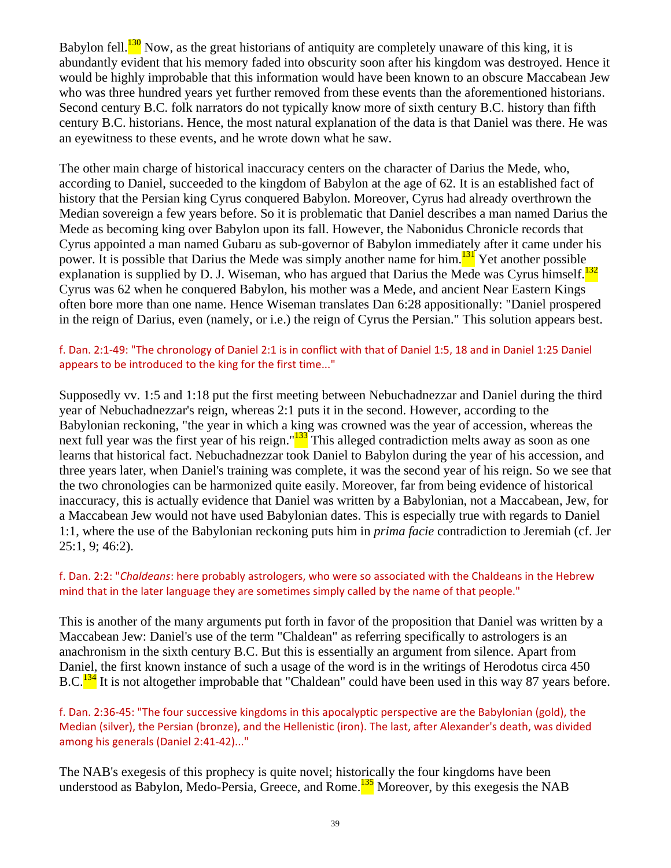Babylon fell.<sup>130</sup> Now, as the great historians of antiquity are completely unaware of this king, it is abundantly evident that his memory faded into obscurity soon after his kingdom was destroyed. Hence it would be highly improbable that this information would have been known to an obscure Maccabean Jew who was three hundred years yet further removed from these events than the aforementioned historians. Second century B.C. folk narrators do not typically know more of sixth century B.C. history than fifth century B.C. historians. Hence, the most natural explanation of the data is that Daniel was there. He was an eyewitness to these events, and he wrote down what he saw.

The other main charge of historical inaccuracy centers on the character of Darius the Mede, who, according to Daniel, succeeded to the kingdom of Babylon at the age of 62. It is an established fact of history that the Persian king Cyrus conquered Babylon. Moreover, Cyrus had already overthrown the Median sovereign a few years before. So it is problematic that Daniel describes a man named Darius the Mede as becoming king over Babylon upon its fall. However, the Nabonidus Chronicle records that Cyrus appointed a man named Gubaru as sub-governor of Babylon immediately after it came under his power. It is possible that Darius the Mede was simply another name for him. $131$  Yet another possible explanation is supplied by D. J. Wiseman, who has argued that Darius the Mede was Cyrus himself.<sup>132</sup> Cyrus was 62 when he conquered Babylon, his mother was a Mede, and ancient Near Eastern Kings often bore more than one name. Hence Wiseman translates Dan 6:28 appositionally: "Daniel prospered in the reign of Darius, even (namely, or i.e.) the reign of Cyrus the Persian." This solution appears best.

#### f. Dan. 2:1‐49: "The chronology of Daniel 2:1 is in conflict with that of Daniel 1:5, 18 and in Daniel 1:25 Daniel appears to be introduced to the king for the first time..."

Supposedly vv. 1:5 and 1:18 put the first meeting between Nebuchadnezzar and Daniel during the third year of Nebuchadnezzar's reign, whereas 2:1 puts it in the second. However, according to the Babylonian reckoning, "the year in which a king was crowned was the year of accession, whereas the next full year was the first year of his reign."<sup>133</sup> This alleged contradiction melts away as soon as one learns that historical fact. Nebuchadnezzar took Daniel to Babylon during the year of his accession, and three years later, when Daniel's training was complete, it was the second year of his reign. So we see that the two chronologies can be harmonized quite easily. Moreover, far from being evidence of historical inaccuracy, this is actually evidence that Daniel was written by a Babylonian, not a Maccabean, Jew, for a Maccabean Jew would not have used Babylonian dates. This is especially true with regards to Daniel 1:1, where the use of the Babylonian reckoning puts him in *prima facie* contradiction to Jeremiah (cf. Jer 25:1, 9; 46:2).

#### f. Dan. 2:2: "*Chaldeans*: here probably astrologers, who were so associated with the Chaldeans in the Hebrew mind that in the later language they are sometimes simply called by the name of that people."

This is another of the many arguments put forth in favor of the proposition that Daniel was written by a Maccabean Jew: Daniel's use of the term "Chaldean" as referring specifically to astrologers is an anachronism in the sixth century B.C. But this is essentially an argument from silence. Apart from Daniel, the first known instance of such a usage of the word is in the writings of Herodotus circa 450 B.C.<sup>134</sup> It is not altogether improbable that "Chaldean" could have been used in this way 87 years before.

f. Dan. 2:36‐45: "The four successive kingdoms in this apocalyptic perspective are the Babylonian (gold), the Median (silver), the Persian (bronze), and the Hellenistic (iron). The last, after Alexander's death, was divided among his generals (Daniel 2:41‐42)..."

The NAB's exegesis of this prophecy is quite novel; historically the four kingdoms have been understood as Babylon, Medo-Persia, Greece, and Rome.<sup>135</sup> Moreover, by this exegesis the NAB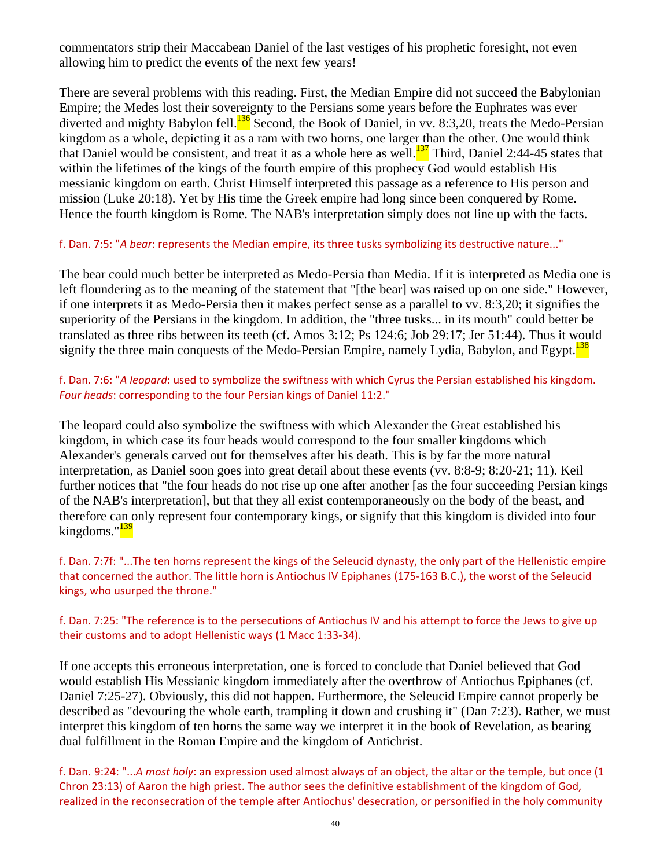commentators strip their Maccabean Daniel of the last vestiges of his prophetic foresight, not even allowing him to predict the events of the next few years!

There are several problems with this reading. First, the Median Empire did not succeed the Babylonian Empire; the Medes lost their sovereignty to the Persians some years before the Euphrates was ever diverted and mighty Babylon fell.<sup>136</sup> Second, the Book of Daniel, in vv. 8:3,20, treats the Medo-Persian kingdom as a whole, depicting it as a ram with two horns, one larger than the other. One would think that Daniel would be consistent, and treat it as a whole here as well. $\frac{137}{137}$  Third, Daniel 2:44-45 states that within the lifetimes of the kings of the fourth empire of this prophecy God would establish His messianic kingdom on earth. Christ Himself interpreted this passage as a reference to His person and mission (Luke 20:18). Yet by His time the Greek empire had long since been conquered by Rome. Hence the fourth kingdom is Rome. The NAB's interpretation simply does not line up with the facts.

#### f. Dan. 7:5: "*A bear*: represents the Median empire, its three tusks symbolizing its destructive nature..."

The bear could much better be interpreted as Medo-Persia than Media. If it is interpreted as Media one is left floundering as to the meaning of the statement that "[the bear] was raised up on one side." However, if one interprets it as Medo-Persia then it makes perfect sense as a parallel to vv. 8:3,20; it signifies the superiority of the Persians in the kingdom. In addition, the "three tusks... in its mouth" could better be translated as three ribs between its teeth (cf. Amos 3:12; Ps 124:6; Job 29:17; Jer 51:44). Thus it would signify the three main conquests of the Medo-Persian Empire, namely Lydia, Babylon, and Egypt. $\frac{138}{138}$ 

f. Dan. 7:6: "*A leopard*: used to symbolize the swiftness with which Cyrus the Persian established his kingdom. *Four heads*: corresponding to the four Persian kings of Daniel 11:2."

The leopard could also symbolize the swiftness with which Alexander the Great established his kingdom, in which case its four heads would correspond to the four smaller kingdoms which Alexander's generals carved out for themselves after his death. This is by far the more natural interpretation, as Daniel soon goes into great detail about these events (vv. 8:8-9; 8:20-21; 11). Keil further notices that "the four heads do not rise up one after another [as the four succeeding Persian kings of the NAB's interpretation], but that they all exist contemporaneously on the body of the beast, and therefore can only represent four contemporary kings, or signify that this kingdom is divided into four kingdoms."<sup>139</sup>

f. Dan. 7:7f: "...The ten horns represent the kings of the Seleucid dynasty, the only part of the Hellenistic empire that concerned the author. The little horn is Antiochus IV Epiphanes (175‐163 B.C.), the worst of the Seleucid kings, who usurped the throne."

#### f. Dan. 7:25: "The reference is to the persecutions of Antiochus IV and his attempt to force the Jews to give up their customs and to adopt Hellenistic ways (1 Macc 1:33‐34).

If one accepts this erroneous interpretation, one is forced to conclude that Daniel believed that God would establish His Messianic kingdom immediately after the overthrow of Antiochus Epiphanes (cf. Daniel 7:25-27). Obviously, this did not happen. Furthermore, the Seleucid Empire cannot properly be described as "devouring the whole earth, trampling it down and crushing it" (Dan 7:23). Rather, we must interpret this kingdom of ten horns the same way we interpret it in the book of Revelation, as bearing dual fulfillment in the Roman Empire and the kingdom of Antichrist.

f. Dan. 9:24: "...*A most holy*: an expression used almost always of an object, the altar or the temple, but once (1 Chron 23:13) of Aaron the high priest. The author sees the definitive establishment of the kingdom of God, realized in the reconsecration of the temple after Antiochus' desecration, or personified in the holy community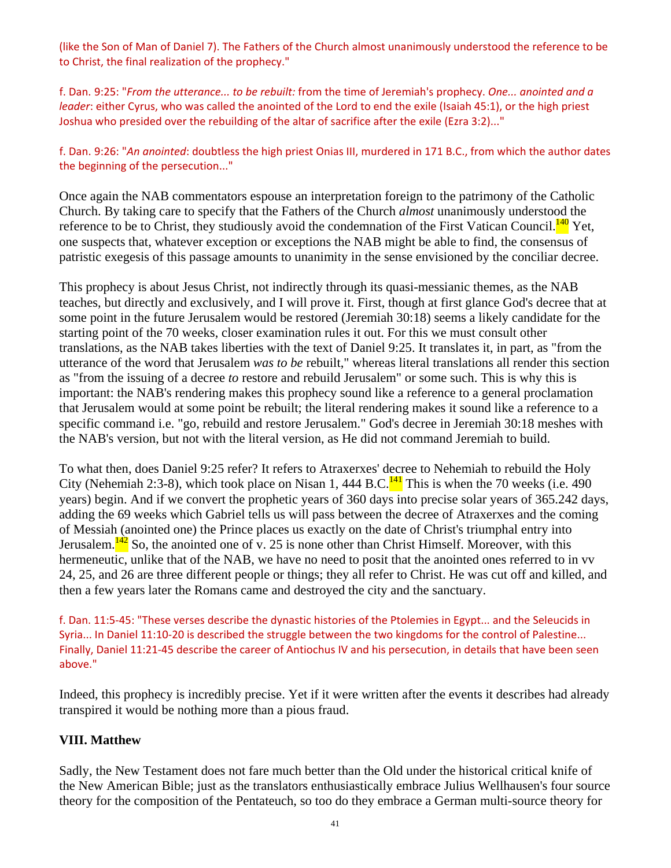(like the Son of Man of Daniel 7). The Fathers of the Church almost unanimously understood the reference to be to Christ, the final realization of the prophecy."

f. Dan. 9:25: "*From the utterance... to be rebuilt:* from the time of Jeremiah's prophecy. *One... anointed and a leader*: either Cyrus, who was called the anointed of the Lord to end the exile (Isaiah 45:1), or the high priest Joshua who presided over the rebuilding of the altar of sacrifice after the exile (Ezra 3:2)..."

f. Dan. 9:26: "*An anointed*: doubtless the high priest Onias III, murdered in 171 B.C., from which the author dates the beginning of the persecution..."

Once again the NAB commentators espouse an interpretation foreign to the patrimony of the Catholic Church. By taking care to specify that the Fathers of the Church *almost* unanimously understood the reference to be to Christ, they studiously avoid the condemnation of the First Vatican Council.<sup>140</sup> Yet, one suspects that, whatever exception or exceptions the NAB might be able to find, the consensus of patristic exegesis of this passage amounts to unanimity in the sense envisioned by the conciliar decree.

This prophecy is about Jesus Christ, not indirectly through its quasi-messianic themes, as the NAB teaches, but directly and exclusively, and I will prove it. First, though at first glance God's decree that at some point in the future Jerusalem would be restored (Jeremiah 30:18) seems a likely candidate for the starting point of the 70 weeks, closer examination rules it out. For this we must consult other translations, as the NAB takes liberties with the text of Daniel 9:25. It translates it, in part, as "from the utterance of the word that Jerusalem *was to be* rebuilt," whereas literal translations all render this section as "from the issuing of a decree *to* restore and rebuild Jerusalem" or some such. This is why this is important: the NAB's rendering makes this prophecy sound like a reference to a general proclamation that Jerusalem would at some point be rebuilt; the literal rendering makes it sound like a reference to a specific command i.e. "go, rebuild and restore Jerusalem." God's decree in Jeremiah 30:18 meshes with the NAB's version, but not with the literal version, as He did not command Jeremiah to build.

To what then, does Daniel 9:25 refer? It refers to Atraxerxes' decree to Nehemiah to rebuild the Holy City (Nehemiah 2:3-8), which took place on Nisan 1, 444 B.C.<sup>141</sup> This is when the 70 weeks (i.e. 490) years) begin. And if we convert the prophetic years of 360 days into precise solar years of 365.242 days, adding the 69 weeks which Gabriel tells us will pass between the decree of Atraxerxes and the coming of Messiah (anointed one) the Prince places us exactly on the date of Christ's triumphal entry into Jerusalem. $\frac{142}{2}$  So, the anointed one of v. 25 is none other than Christ Himself. Moreover, with this hermeneutic, unlike that of the NAB, we have no need to posit that the anointed ones referred to in vv 24, 25, and 26 are three different people or things; they all refer to Christ. He was cut off and killed, and then a few years later the Romans came and destroyed the city and the sanctuary.

f. Dan. 11:5‐45: "These verses describe the dynastic histories of the Ptolemies in Egypt... and the Seleucids in Syria... In Daniel 11:10-20 is described the struggle between the two kingdoms for the control of Palestine... Finally, Daniel 11:21‐45 describe the career of Antiochus IV and his persecution, in details that have been seen above."

Indeed, this prophecy is incredibly precise. Yet if it were written after the events it describes had already transpired it would be nothing more than a pious fraud.

# **VIII. Matthew**

Sadly, the New Testament does not fare much better than the Old under the historical critical knife of the New American Bible; just as the translators enthusiastically embrace Julius Wellhausen's four source theory for the composition of the Pentateuch, so too do they embrace a German multi-source theory for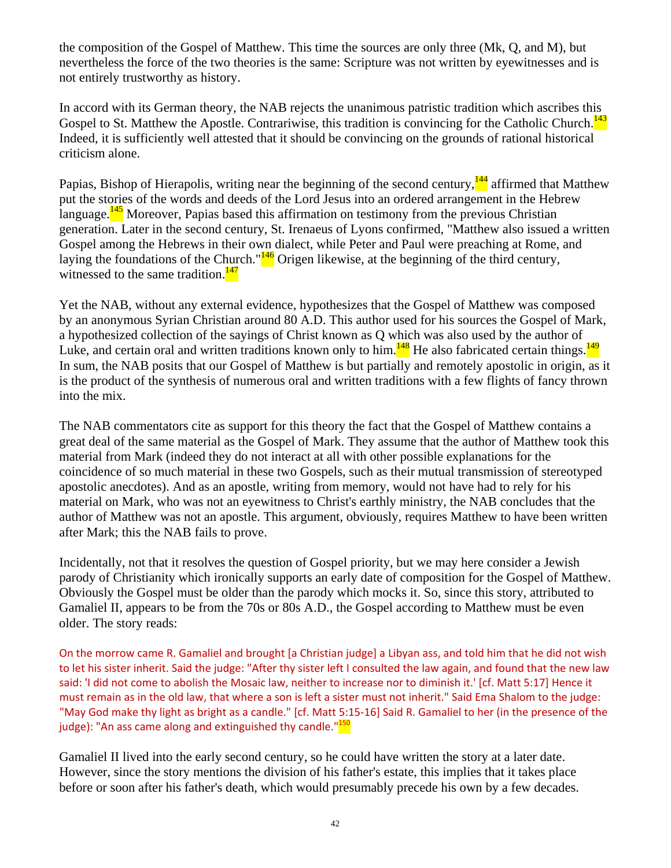the composition of the Gospel of Matthew. This time the sources are only three (Mk, Q, and M), but nevertheless the force of the two theories is the same: Scripture was not written by eyewitnesses and is not entirely trustworthy as history.

In accord with its German theory, the NAB rejects the unanimous patristic tradition which ascribes this Gospel to St. Matthew the Apostle. Contrariwise, this tradition is convincing for the Catholic Church.<sup>143</sup> Indeed, it is sufficiently well attested that it should be convincing on the grounds of rational historical criticism alone.

Papias, Bishop of Hierapolis, writing near the beginning of the second century,  $\frac{144}{4}$  affirmed that Matthew put the stories of the words and deeds of the Lord Jesus into an ordered arrangement in the Hebrew language.<sup>145</sup> Moreover, Papias based this affirmation on testimony from the previous Christian generation. Later in the second century, St. Irenaeus of Lyons confirmed, "Matthew also issued a written Gospel among the Hebrews in their own dialect, while Peter and Paul were preaching at Rome, and laying the foundations of the Church." $\frac{146}{16}$  Origen likewise, at the beginning of the third century, witnessed to the same tradition. $147$ 

Yet the NAB, without any external evidence, hypothesizes that the Gospel of Matthew was composed by an anonymous Syrian Christian around 80 A.D. This author used for his sources the Gospel of Mark, a hypothesized collection of the sayings of Christ known as Q which was also used by the author of Luke, and certain oral and written traditions known only to him. $148$  He also fabricated certain things. $149$ In sum, the NAB posits that our Gospel of Matthew is but partially and remotely apostolic in origin, as it is the product of the synthesis of numerous oral and written traditions with a few flights of fancy thrown into the mix.

The NAB commentators cite as support for this theory the fact that the Gospel of Matthew contains a great deal of the same material as the Gospel of Mark. They assume that the author of Matthew took this material from Mark (indeed they do not interact at all with other possible explanations for the coincidence of so much material in these two Gospels, such as their mutual transmission of stereotyped apostolic anecdotes). And as an apostle, writing from memory, would not have had to rely for his material on Mark, who was not an eyewitness to Christ's earthly ministry, the NAB concludes that the author of Matthew was not an apostle. This argument, obviously, requires Matthew to have been written after Mark; this the NAB fails to prove.

Incidentally, not that it resolves the question of Gospel priority, but we may here consider a Jewish parody of Christianity which ironically supports an early date of composition for the Gospel of Matthew. Obviously the Gospel must be older than the parody which mocks it. So, since this story, attributed to Gamaliel II, appears to be from the 70s or 80s A.D., the Gospel according to Matthew must be even older. The story reads:

On the morrow came R. Gamaliel and brought [a Christian judge] a Libyan ass, and told him that he did not wish to let his sister inherit. Said the judge: "After thy sister left I consulted the law again, and found that the new law said: 'I did not come to abolish the Mosaic law, neither to increase nor to diminish it.' [cf. Matt 5:17] Hence it must remain as in the old law, that where a son is left a sister must not inherit." Said Ema Shalom to the judge: "May God make thy light as bright as a candle." [cf. Matt 5:15‐16] Said R. Gamaliel to her (in the presence of the judge): "An ass came along and extinguished thy candle."<sup>150</sup>

Gamaliel II lived into the early second century, so he could have written the story at a later date. However, since the story mentions the division of his father's estate, this implies that it takes place before or soon after his father's death, which would presumably precede his own by a few decades.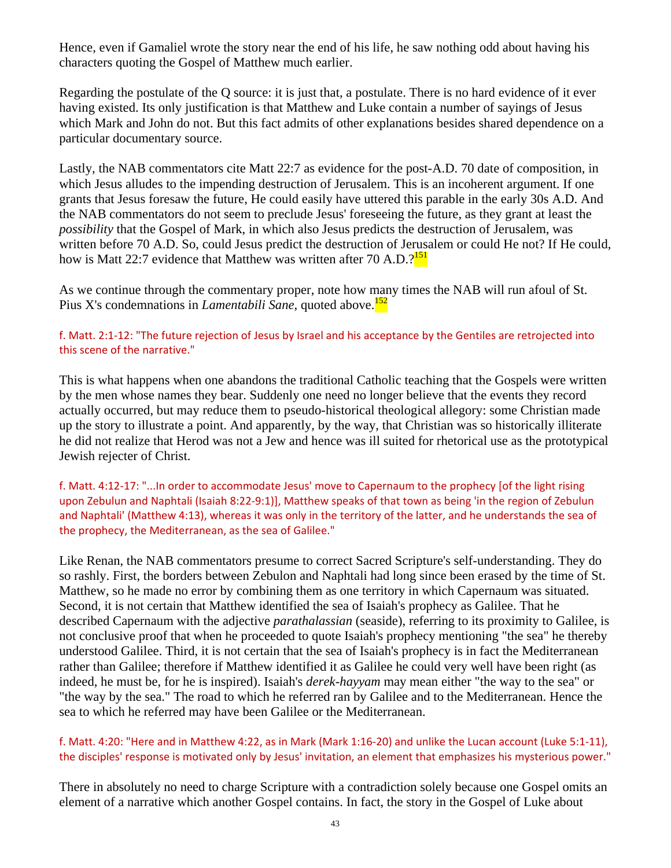Hence, even if Gamaliel wrote the story near the end of his life, he saw nothing odd about having his characters quoting the Gospel of Matthew much earlier.

Regarding the postulate of the Q source: it is just that, a postulate. There is no hard evidence of it ever having existed. Its only justification is that Matthew and Luke contain a number of sayings of Jesus which Mark and John do not. But this fact admits of other explanations besides shared dependence on a particular documentary source.

Lastly, the NAB commentators cite Matt 22:7 as evidence for the post-A.D. 70 date of composition, in which Jesus alludes to the impending destruction of Jerusalem. This is an incoherent argument. If one grants that Jesus foresaw the future, He could easily have uttered this parable in the early 30s A.D. And the NAB commentators do not seem to preclude Jesus' foreseeing the future, as they grant at least the *possibility* that the Gospel of Mark, in which also Jesus predicts the destruction of Jerusalem, was written before 70 A.D. So, could Jesus predict the destruction of Jerusalem or could He not? If He could, how is Matt 22:7 evidence that Matthew was written after 70 A.D.<sup>9151</sup>

As we continue through the commentary proper, note how many times the NAB will run afoul of St. Pius X's condemnations in *Lamentabili Sane*, quoted above.<sup>152</sup>

#### f. Matt. 2:1‐12: "The future rejection of Jesus by Israel and his acceptance by the Gentiles are retrojected into this scene of the narrative."

This is what happens when one abandons the traditional Catholic teaching that the Gospels were written by the men whose names they bear. Suddenly one need no longer believe that the events they record actually occurred, but may reduce them to pseudo-historical theological allegory: some Christian made up the story to illustrate a point. And apparently, by the way, that Christian was so historically illiterate he did not realize that Herod was not a Jew and hence was ill suited for rhetorical use as the prototypical Jewish rejecter of Christ.

f. Matt. 4:12‐17: "...In order to accommodate Jesus' move to Capernaum to the prophecy [of the light rising upon Zebulun and Naphtali (Isaiah 8:22‐9:1)], Matthew speaks of that town as being 'in the region of Zebulun and Naphtali' (Matthew 4:13), whereas it was only in the territory of the latter, and he understands the sea of the prophecy, the Mediterranean, as the sea of Galilee."

Like Renan, the NAB commentators presume to correct Sacred Scripture's self-understanding. They do so rashly. First, the borders between Zebulon and Naphtali had long since been erased by the time of St. Matthew, so he made no error by combining them as one territory in which Capernaum was situated. Second, it is not certain that Matthew identified the sea of Isaiah's prophecy as Galilee. That he described Capernaum with the adjective *parathalassian* (seaside), referring to its proximity to Galilee, is not conclusive proof that when he proceeded to quote Isaiah's prophecy mentioning "the sea" he thereby understood Galilee. Third, it is not certain that the sea of Isaiah's prophecy is in fact the Mediterranean rather than Galilee; therefore if Matthew identified it as Galilee he could very well have been right (as indeed, he must be, for he is inspired). Isaiah's *derek-hayyam* may mean either "the way to the sea" or "the way by the sea." The road to which he referred ran by Galilee and to the Mediterranean. Hence the sea to which he referred may have been Galilee or the Mediterranean.

#### f. Matt. 4:20: "Here and in Matthew 4:22, as in Mark (Mark 1:16‐20) and unlike the Lucan account (Luke 5:1‐11), the disciples' response is motivated only by Jesus' invitation, an element that emphasizes his mysterious power."

There in absolutely no need to charge Scripture with a contradiction solely because one Gospel omits an element of a narrative which another Gospel contains. In fact, the story in the Gospel of Luke about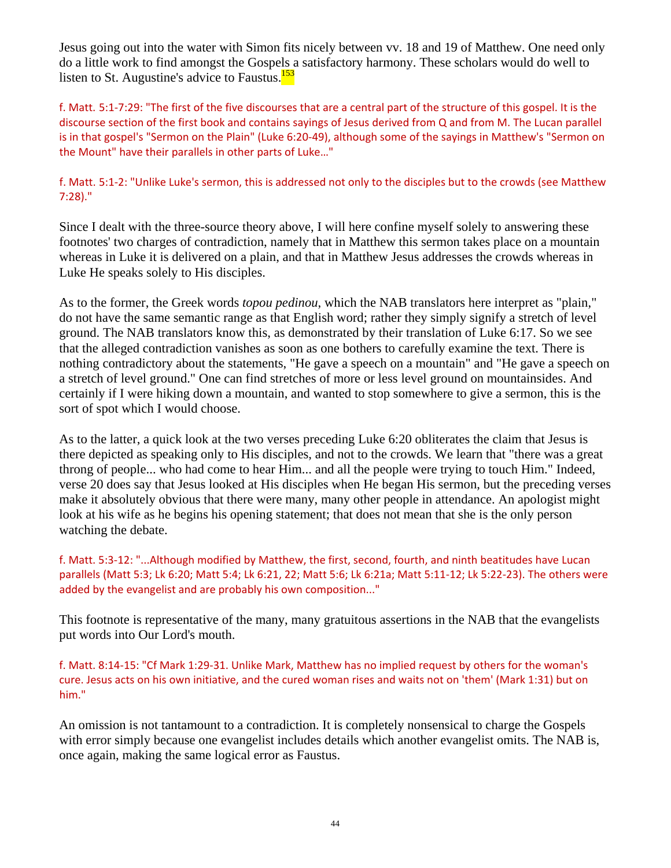Jesus going out into the water with Simon fits nicely between vv. 18 and 19 of Matthew. One need only do a little work to find amongst the Gospels a satisfactory harmony. These scholars would do well to listen to St. Augustine's advice to Faustus.<sup>153</sup>

f. Matt. 5:1‐7:29: "The first of the five discourses that are a central part of the structure of this gospel. It is the discourse section of the first book and contains sayings of Jesus derived from Q and from M. The Lucan parallel is in that gospel's "Sermon on the Plain" (Luke 6:20‐49), although some of the sayings in Matthew's "Sermon on the Mount" have their parallels in other parts of Luke…"

## f. Matt. 5:1-2: "Unlike Luke's sermon, this is addressed not only to the disciples but to the crowds (see Matthew 7:28)."

Since I dealt with the three-source theory above, I will here confine myself solely to answering these footnotes' two charges of contradiction, namely that in Matthew this sermon takes place on a mountain whereas in Luke it is delivered on a plain, and that in Matthew Jesus addresses the crowds whereas in Luke He speaks solely to His disciples.

As to the former, the Greek words *topou pedinou*, which the NAB translators here interpret as "plain," do not have the same semantic range as that English word; rather they simply signify a stretch of level ground. The NAB translators know this, as demonstrated by their translation of Luke 6:17. So we see that the alleged contradiction vanishes as soon as one bothers to carefully examine the text. There is nothing contradictory about the statements, "He gave a speech on a mountain" and "He gave a speech on a stretch of level ground." One can find stretches of more or less level ground on mountainsides. And certainly if I were hiking down a mountain, and wanted to stop somewhere to give a sermon, this is the sort of spot which I would choose.

As to the latter, a quick look at the two verses preceding Luke 6:20 obliterates the claim that Jesus is there depicted as speaking only to His disciples, and not to the crowds. We learn that "there was a great throng of people... who had come to hear Him... and all the people were trying to touch Him." Indeed, verse 20 does say that Jesus looked at His disciples when He began His sermon, but the preceding verses make it absolutely obvious that there were many, many other people in attendance. An apologist might look at his wife as he begins his opening statement; that does not mean that she is the only person watching the debate.

f. Matt. 5:3‐12: "...Although modified by Matthew, the first, second, fourth, and ninth beatitudes have Lucan parallels (Matt 5:3; Lk 6:20; Matt 5:4; Lk 6:21, 22; Matt 5:6; Lk 6:21a; Matt 5:11‐12; Lk 5:22‐23). The others were added by the evangelist and are probably his own composition..."

This footnote is representative of the many, many gratuitous assertions in the NAB that the evangelists put words into Our Lord's mouth.

f. Matt. 8:14‐15: "Cf Mark 1:29‐31. Unlike Mark, Matthew has no implied request by others for the woman's cure. Jesus acts on his own initiative, and the cured woman rises and waits not on 'them' (Mark 1:31) but on him."

An omission is not tantamount to a contradiction. It is completely nonsensical to charge the Gospels with error simply because one evangelist includes details which another evangelist omits. The NAB is, once again, making the same logical error as Faustus.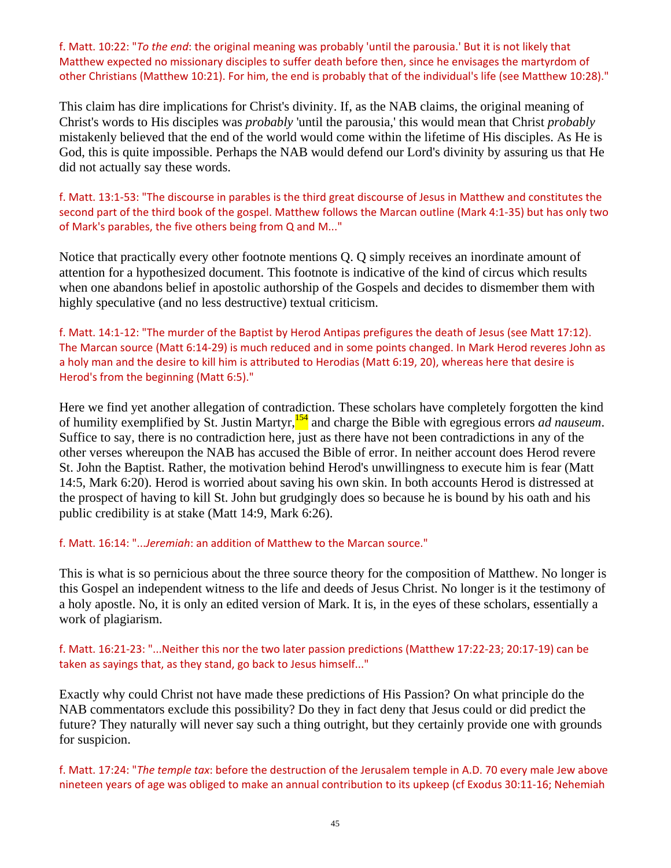f. Matt. 10:22: "*To the end*: the original meaning was probably 'until the parousia.' But it is not likely that Matthew expected no missionary disciples to suffer death before then, since he envisages the martyrdom of other Christians (Matthew 10:21). For him, the end is probably that of the individual's life (see Matthew 10:28)."

This claim has dire implications for Christ's divinity. If, as the NAB claims, the original meaning of Christ's words to His disciples was *probably* 'until the parousia,' this would mean that Christ *probably* mistakenly believed that the end of the world would come within the lifetime of His disciples. As He is God, this is quite impossible. Perhaps the NAB would defend our Lord's divinity by assuring us that He did not actually say these words.

f. Matt. 13:1‐53: "The discourse in parables is the third great discourse of Jesus in Matthew and constitutes the second part of the third book of the gospel. Matthew follows the Marcan outline (Mark 4:1‐35) but has only two of Mark's parables, the five others being from Q and M..."

Notice that practically every other footnote mentions Q. Q simply receives an inordinate amount of attention for a hypothesized document. This footnote is indicative of the kind of circus which results when one abandons belief in apostolic authorship of the Gospels and decides to dismember them with highly speculative (and no less destructive) textual criticism.

f. Matt. 14:1‐12: "The murder of the Baptist by Herod Antipas prefigures the death of Jesus (see Matt 17:12). The Marcan source (Matt 6:14‐29) is much reduced and in some points changed. In Mark Herod reveres John as a holy man and the desire to kill him is attributed to Herodias (Matt 6:19, 20), whereas here that desire is Herod's from the beginning (Matt 6:5)."

Here we find yet another allegation of contradiction. These scholars have completely forgotten the kind of humility exemplified by St. Justin Martyr,154 and charge the Bible with egregious errors *ad nauseum*. Suffice to say, there is no contradiction here, just as there have not been contradictions in any of the other verses whereupon the NAB has accused the Bible of error. In neither account does Herod revere St. John the Baptist. Rather, the motivation behind Herod's unwillingness to execute him is fear (Matt 14:5, Mark 6:20). Herod is worried about saving his own skin. In both accounts Herod is distressed at the prospect of having to kill St. John but grudgingly does so because he is bound by his oath and his public credibility is at stake (Matt 14:9, Mark 6:26).

#### f. Matt. 16:14: "...*Jeremiah*: an addition of Matthew to the Marcan source."

This is what is so pernicious about the three source theory for the composition of Matthew. No longer is this Gospel an independent witness to the life and deeds of Jesus Christ. No longer is it the testimony of a holy apostle. No, it is only an edited version of Mark. It is, in the eyes of these scholars, essentially a work of plagiarism.

f. Matt. 16:21‐23: "...Neither this nor the two later passion predictions (Matthew 17:22‐23; 20:17‐19) can be taken as sayings that, as they stand, go back to Jesus himself..."

Exactly why could Christ not have made these predictions of His Passion? On what principle do the NAB commentators exclude this possibility? Do they in fact deny that Jesus could or did predict the future? They naturally will never say such a thing outright, but they certainly provide one with grounds for suspicion.

f. Matt. 17:24: "*The temple tax*: before the destruction of the Jerusalem temple in A.D. 70 every male Jew above nineteen years of age was obliged to make an annual contribution to its upkeep (cf Exodus 30:11‐16; Nehemiah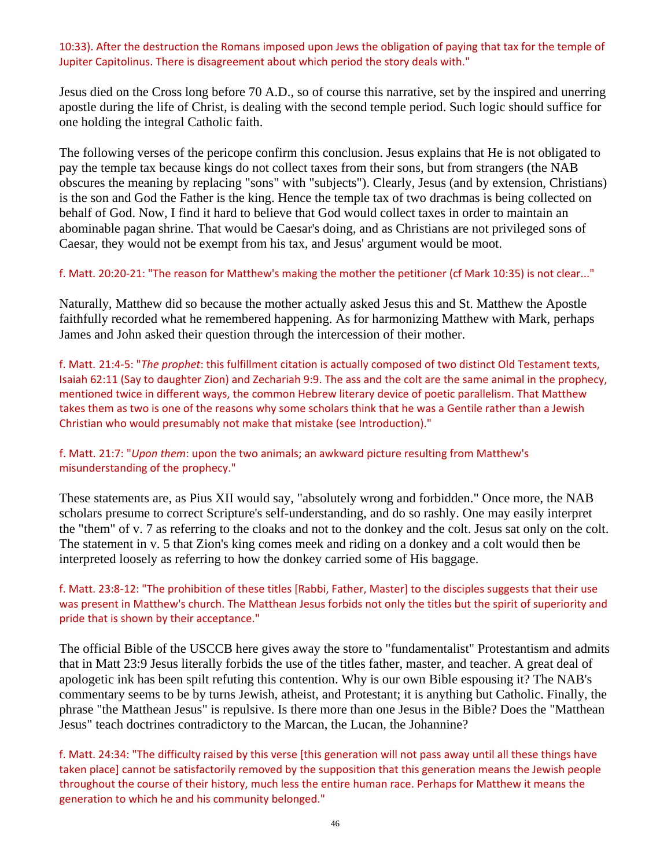#### 10:33). After the destruction the Romans imposed upon Jews the obligation of paying that tax for the temple of Jupiter Capitolinus. There is disagreement about which period the story deals with."

Jesus died on the Cross long before 70 A.D., so of course this narrative, set by the inspired and unerring apostle during the life of Christ, is dealing with the second temple period. Such logic should suffice for one holding the integral Catholic faith.

The following verses of the pericope confirm this conclusion. Jesus explains that He is not obligated to pay the temple tax because kings do not collect taxes from their sons, but from strangers (the NAB obscures the meaning by replacing "sons" with "subjects"). Clearly, Jesus (and by extension, Christians) is the son and God the Father is the king. Hence the temple tax of two drachmas is being collected on behalf of God. Now, I find it hard to believe that God would collect taxes in order to maintain an abominable pagan shrine. That would be Caesar's doing, and as Christians are not privileged sons of Caesar, they would not be exempt from his tax, and Jesus' argument would be moot.

#### f. Matt. 20:20‐21: "The reason for Matthew's making the mother the petitioner (cf Mark 10:35) is not clear..."

Naturally, Matthew did so because the mother actually asked Jesus this and St. Matthew the Apostle faithfully recorded what he remembered happening. As for harmonizing Matthew with Mark, perhaps James and John asked their question through the intercession of their mother.

f. Matt. 21:4‐5: "*The prophet*: this fulfillment citation is actually composed of two distinct Old Testament texts, Isaiah 62:11 (Say to daughter Zion) and Zechariah 9:9. The ass and the colt are the same animal in the prophecy, mentioned twice in different ways, the common Hebrew literary device of poetic parallelism. That Matthew takes them as two is one of the reasons why some scholars think that he was a Gentile rather than a Jewish Christian who would presumably not make that mistake (see Introduction)."

#### f. Matt. 21:7: "*Upon them*: upon the two animals; an awkward picture resulting from Matthew's misunderstanding of the prophecy."

These statements are, as Pius XII would say, "absolutely wrong and forbidden." Once more, the NAB scholars presume to correct Scripture's self-understanding, and do so rashly. One may easily interpret the "them" of v. 7 as referring to the cloaks and not to the donkey and the colt. Jesus sat only on the colt. The statement in v. 5 that Zion's king comes meek and riding on a donkey and a colt would then be interpreted loosely as referring to how the donkey carried some of His baggage.

f. Matt. 23:8‐12: "The prohibition of these titles [Rabbi, Father, Master] to the disciples suggests that their use was present in Matthew's church. The Matthean Jesus forbids not only the titles but the spirit of superiority and pride that is shown by their acceptance."

The official Bible of the USCCB here gives away the store to "fundamentalist" Protestantism and admits that in Matt 23:9 Jesus literally forbids the use of the titles father, master, and teacher. A great deal of apologetic ink has been spilt refuting this contention. Why is our own Bible espousing it? The NAB's commentary seems to be by turns Jewish, atheist, and Protestant; it is anything but Catholic. Finally, the phrase "the Matthean Jesus" is repulsive. Is there more than one Jesus in the Bible? Does the "Matthean Jesus" teach doctrines contradictory to the Marcan, the Lucan, the Johannine?

f. Matt. 24:34: "The difficulty raised by this verse [this generation will not pass away until all these things have taken place] cannot be satisfactorily removed by the supposition that this generation means the Jewish people throughout the course of their history, much less the entire human race. Perhaps for Matthew it means the generation to which he and his community belonged."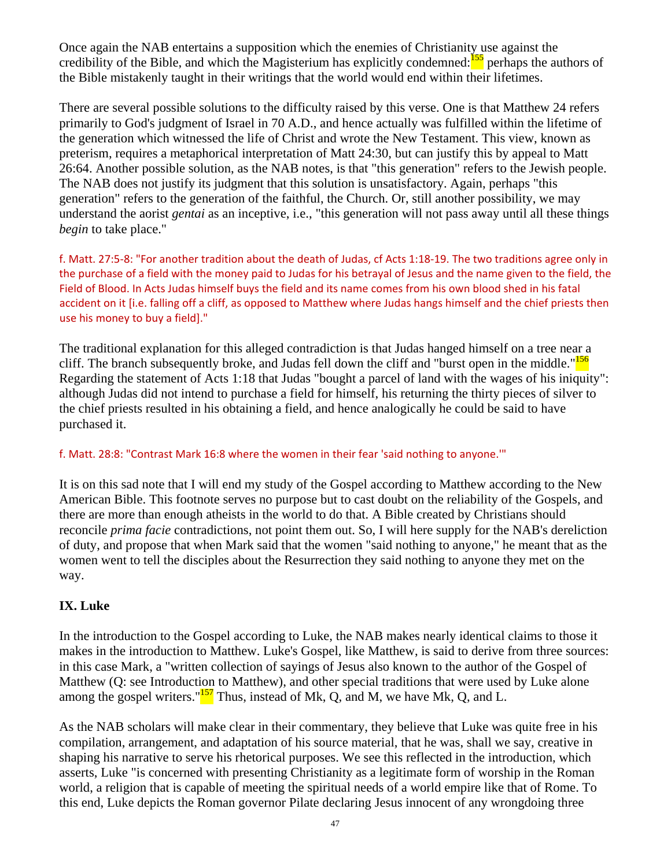Once again the NAB entertains a supposition which the enemies of Christianity use against the credibility of the Bible, and which the Magisterium has explicitly condemned:<sup>155</sup> perhaps the authors of the Bible mistakenly taught in their writings that the world would end within their lifetimes.

There are several possible solutions to the difficulty raised by this verse. One is that Matthew 24 refers primarily to God's judgment of Israel in 70 A.D., and hence actually was fulfilled within the lifetime of the generation which witnessed the life of Christ and wrote the New Testament. This view, known as preterism, requires a metaphorical interpretation of Matt 24:30, but can justify this by appeal to Matt 26:64. Another possible solution, as the NAB notes, is that "this generation" refers to the Jewish people. The NAB does not justify its judgment that this solution is unsatisfactory. Again, perhaps "this generation" refers to the generation of the faithful, the Church. Or, still another possibility, we may understand the aorist *gentai* as an inceptive, i.e., "this generation will not pass away until all these things *begin* to take place."

f. Matt. 27:5‐8: "For another tradition about the death of Judas, cf Acts 1:18‐19. The two traditions agree only in the purchase of a field with the money paid to Judas for his betrayal of Jesus and the name given to the field, the Field of Blood. In Acts Judas himself buys the field and its name comes from his own blood shed in his fatal accident on it [i.e. falling off a cliff, as opposed to Matthew where Judas hangs himself and the chief priests then use his money to buy a field]."

The traditional explanation for this alleged contradiction is that Judas hanged himself on a tree near a cliff. The branch subsequently broke, and Judas fell down the cliff and "burst open in the middle."<sup>156</sup> Regarding the statement of Acts 1:18 that Judas "bought a parcel of land with the wages of his iniquity": although Judas did not intend to purchase a field for himself, his returning the thirty pieces of silver to the chief priests resulted in his obtaining a field, and hence analogically he could be said to have purchased it.

#### f. Matt. 28:8: "Contrast Mark 16:8 where the women in their fear 'said nothing to anyone.'"

It is on this sad note that I will end my study of the Gospel according to Matthew according to the New American Bible. This footnote serves no purpose but to cast doubt on the reliability of the Gospels, and there are more than enough atheists in the world to do that. A Bible created by Christians should reconcile *prima facie* contradictions, not point them out. So, I will here supply for the NAB's dereliction of duty, and propose that when Mark said that the women "said nothing to anyone," he meant that as the women went to tell the disciples about the Resurrection they said nothing to anyone they met on the way.

# **IX. Luke**

In the introduction to the Gospel according to Luke, the NAB makes nearly identical claims to those it makes in the introduction to Matthew. Luke's Gospel, like Matthew, is said to derive from three sources: in this case Mark, a "written collection of sayings of Jesus also known to the author of the Gospel of Matthew (Q: see Introduction to Matthew), and other special traditions that were used by Luke alone among the gospel writers." $157$  Thus, instead of Mk, Q, and M, we have Mk, Q, and L.

As the NAB scholars will make clear in their commentary, they believe that Luke was quite free in his compilation, arrangement, and adaptation of his source material, that he was, shall we say, creative in shaping his narrative to serve his rhetorical purposes. We see this reflected in the introduction, which asserts, Luke "is concerned with presenting Christianity as a legitimate form of worship in the Roman world, a religion that is capable of meeting the spiritual needs of a world empire like that of Rome. To this end, Luke depicts the Roman governor Pilate declaring Jesus innocent of any wrongdoing three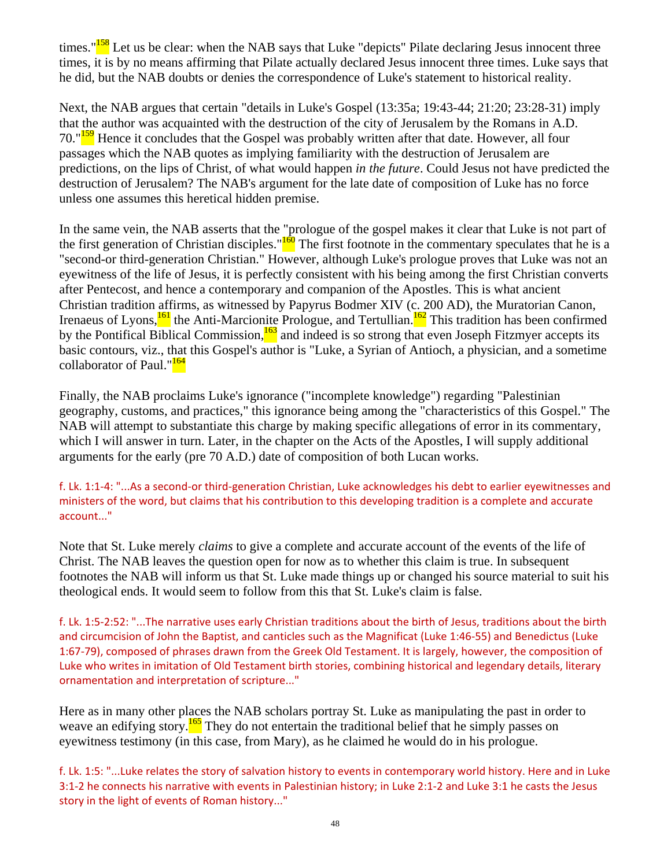times."<sup>158</sup> Let us be clear: when the NAB says that Luke "depicts" Pilate declaring Jesus innocent three times, it is by no means affirming that Pilate actually declared Jesus innocent three times. Luke says that he did, but the NAB doubts or denies the correspondence of Luke's statement to historical reality.

Next, the NAB argues that certain "details in Luke's Gospel (13:35a; 19:43-44; 21:20; 23:28-31) imply that the author was acquainted with the destruction of the city of Jerusalem by the Romans in A.D. 70."<sup>159</sup> Hence it concludes that the Gospel was probably written after that date. However, all four passages which the NAB quotes as implying familiarity with the destruction of Jerusalem are predictions, on the lips of Christ, of what would happen *in the future*. Could Jesus not have predicted the destruction of Jerusalem? The NAB's argument for the late date of composition of Luke has no force unless one assumes this heretical hidden premise.

In the same vein, the NAB asserts that the "prologue of the gospel makes it clear that Luke is not part of the first generation of Christian disciples." $\frac{160}{160}$  The first footnote in the commentary speculates that he is a "second-or third-generation Christian." However, although Luke's prologue proves that Luke was not an eyewitness of the life of Jesus, it is perfectly consistent with his being among the first Christian converts after Pentecost, and hence a contemporary and companion of the Apostles. This is what ancient Christian tradition affirms, as witnessed by Papyrus Bodmer XIV (c. 200 AD), the Muratorian Canon, Irenaeus of Lyons, $\frac{161}{16}$  the Anti-Marcionite Prologue, and Tertullian.<sup>162</sup> This tradition has been confirmed by the Pontifical Biblical Commission,<sup>163</sup> and indeed is so strong that even Joseph Fitzmyer accepts its basic contours, viz., that this Gospel's author is "Luke, a Syrian of Antioch, a physician, and a sometime collaborator of Paul."<sup>164</sup>

Finally, the NAB proclaims Luke's ignorance ("incomplete knowledge") regarding "Palestinian geography, customs, and practices," this ignorance being among the "characteristics of this Gospel." The NAB will attempt to substantiate this charge by making specific allegations of error in its commentary, which I will answer in turn. Later, in the chapter on the Acts of the Apostles, I will supply additional arguments for the early (pre 70 A.D.) date of composition of both Lucan works.

f. Lk. 1:1‐4: "...As a second‐or third‐generation Christian, Luke acknowledges his debt to earlier eyewitnesses and ministers of the word, but claims that his contribution to this developing tradition is a complete and accurate account..."

Note that St. Luke merely *claims* to give a complete and accurate account of the events of the life of Christ. The NAB leaves the question open for now as to whether this claim is true. In subsequent footnotes the NAB will inform us that St. Luke made things up or changed his source material to suit his theological ends. It would seem to follow from this that St. Luke's claim is false.

f. Lk. 1:5‐2:52: "...The narrative uses early Christian traditions about the birth of Jesus, traditions about the birth and circumcision of John the Baptist, and canticles such as the Magnificat (Luke 1:46‐55) and Benedictus (Luke 1:67‐79), composed of phrases drawn from the Greek Old Testament. It is largely, however, the composition of Luke who writes in imitation of Old Testament birth stories, combining historical and legendary details, literary ornamentation and interpretation of scripture..."

Here as in many other places the NAB scholars portray St. Luke as manipulating the past in order to weave an edifying story.<sup>165</sup> They do not entertain the traditional belief that he simply passes on eyewitness testimony (in this case, from Mary), as he claimed he would do in his prologue.

f. Lk. 1:5: "...Luke relates the story of salvation history to events in contemporary world history. Here and in Luke 3:1‐2 he connects his narrative with events in Palestinian history; in Luke 2:1‐2 and Luke 3:1 he casts the Jesus story in the light of events of Roman history..."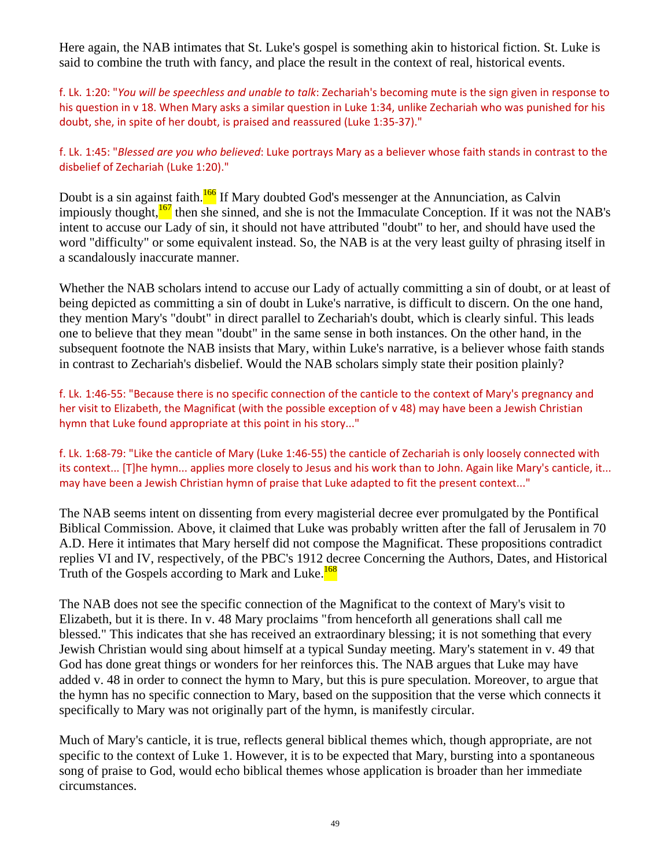Here again, the NAB intimates that St. Luke's gospel is something akin to historical fiction. St. Luke is said to combine the truth with fancy, and place the result in the context of real, historical events.

f. Lk. 1:20: "*You will be speechless and unable to talk*: Zechariah's becoming mute is the sign given in response to his question in v 18. When Mary asks a similar question in Luke 1:34, unlike Zechariah who was punished for his doubt, she, in spite of her doubt, is praised and reassured (Luke 1:35‐37)."

#### f. Lk. 1:45: "*Blessed are you who believed*: Luke portrays Mary as a believer whose faith stands in contrast to the disbelief of Zechariah (Luke 1:20)."

Doubt is a sin against faith.<sup>166</sup> If Mary doubted God's messenger at the Annunciation, as Calvin impiously thought, $\frac{167}{2}$  then she sinned, and she is not the Immaculate Conception. If it was not the NAB's intent to accuse our Lady of sin, it should not have attributed "doubt" to her, and should have used the word "difficulty" or some equivalent instead. So, the NAB is at the very least guilty of phrasing itself in a scandalously inaccurate manner.

Whether the NAB scholars intend to accuse our Lady of actually committing a sin of doubt, or at least of being depicted as committing a sin of doubt in Luke's narrative, is difficult to discern. On the one hand, they mention Mary's "doubt" in direct parallel to Zechariah's doubt, which is clearly sinful. This leads one to believe that they mean "doubt" in the same sense in both instances. On the other hand, in the subsequent footnote the NAB insists that Mary, within Luke's narrative, is a believer whose faith stands in contrast to Zechariah's disbelief. Would the NAB scholars simply state their position plainly?

f. Lk. 1:46‐55: "Because there is no specific connection of the canticle to the context of Mary's pregnancy and her visit to Elizabeth, the Magnificat (with the possible exception of v 48) may have been a Jewish Christian hymn that Luke found appropriate at this point in his story..."

f. Lk. 1:68‐79: "Like the canticle of Mary (Luke 1:46‐55) the canticle of Zechariah is only loosely connected with its context... [T]he hymn... applies more closely to Jesus and his work than to John. Again like Mary's canticle, it... may have been a Jewish Christian hymn of praise that Luke adapted to fit the present context..."

The NAB seems intent on dissenting from every magisterial decree ever promulgated by the Pontifical Biblical Commission. Above, it claimed that Luke was probably written after the fall of Jerusalem in 70 A.D. Here it intimates that Mary herself did not compose the Magnificat. These propositions contradict replies VI and IV, respectively, of the PBC's 1912 decree Concerning the Authors, Dates, and Historical Truth of the Gospels according to Mark and Luke.<sup>168</sup>

The NAB does not see the specific connection of the Magnificat to the context of Mary's visit to Elizabeth, but it is there. In v. 48 Mary proclaims "from henceforth all generations shall call me blessed." This indicates that she has received an extraordinary blessing; it is not something that every Jewish Christian would sing about himself at a typical Sunday meeting. Mary's statement in v. 49 that God has done great things or wonders for her reinforces this. The NAB argues that Luke may have added v. 48 in order to connect the hymn to Mary, but this is pure speculation. Moreover, to argue that the hymn has no specific connection to Mary, based on the supposition that the verse which connects it specifically to Mary was not originally part of the hymn, is manifestly circular.

Much of Mary's canticle, it is true, reflects general biblical themes which, though appropriate, are not specific to the context of Luke 1. However, it is to be expected that Mary, bursting into a spontaneous song of praise to God, would echo biblical themes whose application is broader than her immediate circumstances.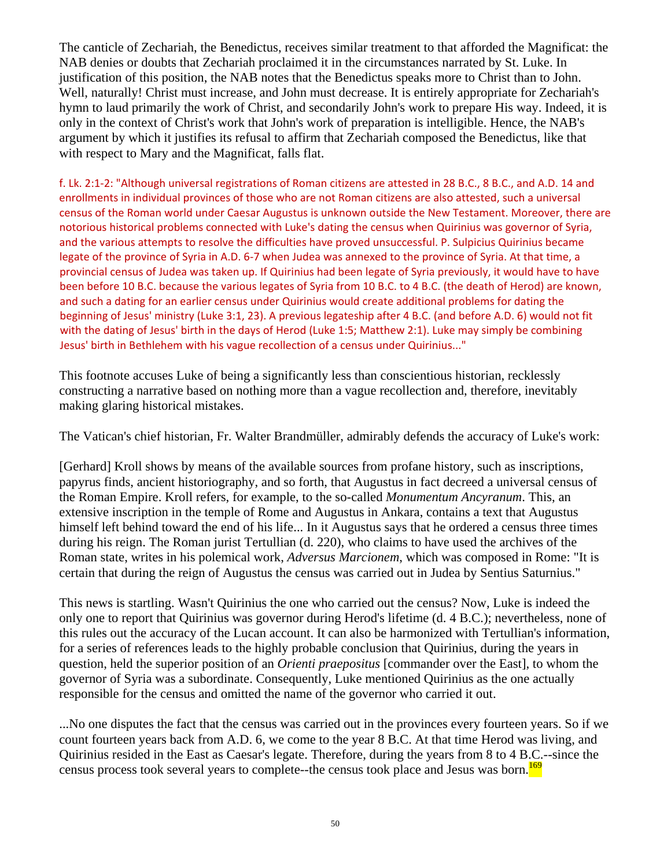The canticle of Zechariah, the Benedictus, receives similar treatment to that afforded the Magnificat: the NAB denies or doubts that Zechariah proclaimed it in the circumstances narrated by St. Luke. In justification of this position, the NAB notes that the Benedictus speaks more to Christ than to John. Well, naturally! Christ must increase, and John must decrease. It is entirely appropriate for Zechariah's hymn to laud primarily the work of Christ, and secondarily John's work to prepare His way. Indeed, it is only in the context of Christ's work that John's work of preparation is intelligible. Hence, the NAB's argument by which it justifies its refusal to affirm that Zechariah composed the Benedictus, like that with respect to Mary and the Magnificat, falls flat.

f. Lk. 2:1‐2: "Although universal registrations of Roman citizens are attested in 28 B.C., 8 B.C., and A.D. 14 and enrollments in individual provinces of those who are not Roman citizens are also attested, such a universal census of the Roman world under Caesar Augustus is unknown outside the New Testament. Moreover, there are notorious historical problems connected with Luke's dating the census when Quirinius was governor of Syria, and the various attempts to resolve the difficulties have proved unsuccessful. P. Sulpicius Quirinius became legate of the province of Syria in A.D. 6‐7 when Judea was annexed to the province of Syria. At that time, a provincial census of Judea was taken up. If Quirinius had been legate of Syria previously, it would have to have been before 10 B.C. because the various legates of Syria from 10 B.C. to 4 B.C. (the death of Herod) are known, and such a dating for an earlier census under Quirinius would create additional problems for dating the beginning of Jesus' ministry (Luke 3:1, 23). A previous legateship after 4 B.C. (and before A.D. 6) would not fit with the dating of Jesus' birth in the days of Herod (Luke 1:5; Matthew 2:1). Luke may simply be combining Jesus' birth in Bethlehem with his vague recollection of a census under Quirinius..."

This footnote accuses Luke of being a significantly less than conscientious historian, recklessly constructing a narrative based on nothing more than a vague recollection and, therefore, inevitably making glaring historical mistakes.

The Vatican's chief historian, Fr. Walter Brandmüller, admirably defends the accuracy of Luke's work:

[Gerhard] Kroll shows by means of the available sources from profane history, such as inscriptions, papyrus finds, ancient historiography, and so forth, that Augustus in fact decreed a universal census of the Roman Empire. Kroll refers, for example, to the so-called *Monumentum Ancyranum*. This, an extensive inscription in the temple of Rome and Augustus in Ankara, contains a text that Augustus himself left behind toward the end of his life... In it Augustus says that he ordered a census three times during his reign. The Roman jurist Tertullian (d. 220), who claims to have used the archives of the Roman state, writes in his polemical work, *Adversus Marcionem*, which was composed in Rome: "It is certain that during the reign of Augustus the census was carried out in Judea by Sentius Saturnius."

This news is startling. Wasn't Quirinius the one who carried out the census? Now, Luke is indeed the only one to report that Quirinius was governor during Herod's lifetime (d. 4 B.C.); nevertheless, none of this rules out the accuracy of the Lucan account. It can also be harmonized with Tertullian's information, for a series of references leads to the highly probable conclusion that Quirinius, during the years in question, held the superior position of an *Orienti praepositus* [commander over the East], to whom the governor of Syria was a subordinate. Consequently, Luke mentioned Quirinius as the one actually responsible for the census and omitted the name of the governor who carried it out.

...No one disputes the fact that the census was carried out in the provinces every fourteen years. So if we count fourteen years back from A.D. 6, we come to the year 8 B.C. At that time Herod was living, and Quirinius resided in the East as Caesar's legate. Therefore, during the years from 8 to 4 B.C.--since the census process took several years to complete--the census took place and Jesus was born.<sup>169</sup>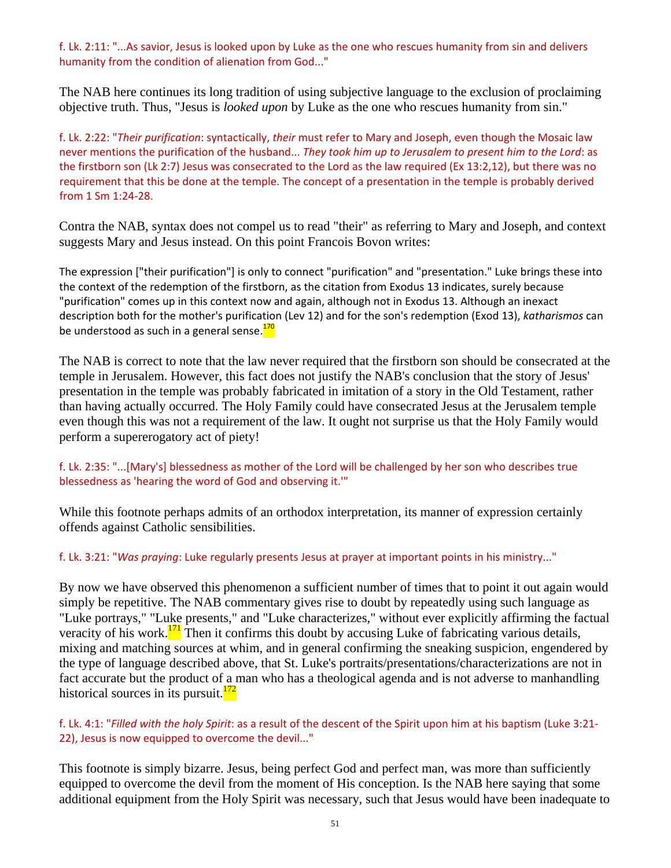f. Lk. 2:11: "...As savior, Jesus is looked upon by Luke as the one who rescues humanity from sin and delivers humanity from the condition of alienation from God..."

The NAB here continues its long tradition of using subjective language to the exclusion of proclaiming objective truth. Thus, "Jesus is *looked upon* by Luke as the one who rescues humanity from sin."

f. Lk. 2:22: "*Their purification*: syntactically, *their* must refer to Mary and Joseph, even though the Mosaic law never mentions the purification of the husband... *They took him up to Jerusalem to present him to the Lord*: as the firstborn son (Lk 2:7) Jesus was consecrated to the Lord as the law required (Ex 13:2,12), but there was no requirement that this be done at the temple. The concept of a presentation in the temple is probably derived from 1 Sm 1:24‐28.

Contra the NAB, syntax does not compel us to read "their" as referring to Mary and Joseph, and context suggests Mary and Jesus instead. On this point Francois Bovon writes:

The expression ["their purification"] is only to connect "purification" and "presentation." Luke brings these into the context of the redemption of the firstborn, as the citation from Exodus 13 indicates, surely because "purification" comes up in this context now and again, although not in Exodus 13. Although an inexact description both for the mother's purification (Lev 12) and for the son's redemption (Exod 13), *katharismos* can be understood as such in a general sense.<sup>170</sup>

The NAB is correct to note that the law never required that the firstborn son should be consecrated at the temple in Jerusalem. However, this fact does not justify the NAB's conclusion that the story of Jesus' presentation in the temple was probably fabricated in imitation of a story in the Old Testament, rather than having actually occurred. The Holy Family could have consecrated Jesus at the Jerusalem temple even though this was not a requirement of the law. It ought not surprise us that the Holy Family would perform a supererogatory act of piety!

### f. Lk. 2:35: "...[Mary's] blessedness as mother of the Lord will be challenged by her son who describes true blessedness as 'hearing the word of God and observing it.'"

While this footnote perhaps admits of an orthodox interpretation, its manner of expression certainly offends against Catholic sensibilities.

f. Lk. 3:21: "*Was praying*: Luke regularly presents Jesus at prayer at important points in his ministry..."

By now we have observed this phenomenon a sufficient number of times that to point it out again would simply be repetitive. The NAB commentary gives rise to doubt by repeatedly using such language as "Luke portrays," "Luke presents," and "Luke characterizes," without ever explicitly affirming the factual veracity of his work. $171$ <sup>171</sup> Then it confirms this doubt by accusing Luke of fabricating various details, mixing and matching sources at whim, and in general confirming the sneaking suspicion, engendered by the type of language described above, that St. Luke's portraits/presentations/characterizations are not in fact accurate but the product of a man who has a theological agenda and is not adverse to manhandling historical sources in its pursuit. $172$ 

### f. Lk. 4:1: "*Filled with the holy Spirit*: as a result of the descent of the Spirit upon him at his baptism (Luke 3:21‐ 22), Jesus is now equipped to overcome the devil..."

This footnote is simply bizarre. Jesus, being perfect God and perfect man, was more than sufficiently equipped to overcome the devil from the moment of His conception. Is the NAB here saying that some additional equipment from the Holy Spirit was necessary, such that Jesus would have been inadequate to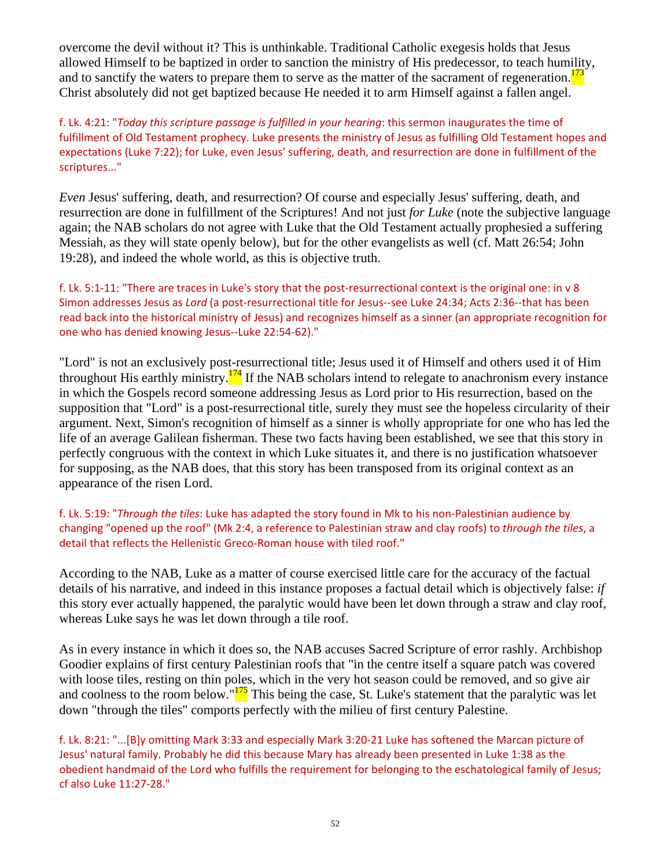overcome the devil without it? This is unthinkable. Traditional Catholic exegesis holds that Jesus allowed Himself to be baptized in order to sanction the ministry of His predecessor, to teach humility, and to sanctify the waters to prepare them to serve as the matter of the sacrament of regeneration. $173$ Christ absolutely did not get baptized because He needed it to arm Himself against a fallen angel.

f. Lk. 4:21: "*Today this scripture passage is fulfilled in your hearing*: this sermon inaugurates the time of fulfillment of Old Testament prophecy. Luke presents the ministry of Jesus as fulfilling Old Testament hopes and expectations (Luke 7:22); for Luke, even Jesus' suffering, death, and resurrection are done in fulfillment of the scriptures..."

*Even* Jesus' suffering, death, and resurrection? Of course and especially Jesus' suffering, death, and resurrection are done in fulfillment of the Scriptures! And not just *for Luke* (note the subjective language again; the NAB scholars do not agree with Luke that the Old Testament actually prophesied a suffering Messiah, as they will state openly below), but for the other evangelists as well (cf. Matt 26:54; John 19:28), and indeed the whole world, as this is objective truth.

f. Lk. 5:1-11: "There are traces in Luke's story that the post-resurrectional context is the original one: in v 8 Simon addresses Jesus as *Lord* (a post‐resurrectional title for Jesus‐‐see Luke 24:34; Acts 2:36‐‐that has been read back into the historical ministry of Jesus) and recognizes himself as a sinner (an appropriate recognition for one who has denied knowing Jesus‐‐Luke 22:54‐62)."

"Lord" is not an exclusively post-resurrectional title; Jesus used it of Himself and others used it of Him throughout His earthly ministry. $\frac{174}{174}$  If the NAB scholars intend to relegate to anachronism every instance in which the Gospels record someone addressing Jesus as Lord prior to His resurrection, based on the supposition that "Lord" is a post-resurrectional title, surely they must see the hopeless circularity of their argument. Next, Simon's recognition of himself as a sinner is wholly appropriate for one who has led the life of an average Galilean fisherman. These two facts having been established, we see that this story in perfectly congruous with the context in which Luke situates it, and there is no justification whatsoever for supposing, as the NAB does, that this story has been transposed from its original context as an appearance of the risen Lord.

#### f. Lk. 5:19: "*Through the tiles*: Luke has adapted the story found in Mk to his non‐Palestinian audience by changing "opened up the roof" (Mk 2:4, a reference to Palestinian straw and clay roofs) to *through the tiles*, a detail that reflects the Hellenistic Greco‐Roman house with tiled roof."

According to the NAB, Luke as a matter of course exercised little care for the accuracy of the factual details of his narrative, and indeed in this instance proposes a factual detail which is objectively false: *if* this story ever actually happened, the paralytic would have been let down through a straw and clay roof, whereas Luke says he was let down through a tile roof.

As in every instance in which it does so, the NAB accuses Sacred Scripture of error rashly. Archbishop Goodier explains of first century Palestinian roofs that "in the centre itself a square patch was covered with loose tiles, resting on thin poles, which in the very hot season could be removed, and so give air and coolness to the room below."<sup>175</sup> This being the case, St. Luke's statement that the paralytic was let down "through the tiles" comports perfectly with the milieu of first century Palestine.

f. Lk. 8:21: "...[B]y omitting Mark 3:33 and especially Mark 3:20‐21 Luke has softened the Marcan picture of Jesus' natural family. Probably he did this because Mary has already been presented in Luke 1:38 as the obedient handmaid of the Lord who fulfills the requirement for belonging to the eschatological family of Jesus; cf also Luke 11:27‐28."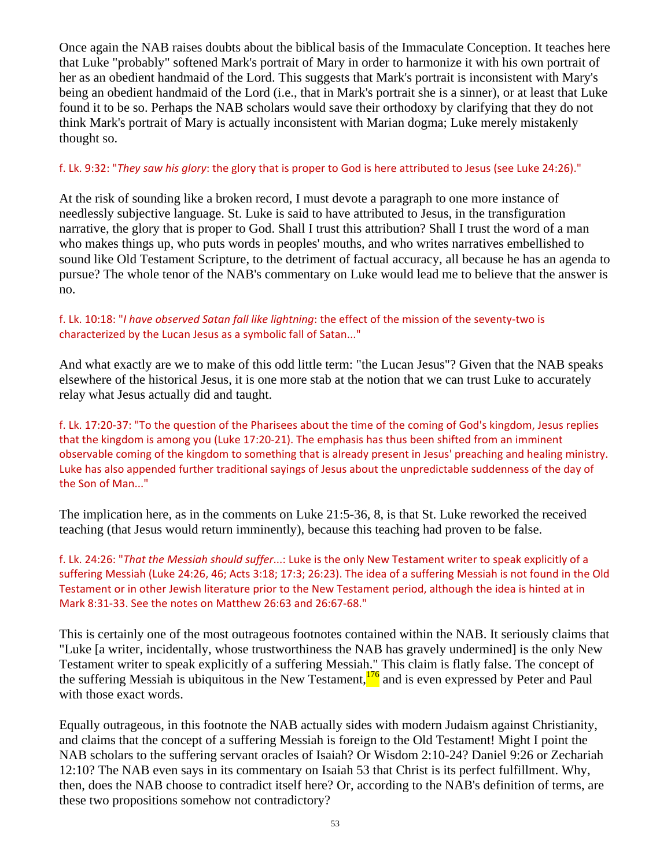Once again the NAB raises doubts about the biblical basis of the Immaculate Conception. It teaches here that Luke "probably" softened Mark's portrait of Mary in order to harmonize it with his own portrait of her as an obedient handmaid of the Lord. This suggests that Mark's portrait is inconsistent with Mary's being an obedient handmaid of the Lord (i.e., that in Mark's portrait she is a sinner), or at least that Luke found it to be so. Perhaps the NAB scholars would save their orthodoxy by clarifying that they do not think Mark's portrait of Mary is actually inconsistent with Marian dogma; Luke merely mistakenly thought so.

#### f. Lk. 9:32: "*They saw his glory*: the glory that is proper to God is here attributed to Jesus (see Luke 24:26)."

At the risk of sounding like a broken record, I must devote a paragraph to one more instance of needlessly subjective language. St. Luke is said to have attributed to Jesus, in the transfiguration narrative, the glory that is proper to God. Shall I trust this attribution? Shall I trust the word of a man who makes things up, who puts words in peoples' mouths, and who writes narratives embellished to sound like Old Testament Scripture, to the detriment of factual accuracy, all because he has an agenda to pursue? The whole tenor of the NAB's commentary on Luke would lead me to believe that the answer is no.

### f. Lk. 10:18: "*I have observed Satan fall like lightning*: the effect of the mission of the seventy‐two is characterized by the Lucan Jesus as a symbolic fall of Satan..."

And what exactly are we to make of this odd little term: "the Lucan Jesus"? Given that the NAB speaks elsewhere of the historical Jesus, it is one more stab at the notion that we can trust Luke to accurately relay what Jesus actually did and taught.

f. Lk. 17:20‐37: "To the question of the Pharisees about the time of the coming of God's kingdom, Jesus replies that the kingdom is among you (Luke 17:20‐21). The emphasis has thus been shifted from an imminent observable coming of the kingdom to something that is already present in Jesus' preaching and healing ministry. Luke has also appended further traditional sayings of Jesus about the unpredictable suddenness of the day of the Son of Man..."

The implication here, as in the comments on Luke 21:5-36, 8, is that St. Luke reworked the received teaching (that Jesus would return imminently), because this teaching had proven to be false.

f. Lk. 24:26: "*That the Messiah should suffer*...: Luke is the only New Testament writer to speak explicitly of a suffering Messiah (Luke 24:26, 46; Acts 3:18; 17:3; 26:23). The idea of a suffering Messiah is not found in the Old Testament or in other Jewish literature prior to the New Testament period, although the idea is hinted at in Mark 8:31‐33. See the notes on Matthew 26:63 and 26:67‐68."

This is certainly one of the most outrageous footnotes contained within the NAB. It seriously claims that "Luke [a writer, incidentally, whose trustworthiness the NAB has gravely undermined] is the only New Testament writer to speak explicitly of a suffering Messiah." This claim is flatly false. The concept of the suffering Messiah is ubiquitous in the New Testament,<sup>176</sup> and is even expressed by Peter and Paul with those exact words.

Equally outrageous, in this footnote the NAB actually sides with modern Judaism against Christianity, and claims that the concept of a suffering Messiah is foreign to the Old Testament! Might I point the NAB scholars to the suffering servant oracles of Isaiah? Or Wisdom 2:10-24? Daniel 9:26 or Zechariah 12:10? The NAB even says in its commentary on Isaiah 53 that Christ is its perfect fulfillment. Why, then, does the NAB choose to contradict itself here? Or, according to the NAB's definition of terms, are these two propositions somehow not contradictory?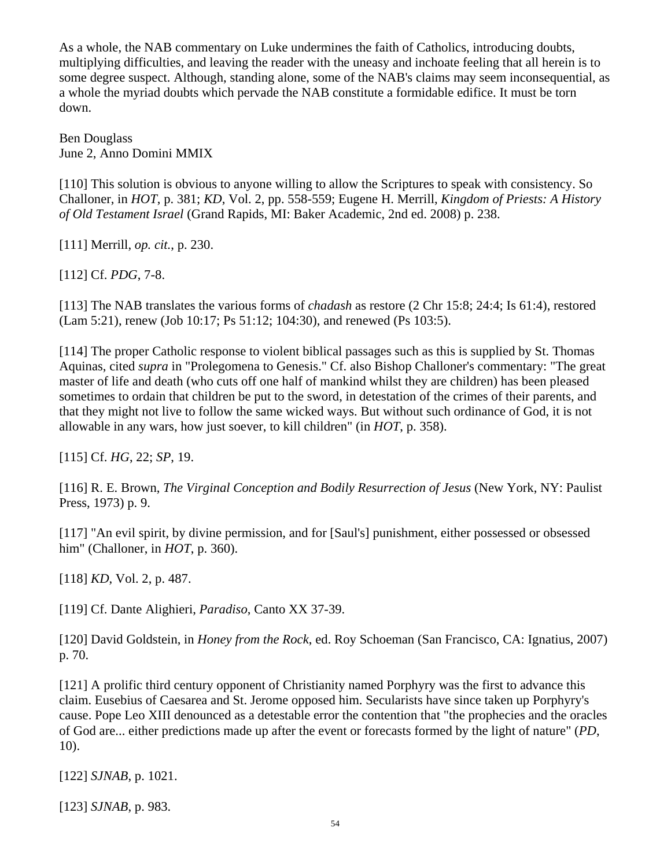As a whole, the NAB commentary on Luke undermines the faith of Catholics, introducing doubts, multiplying difficulties, and leaving the reader with the uneasy and inchoate feeling that all herein is to some degree suspect. Although, standing alone, some of the NAB's claims may seem inconsequential, as a whole the myriad doubts which pervade the NAB constitute a formidable edifice. It must be torn down.

Ben Douglass June 2, Anno Domini MMIX

[110] This solution is obvious to anyone willing to allow the Scriptures to speak with consistency. So Challoner, in *HOT*, p. 381; *KD*, Vol. 2, pp. 558-559; Eugene H. Merrill, *Kingdom of Priests: A History of Old Testament Israel* (Grand Rapids, MI: Baker Academic, 2nd ed. 2008) p. 238.

[111] Merrill, *op. cit.*, p. 230.

[112] Cf. *PDG*, 7-8.

[113] The NAB translates the various forms of *chadash* as restore (2 Chr 15:8; 24:4; Is 61:4), restored (Lam 5:21), renew (Job 10:17; Ps 51:12; 104:30), and renewed (Ps 103:5).

[114] The proper Catholic response to violent biblical passages such as this is supplied by St. Thomas Aquinas, cited *supra* in "Prolegomena to Genesis." Cf. also Bishop Challoner's commentary: "The great master of life and death (who cuts off one half of mankind whilst they are children) has been pleased sometimes to ordain that children be put to the sword, in detestation of the crimes of their parents, and that they might not live to follow the same wicked ways. But without such ordinance of God, it is not allowable in any wars, how just soever, to kill children" (in *HOT*, p. 358).

[115] Cf. *HG*, 22; *SP*, 19.

[116] R. E. Brown, *The Virginal Conception and Bodily Resurrection of Jesus* (New York, NY: Paulist Press, 1973) p. 9.

[117] "An evil spirit, by divine permission, and for [Saul's] punishment, either possessed or obsessed him" (Challoner, in *HOT*, p. 360).

[118] *KD*, Vol. 2, p. 487.

[119] Cf. Dante Alighieri, *Paradiso*, Canto XX 37-39.

[120] David Goldstein, in *Honey from the Rock*, ed. Roy Schoeman (San Francisco, CA: Ignatius, 2007) p. 70.

[121] A prolific third century opponent of Christianity named Porphyry was the first to advance this claim. Eusebius of Caesarea and St. Jerome opposed him. Secularists have since taken up Porphyry's cause. Pope Leo XIII denounced as a detestable error the contention that "the prophecies and the oracles of God are... either predictions made up after the event or forecasts formed by the light of nature" (*PD*, 10).

[122] *SJNAB*, p. 1021.

[123] *SJNAB*, p. 983.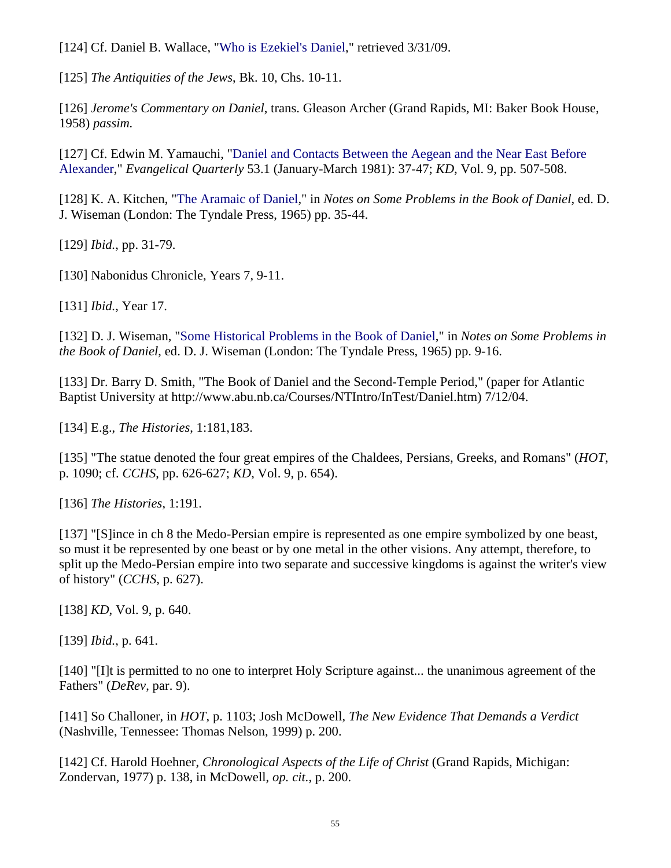[124] Cf. Daniel B. Wallace, ["Who is Ezekiel's Daniel](http://www.bible.org/page.php?page_id=1576)," retrieved 3/31/09.

[125] *The Antiquities of the Jews*, Bk. 10, Chs. 10-11.

[126] *Jerome's Commentary on Daniel*, trans. Gleason Archer (Grand Rapids, MI: Baker Book House, 1958) *passim.*

[127] Cf. Edwin M. Yamauchi, ["Daniel and Contacts Between the Aegean and the Near East Before](http://www.biblicalstudies.org.uk/pdf/daniel_yamauchi.pdf)  [Alexander,](http://www.biblicalstudies.org.uk/pdf/daniel_yamauchi.pdf)" *Evangelical Quarterly* 53.1 (January-March 1981): 37-47; *KD*, Vol. 9, pp. 507-508.

[128] K. A. Kitchen, ["The Aramaic of Daniel](http://www.biblicalstudies.org.uk/pdf/daniel_kitchen.pdf)," in *Notes on Some Problems in the Book of Daniel*, ed. D. J. Wiseman (London: The Tyndale Press, 1965) pp. 35-44.

[129] *Ibid.*, pp. 31-79.

[130] Nabonidus Chronicle, Years 7, 9-11.

[131] *Ibid.*, Year 17.

[132] D. J. Wiseman, "[Some Historical Problems in the Book of Daniel,](http://www.biblicalstudies.org.uk/pdf/daniel_wiseman.pdf)" in *Notes on Some Problems in the Book of Daniel*, ed. D. J. Wiseman (London: The Tyndale Press, 1965) pp. 9-16.

[133] Dr. Barry D. Smith, "The Book of Daniel and the Second-Temple Period," (paper for Atlantic Baptist University at http://www.abu.nb.ca/Courses/NTIntro/InTest/Daniel.htm) 7/12/04.

[134] E.g., *The Histories*, 1:181,183.

[135] "The statue denoted the four great empires of the Chaldees, Persians, Greeks, and Romans" (*HOT*, p. 1090; cf. *CCHS*, pp. 626-627; *KD*, Vol. 9, p. 654).

[136] *The Histories*, 1:191.

[137] "[S]ince in ch 8 the Medo-Persian empire is represented as one empire symbolized by one beast, so must it be represented by one beast or by one metal in the other visions. Any attempt, therefore, to split up the Medo-Persian empire into two separate and successive kingdoms is against the writer's view of history" (*CCHS*, p. 627).

[138] *KD*, Vol. 9, p. 640.

[139] *Ibid.*, p. 641.

[140] "[I]t is permitted to no one to interpret Holy Scripture against... the unanimous agreement of the Fathers" (*DeRev*, par. 9).

[141] So Challoner, in *HOT*, p. 1103; Josh McDowell, *The New Evidence That Demands a Verdict* (Nashville, Tennessee: Thomas Nelson, 1999) p. 200.

[142] Cf. Harold Hoehner, *Chronological Aspects of the Life of Christ* (Grand Rapids, Michigan: Zondervan, 1977) p. 138, in McDowell, *op. cit.*, p. 200.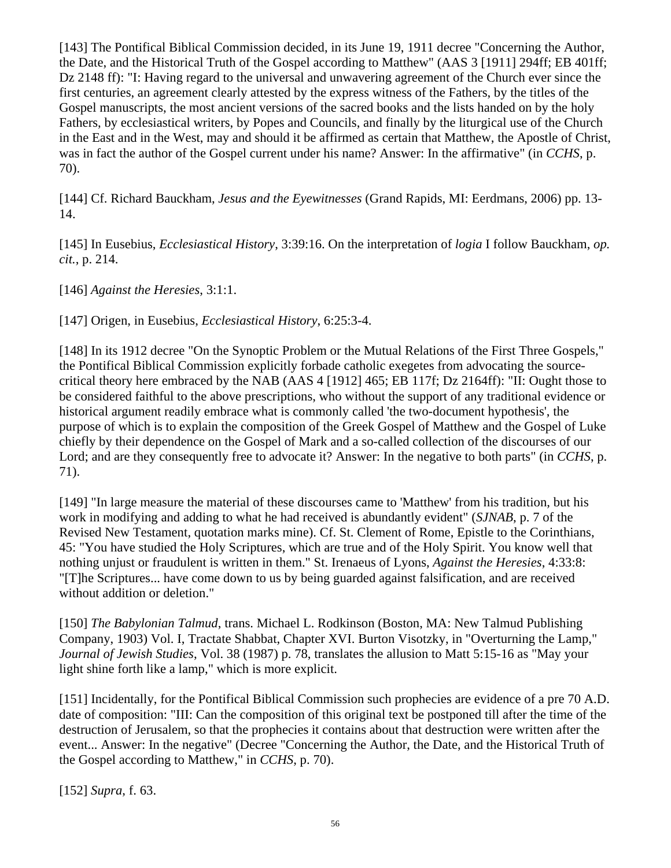[143] The Pontifical Biblical Commission decided, in its June 19, 1911 decree "Concerning the Author, the Date, and the Historical Truth of the Gospel according to Matthew" (AAS 3 [1911] 294ff; EB 401ff; Dz 2148 ff): "I: Having regard to the universal and unwavering agreement of the Church ever since the first centuries, an agreement clearly attested by the express witness of the Fathers, by the titles of the Gospel manuscripts, the most ancient versions of the sacred books and the lists handed on by the holy Fathers, by ecclesiastical writers, by Popes and Councils, and finally by the liturgical use of the Church in the East and in the West, may and should it be affirmed as certain that Matthew, the Apostle of Christ, was in fact the author of the Gospel current under his name? Answer: In the affirmative" (in *CCHS*, p. 70).

[144] Cf. Richard Bauckham, *Jesus and the Eyewitnesses* (Grand Rapids, MI: Eerdmans, 2006) pp. 13- 14.

[145] In Eusebius, *Ecclesiastical History*, 3:39:16. On the interpretation of *logia* I follow Bauckham, *op. cit.*, p. 214.

[146] *Against the Heresies*, 3:1:1.

[147] Origen, in Eusebius, *Ecclesiastical History*, 6:25:3-4.

[148] In its 1912 decree "On the Synoptic Problem or the Mutual Relations of the First Three Gospels." the Pontifical Biblical Commission explicitly forbade catholic exegetes from advocating the sourcecritical theory here embraced by the NAB (AAS 4 [1912] 465; EB 117f; Dz 2164ff): "II: Ought those to be considered faithful to the above prescriptions, who without the support of any traditional evidence or historical argument readily embrace what is commonly called 'the two-document hypothesis', the purpose of which is to explain the composition of the Greek Gospel of Matthew and the Gospel of Luke chiefly by their dependence on the Gospel of Mark and a so-called collection of the discourses of our Lord; and are they consequently free to advocate it? Answer: In the negative to both parts" (in *CCHS*, p. 71).

[149] "In large measure the material of these discourses came to 'Matthew' from his tradition, but his work in modifying and adding to what he had received is abundantly evident" (*SJNAB*, p. 7 of the Revised New Testament, quotation marks mine). Cf. St. Clement of Rome, Epistle to the Corinthians, 45: "You have studied the Holy Scriptures, which are true and of the Holy Spirit. You know well that nothing unjust or fraudulent is written in them." St. Irenaeus of Lyons, *Against the Heresies*, 4:33:8: "[T]he Scriptures... have come down to us by being guarded against falsification, and are received without addition or deletion."

[150] *The Babylonian Talmud*, trans. Michael L. Rodkinson (Boston, MA: New Talmud Publishing Company, 1903) Vol. I, Tractate Shabbat, Chapter XVI. Burton Visotzky, in "Overturning the Lamp," *Journal of Jewish Studies*, Vol. 38 (1987) p. 78, translates the allusion to Matt 5:15-16 as "May your light shine forth like a lamp," which is more explicit.

[151] Incidentally, for the Pontifical Biblical Commission such prophecies are evidence of a pre 70 A.D. date of composition: "III: Can the composition of this original text be postponed till after the time of the destruction of Jerusalem, so that the prophecies it contains about that destruction were written after the event... Answer: In the negative" (Decree "Concerning the Author, the Date, and the Historical Truth of the Gospel according to Matthew," in *CCHS*, p. 70).

[152] *Supra*, f. 63.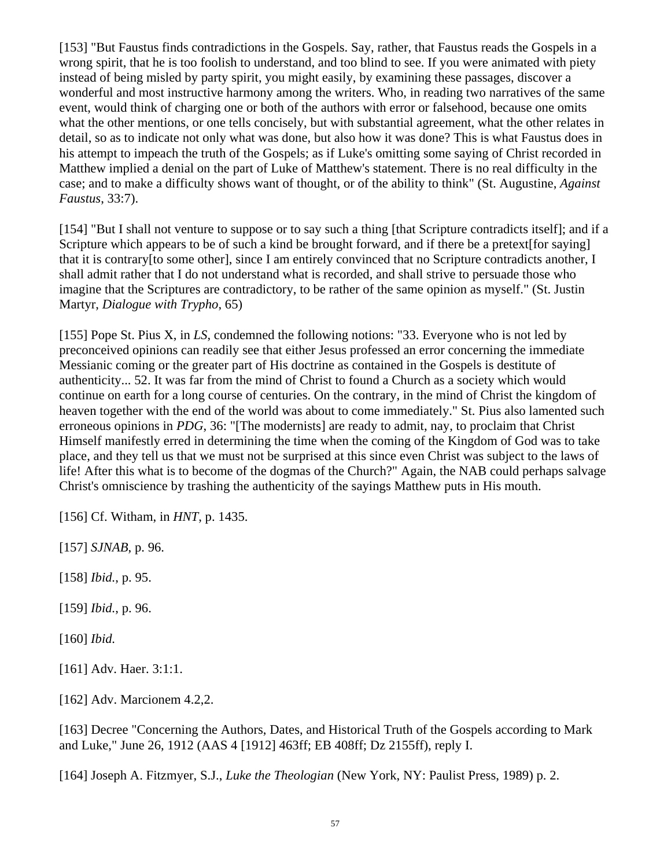[153] "But Faustus finds contradictions in the Gospels. Say, rather, that Faustus reads the Gospels in a wrong spirit, that he is too foolish to understand, and too blind to see. If you were animated with piety instead of being misled by party spirit, you might easily, by examining these passages, discover a wonderful and most instructive harmony among the writers. Who, in reading two narratives of the same event, would think of charging one or both of the authors with error or falsehood, because one omits what the other mentions, or one tells concisely, but with substantial agreement, what the other relates in detail, so as to indicate not only what was done, but also how it was done? This is what Faustus does in his attempt to impeach the truth of the Gospels; as if Luke's omitting some saying of Christ recorded in Matthew implied a denial on the part of Luke of Matthew's statement. There is no real difficulty in the case; and to make a difficulty shows want of thought, or of the ability to think" (St. Augustine, *Against Faustus*, 33:7).

[154] "But I shall not venture to suppose or to say such a thing [that Scripture contradicts itself]; and if a Scripture which appears to be of such a kind be brought forward, and if there be a pretext [for saying] that it is contrary[to some other], since I am entirely convinced that no Scripture contradicts another, I shall admit rather that I do not understand what is recorded, and shall strive to persuade those who imagine that the Scriptures are contradictory, to be rather of the same opinion as myself." (St. Justin Martyr, *Dialogue with Trypho*, 65)

[155] Pope St. Pius X, in *LS*, condemned the following notions: "33. Everyone who is not led by preconceived opinions can readily see that either Jesus professed an error concerning the immediate Messianic coming or the greater part of His doctrine as contained in the Gospels is destitute of authenticity... 52. It was far from the mind of Christ to found a Church as a society which would continue on earth for a long course of centuries. On the contrary, in the mind of Christ the kingdom of heaven together with the end of the world was about to come immediately." St. Pius also lamented such erroneous opinions in *PDG*, 36: "[The modernists] are ready to admit, nay, to proclaim that Christ Himself manifestly erred in determining the time when the coming of the Kingdom of God was to take place, and they tell us that we must not be surprised at this since even Christ was subject to the laws of life! After this what is to become of the dogmas of the Church?" Again, the NAB could perhaps salvage Christ's omniscience by trashing the authenticity of the sayings Matthew puts in His mouth.

[156] Cf. Witham, in *HNT*, p. 1435.

[157] *SJNAB*, p. 96.

[158] *Ibid.*, p. 95.

[159] *Ibid.*, p. 96.

[160] *Ibid.* 

[161] Adv. Haer. 3:1:1.

[162] Adv. Marcionem 4.2,2.

[163] Decree "Concerning the Authors, Dates, and Historical Truth of the Gospels according to Mark and Luke," June 26, 1912 (AAS 4 [1912] 463ff; EB 408ff; Dz 2155ff), reply I.

[164] Joseph A. Fitzmyer, S.J., *Luke the Theologian* (New York, NY: Paulist Press, 1989) p. 2.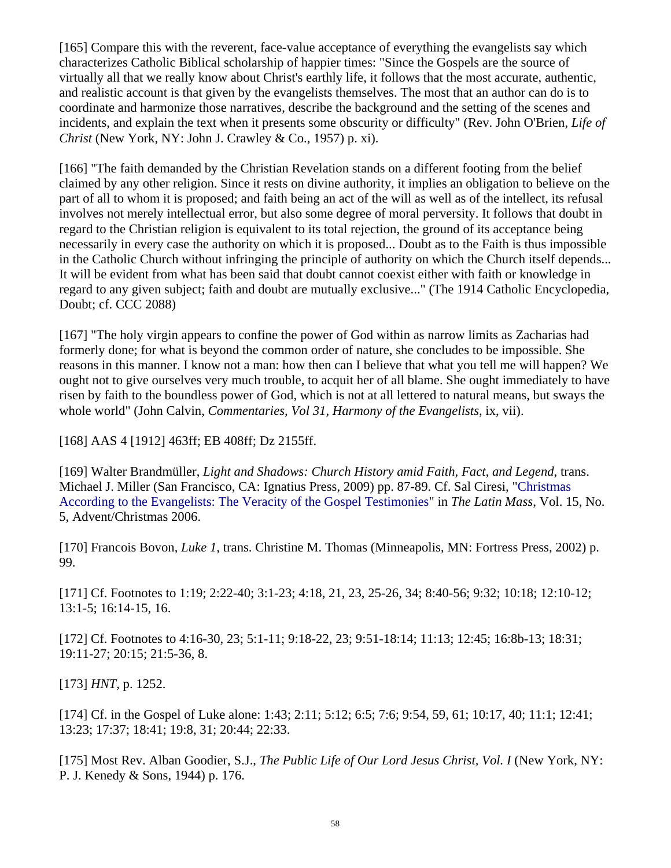[165] Compare this with the reverent, face-value acceptance of everything the evangelists say which characterizes Catholic Biblical scholarship of happier times: "Since the Gospels are the source of virtually all that we really know about Christ's earthly life, it follows that the most accurate, authentic, and realistic account is that given by the evangelists themselves. The most that an author can do is to coordinate and harmonize those narratives, describe the background and the setting of the scenes and incidents, and explain the text when it presents some obscurity or difficulty" (Rev. John O'Brien, *Life of Christ* (New York, NY: John J. Crawley & Co., 1957) p. xi).

[166] "The faith demanded by the Christian Revelation stands on a different footing from the belief claimed by any other religion. Since it rests on divine authority, it implies an obligation to believe on the part of all to whom it is proposed; and faith being an act of the will as well as of the intellect, its refusal involves not merely intellectual error, but also some degree of moral perversity. It follows that doubt in regard to the Christian religion is equivalent to its total rejection, the ground of its acceptance being necessarily in every case the authority on which it is proposed... Doubt as to the Faith is thus impossible in the Catholic Church without infringing the principle of authority on which the Church itself depends... It will be evident from what has been said that doubt cannot coexist either with faith or knowledge in regard to any given subject; faith and doubt are mutually exclusive..." (The 1914 Catholic Encyclopedia, Doubt; cf. CCC 2088)

[167] "The holy virgin appears to confine the power of God within as narrow limits as Zacharias had formerly done; for what is beyond the common order of nature, she concludes to be impossible. She reasons in this manner. I know not a man: how then can I believe that what you tell me will happen? We ought not to give ourselves very much trouble, to acquit her of all blame. She ought immediately to have risen by faith to the boundless power of God, which is not at all lettered to natural means, but sways the whole world" (John Calvin, *Commentaries, Vol 31, Harmony of the Evangelists*, ix, vii).

[168] AAS 4 [1912] 463ff; EB 408ff; Dz 2155ff.

[169] Walter Brandmüller, *Light and Shadows: Church History amid Faith, Fact, and Legend*, trans. Michael J. Miller (San Francisco, CA: Ignatius Press, 2009) pp. 87-89. Cf. Sal Ciresi, ["Christmas](http://www.stjeromebiblicalguild.org/tlm_thebiblicalchristmas.pdf)  [According to the Evangelists: The Veracity of the Gospel Testimonies"](http://www.stjeromebiblicalguild.org/tlm_thebiblicalchristmas.pdf) in *The Latin Mass*, Vol. 15, No. 5, Advent/Christmas 2006.

[170] Francois Bovon, *Luke 1*, trans. Christine M. Thomas (Minneapolis, MN: Fortress Press, 2002) p. 99.

[171] Cf. Footnotes to 1:19; 2:22-40; 3:1-23; 4:18, 21, 23, 25-26, 34; 8:40-56; 9:32; 10:18; 12:10-12; 13:1-5; 16:14-15, 16.

[172] Cf. Footnotes to 4:16-30, 23; 5:1-11; 9:18-22, 23; 9:51-18:14; 11:13; 12:45; 16:8b-13; 18:31; 19:11-27; 20:15; 21:5-36, 8.

[173] *HNT*, p. 1252.

[174] Cf. in the Gospel of Luke alone: 1:43; 2:11; 5:12; 6:5; 7:6; 9:54, 59, 61; 10:17, 40; 11:1; 12:41; 13:23; 17:37; 18:41; 19:8, 31; 20:44; 22:33.

[175] Most Rev. Alban Goodier, S.J., *The Public Life of Our Lord Jesus Christ, Vol. I* (New York, NY: P. J. Kenedy & Sons, 1944) p. 176.